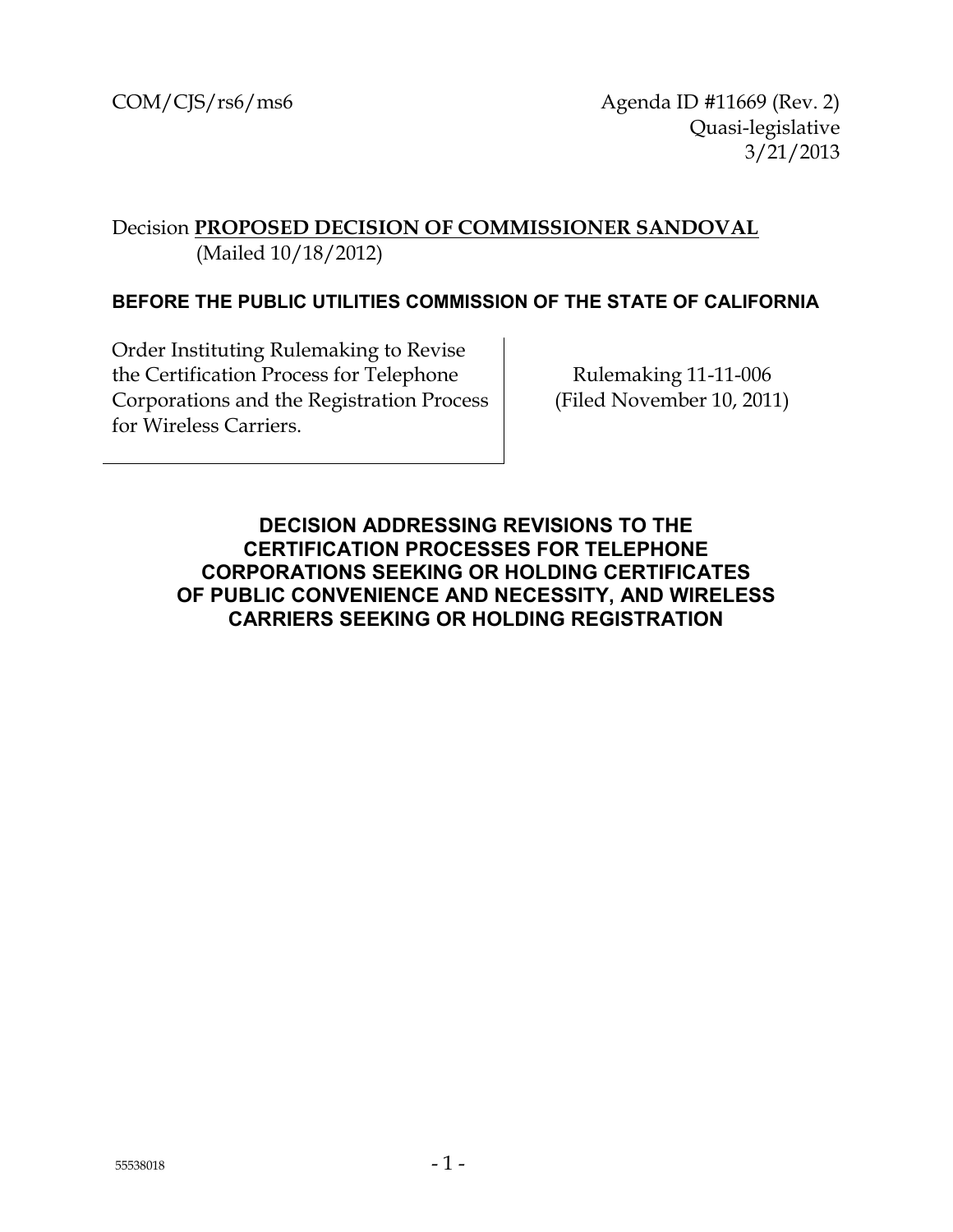$COM/CIS/rs6/ms6$  Agenda ID #11669 (Rev. 2) Quasi-legislative 3/21/2013

### Decision **PROPOSED DECISION OF COMMISSIONER SANDOVAL** (Mailed 10/18/2012)

#### **BEFORE THE PUBLIC UTILITIES COMMISSION OF THE STATE OF CALIFORNIA**

Order Instituting Rulemaking to Revise the Certification Process for Telephone Corporations and the Registration Process for Wireless Carriers.

Rulemaking 11-11-006 (Filed November 10, 2011)

<span id="page-0-0"></span>**DECISION ADDRESSING REVISIONS TO THE CERTIFICATION PROCESSES FOR TELEPHONE CORPORATIONS SEEKING OR HOLDING CERTIFICATES OF PUBLIC CONVENIENCE AND NECESSITY, AND WIRELESS CARRIERS SEEKING OR HOLDING REGISTRATION**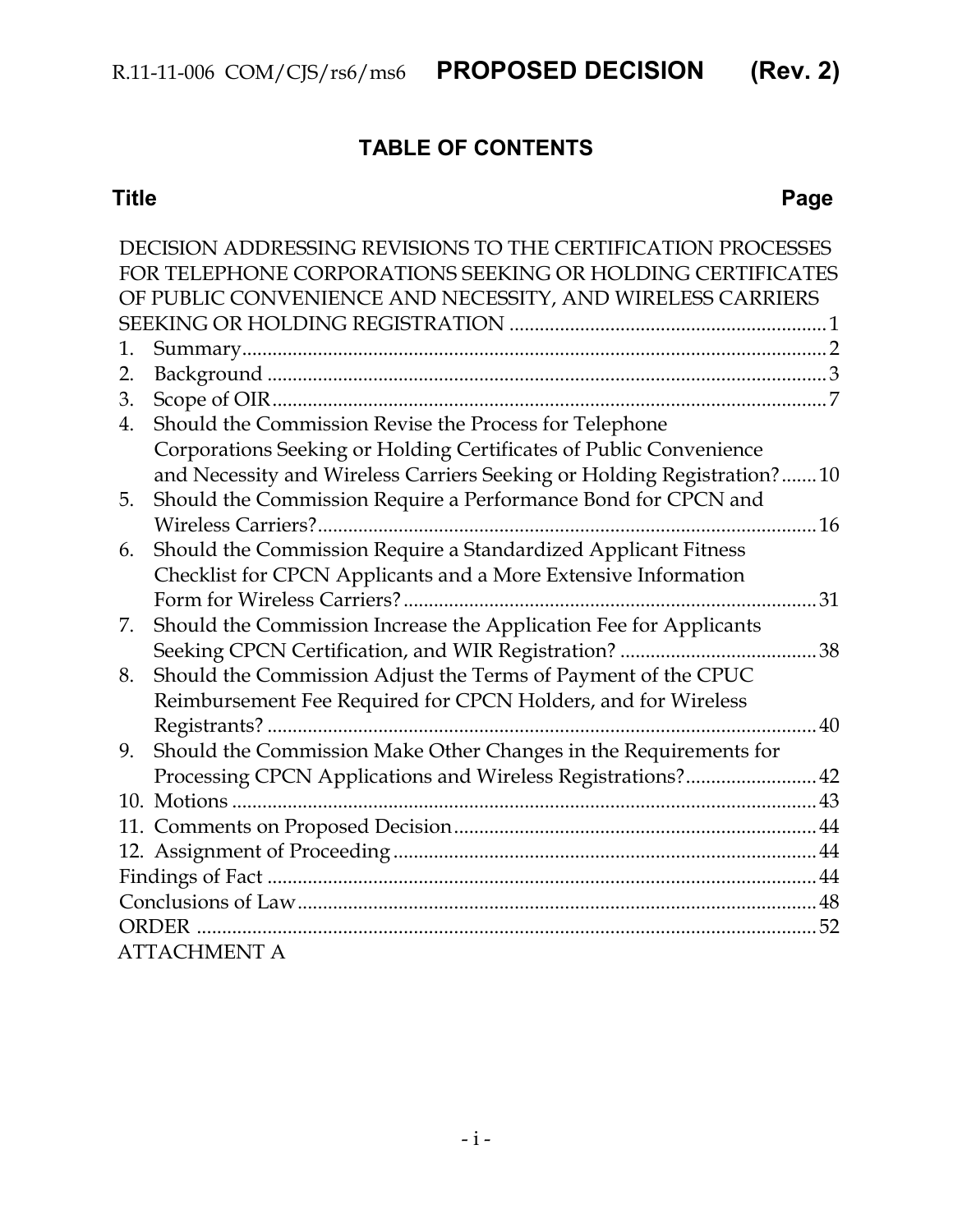## **TABLE OF CONTENTS**

#### **Title Page**

|    | DECISION ADDRESSING REVISIONS TO THE CERTIFICATION PROCESSES            |    |  |
|----|-------------------------------------------------------------------------|----|--|
|    | FOR TELEPHONE CORPORATIONS SEEKING OR HOLDING CERTIFICATES              |    |  |
|    | OF PUBLIC CONVENIENCE AND NECESSITY, AND WIRELESS CARRIERS              |    |  |
|    |                                                                         |    |  |
| 1. |                                                                         |    |  |
| 2. |                                                                         |    |  |
| 3. |                                                                         |    |  |
| 4. | Should the Commission Revise the Process for Telephone                  |    |  |
|    | Corporations Seeking or Holding Certificates of Public Convenience      |    |  |
|    | and Necessity and Wireless Carriers Seeking or Holding Registration? 10 |    |  |
| 5. | Should the Commission Require a Performance Bond for CPCN and           |    |  |
|    |                                                                         |    |  |
| 6. | Should the Commission Require a Standardized Applicant Fitness          |    |  |
|    | Checklist for CPCN Applicants and a More Extensive Information          |    |  |
|    |                                                                         | 31 |  |
| 7. | Should the Commission Increase the Application Fee for Applicants       |    |  |
|    | Seeking CPCN Certification, and WIR Registration?                       | 38 |  |
| 8. | Should the Commission Adjust the Terms of Payment of the CPUC           |    |  |
|    | Reimbursement Fee Required for CPCN Holders, and for Wireless           |    |  |
|    | Registrants?.                                                           | 40 |  |
| 9. | Should the Commission Make Other Changes in the Requirements for        |    |  |
|    | Processing CPCN Applications and Wireless Registrations? 42             |    |  |
|    |                                                                         |    |  |
|    |                                                                         |    |  |
|    |                                                                         |    |  |
|    |                                                                         |    |  |
|    |                                                                         |    |  |
|    | ORDER                                                                   |    |  |
|    | <b>ATTACHMENT A</b>                                                     |    |  |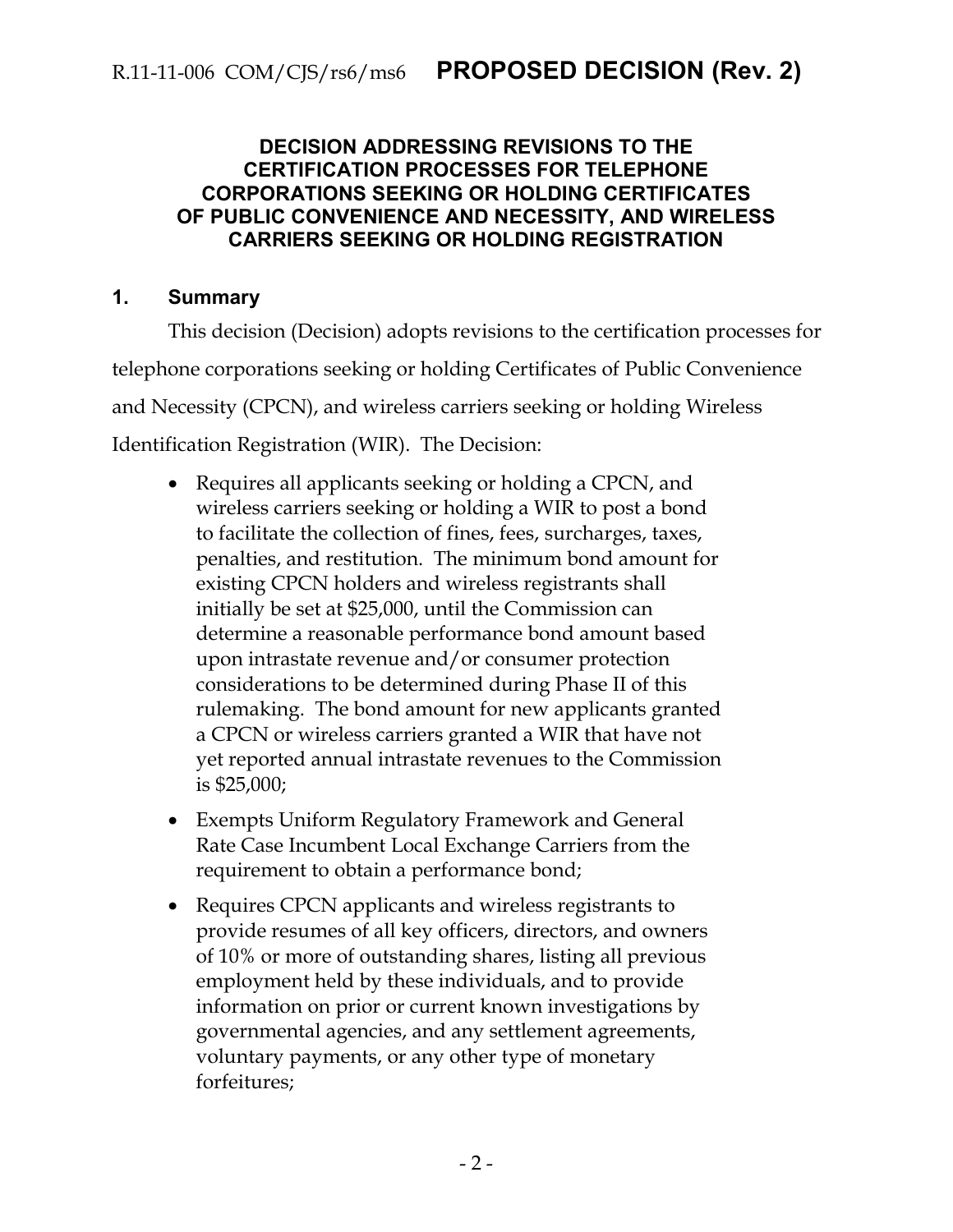#### **DECISION ADDRESSING REVISIONS TO THE CERTIFICATION PROCESSES FOR TELEPHONE CORPORATIONS SEEKING OR HOLDING CERTIFICATES OF PUBLIC CONVENIENCE AND NECESSITY, AND WIRELESS CARRIERS SEEKING OR HOLDING REGISTRATION**

#### <span id="page-2-0"></span>**1. Summary**

This decision (Decision) adopts revisions to the certification processes for telephone corporations seeking or holding Certificates of Public Convenience and Necessity (CPCN), and wireless carriers seeking or holding Wireless Identification Registration (WIR). The Decision:

- Requires all applicants seeking or holding a CPCN, and wireless carriers seeking or holding a WIR to post a bond to facilitate the collection of fines, fees, surcharges, taxes, penalties, and restitution. The minimum bond amount for existing CPCN holders and wireless registrants shall initially be set at \$25,000, until the Commission can determine a reasonable performance bond amount based upon intrastate revenue and/or consumer protection considerations to be determined during Phase II of this rulemaking. The bond amount for new applicants granted a CPCN or wireless carriers granted a WIR that have not yet reported annual intrastate revenues to the Commission is \$25,000;
- Exempts Uniform Regulatory Framework and General Rate Case Incumbent Local Exchange Carriers from the requirement to obtain a performance bond;
- Requires CPCN applicants and wireless registrants to provide resumes of all key officers, directors, and owners of 10% or more of outstanding shares, listing all previous employment held by these individuals, and to provide information on prior or current known investigations by governmental agencies, and any settlement agreements, voluntary payments, or any other type of monetary forfeitures;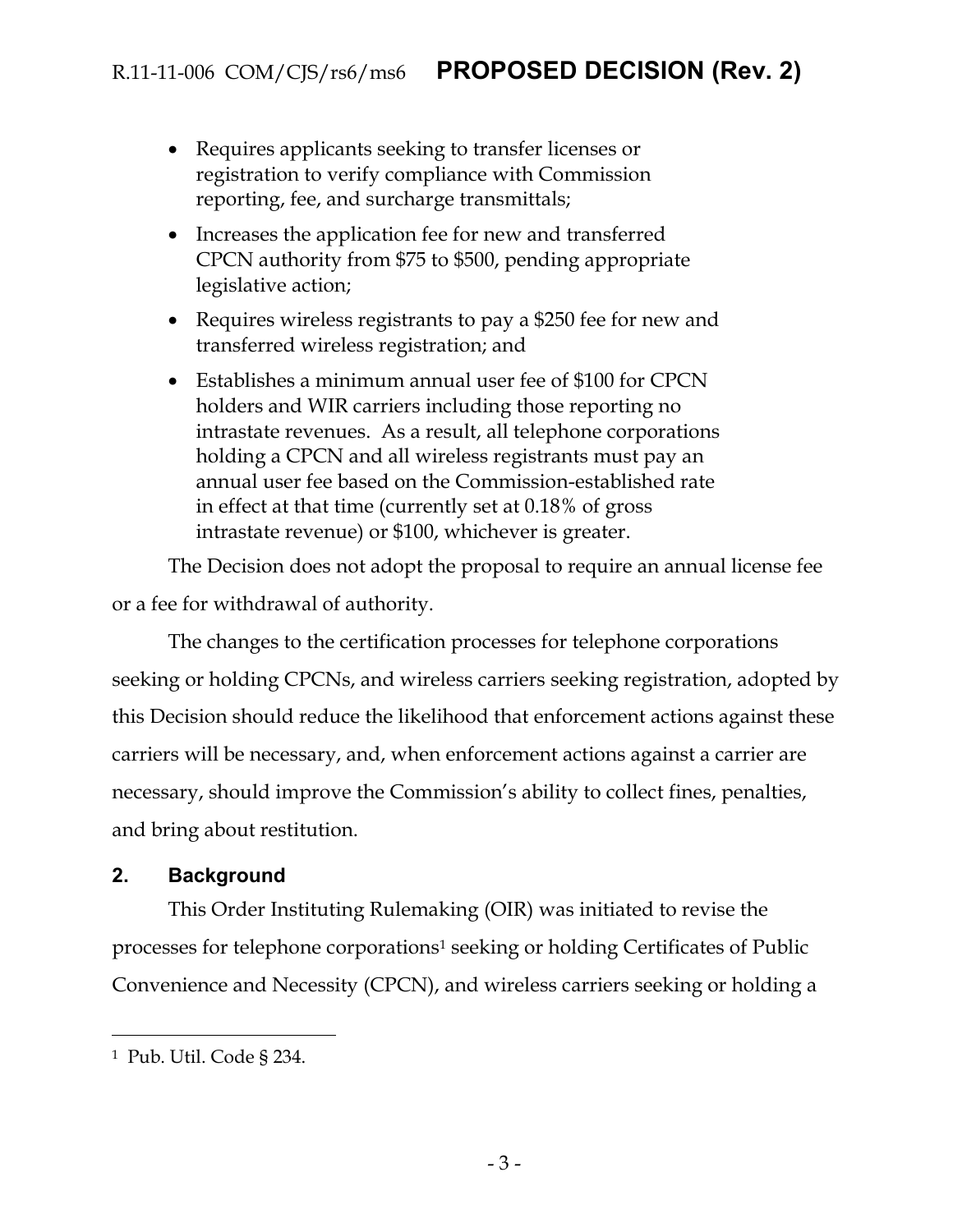- Requires applicants seeking to transfer licenses or registration to verify compliance with Commission reporting, fee, and surcharge transmittals;
- Increases the application fee for new and transferred CPCN authority from \$75 to \$500, pending appropriate legislative action;
- Requires wireless registrants to pay a \$250 fee for new and transferred wireless registration; and
- Establishes a minimum annual user fee of \$100 for CPCN holders and WIR carriers including those reporting no intrastate revenues. As a result, all telephone corporations holding a CPCN and all wireless registrants must pay an annual user fee based on the Commission-established rate in effect at that time (currently set at 0.18% of gross intrastate revenue) or \$100, whichever is greater.

The Decision does not adopt the proposal to require an annual license fee or a fee for withdrawal of authority.

The changes to the certification processes for telephone corporations seeking or holding CPCNs, and wireless carriers seeking registration, adopted by this Decision should reduce the likelihood that enforcement actions against these carriers will be necessary, and, when enforcement actions against a carrier are necessary, should improve the Commission's ability to collect fines, penalties, and bring about restitution.

#### <span id="page-3-0"></span>**2. Background**

This Order Instituting Rulemaking (OIR) was initiated to revise the processes for telephone corporations<sup>1</sup> seeking or holding Certificates of Public Convenience and Necessity (CPCN), and wireless carriers seeking or holding a

<sup>1</sup> Pub. Util. Code § 234.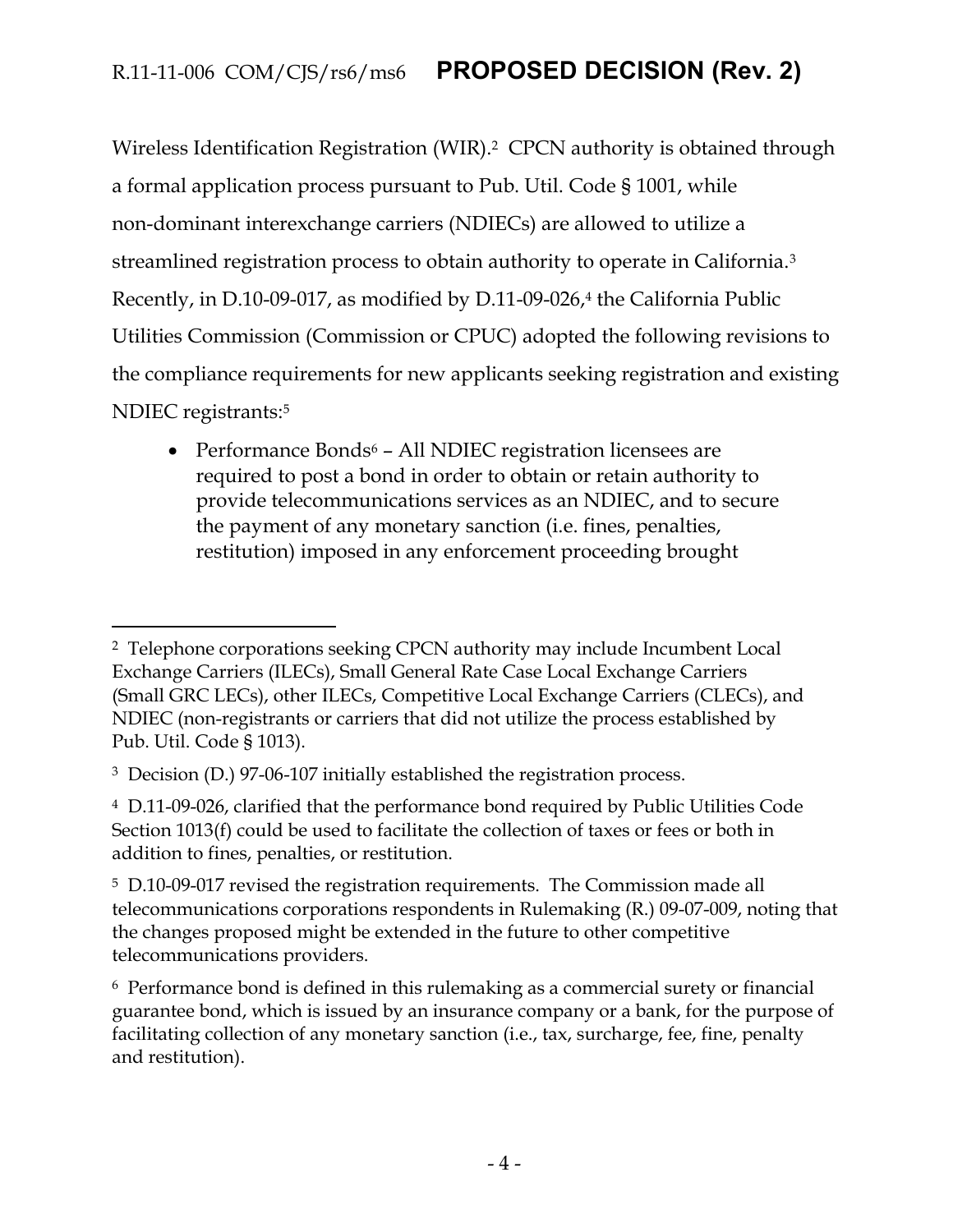Wireless Identification Registration (WIR). <sup>2</sup> CPCN authority is obtained through a formal application process pursuant to Pub. Util. Code § 1001, while non-dominant interexchange carriers (NDIECs) are allowed to utilize a streamlined registration process to obtain authority to operate in California.<sup>3</sup> Recently, in D.10-09-017, as modified by D.11-09-026,<sup>4</sup> the California Public Utilities Commission (Commission or CPUC) adopted the following revisions to the compliance requirements for new applicants seeking registration and existing NDIEC registrants:<sup>5</sup>

• Performance Bonds<sup>6</sup> – All NDIEC registration licensees are required to post a bond in order to obtain or retain authority to provide telecommunications services as an NDIEC, and to secure the payment of any monetary sanction (i.e. fines, penalties, restitution) imposed in any enforcement proceeding brought

<sup>2</sup> Telephone corporations seeking CPCN authority may include Incumbent Local Exchange Carriers (ILECs), Small General Rate Case Local Exchange Carriers (Small GRC LECs), other ILECs, Competitive Local Exchange Carriers (CLECs), and NDIEC (non-registrants or carriers that did not utilize the process established by Pub. Util. Code § 1013).

<sup>3</sup> Decision (D.) 97-06-107 initially established the registration process.

<sup>4</sup> D.11-09-026, clarified that the performance bond required by Public Utilities Code Section 1013(f) could be used to facilitate the collection of taxes or fees or both in addition to fines, penalties, or restitution.

<sup>5</sup> D.10-09-017 revised the registration requirements. The Commission made all telecommunications corporations respondents in Rulemaking (R.) 09-07-009, noting that the changes proposed might be extended in the future to other competitive telecommunications providers.

<sup>6</sup> Performance bond is defined in this rulemaking as a commercial surety or financial guarantee bond, which is issued by an insurance company or a bank, for the purpose of facilitating collection of any monetary sanction (i.e., tax, surcharge, fee, fine, penalty and restitution).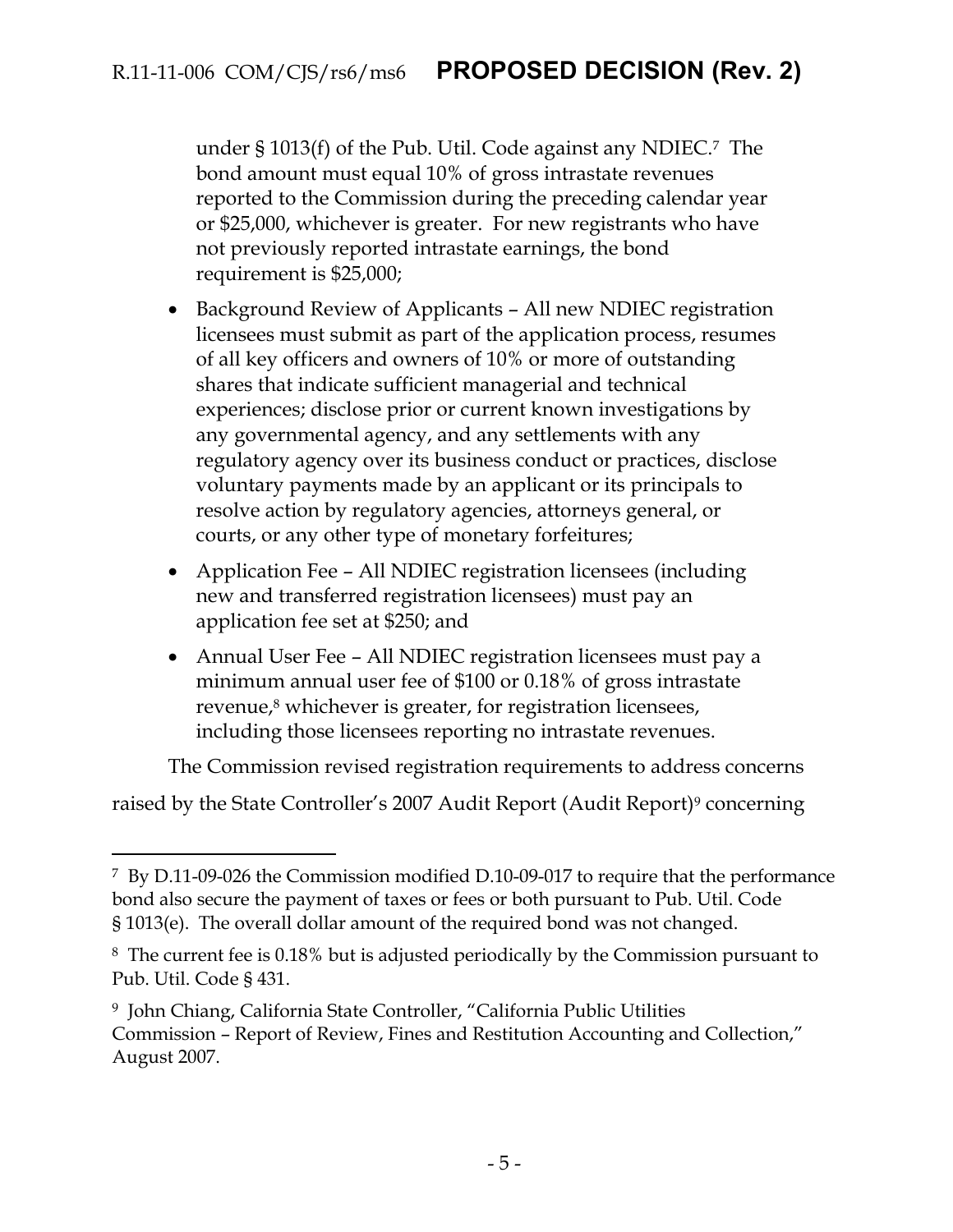under § 1013(f) of the Pub. Util. Code against any NDIEC.7 The bond amount must equal 10% of gross intrastate revenues reported to the Commission during the preceding calendar year or \$25,000, whichever is greater. For new registrants who have not previously reported intrastate earnings, the bond requirement is \$25,000;

- Background Review of Applicants All new NDIEC registration licensees must submit as part of the application process, resumes of all key officers and owners of 10% or more of outstanding shares that indicate sufficient managerial and technical experiences; disclose prior or current known investigations by any governmental agency, and any settlements with any regulatory agency over its business conduct or practices, disclose voluntary payments made by an applicant or its principals to resolve action by regulatory agencies, attorneys general, or courts, or any other type of monetary forfeitures;
- Application Fee All NDIEC registration licensees (including new and transferred registration licensees) must pay an application fee set at \$250; and
- Annual User Fee All NDIEC registration licensees must pay a minimum annual user fee of \$100 or 0.18% of gross intrastate revenue,<sup>8</sup> whichever is greater, for registration licensees, including those licensees reporting no intrastate revenues.

The Commission revised registration requirements to address concerns

raised by the State Controller's 2007 Audit Report (Audit Report)<sup>9</sup> concerning

<sup>7</sup> By D.11-09-026 the Commission modified D.10-09-017 to require that the performance bond also secure the payment of taxes or fees or both pursuant to Pub. Util. Code § 1013(e). The overall dollar amount of the required bond was not changed.

<sup>8</sup> The current fee is 0.18% but is adjusted periodically by the Commission pursuant to Pub. Util. Code § 431.

<sup>9</sup> John Chiang, California State Controller, "California Public Utilities Commission – Report of Review, Fines and Restitution Accounting and Collection," August 2007.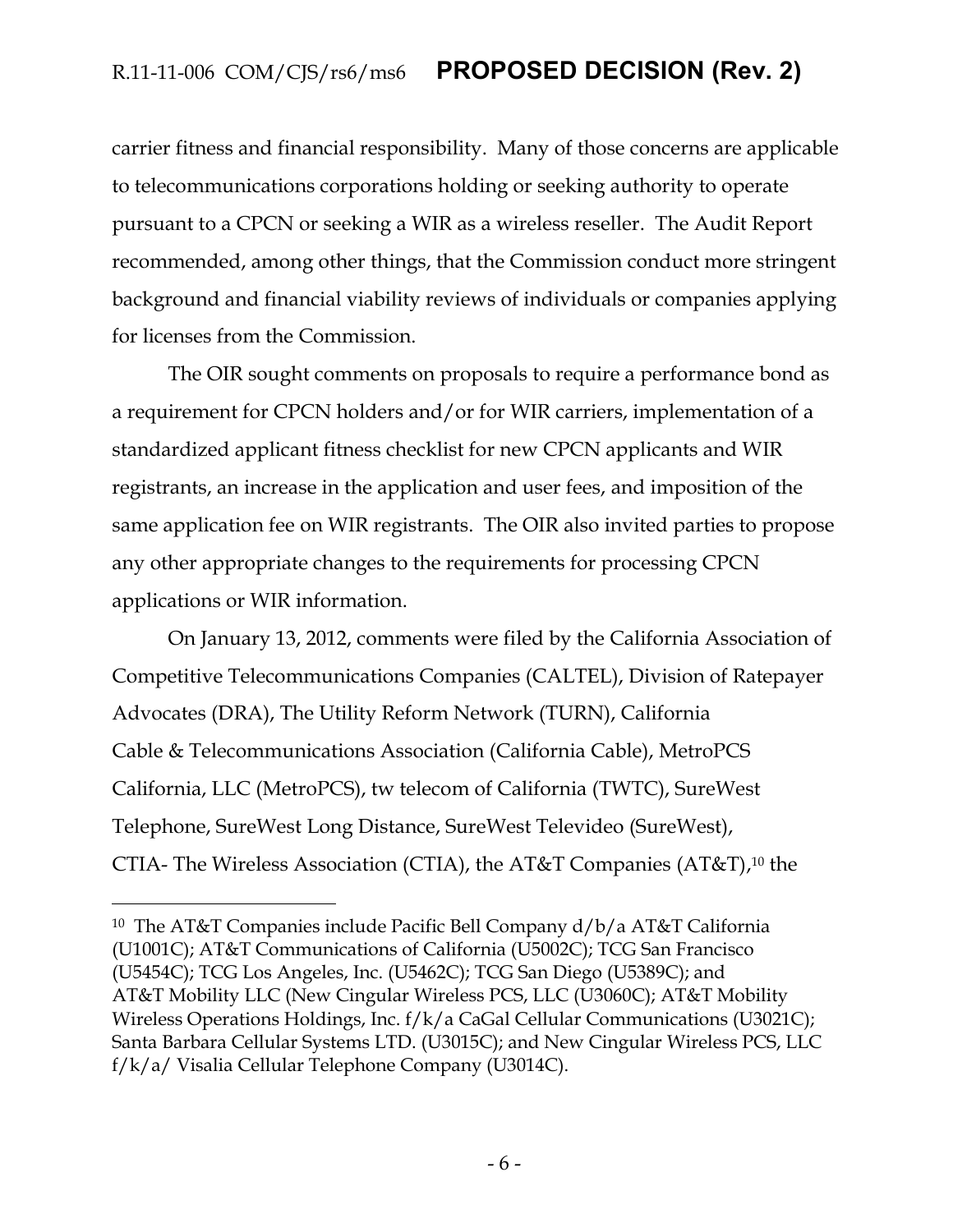carrier fitness and financial responsibility. Many of those concerns are applicable to telecommunications corporations holding or seeking authority to operate pursuant to a CPCN or seeking a WIR as a wireless reseller. The Audit Report recommended, among other things, that the Commission conduct more stringent background and financial viability reviews of individuals or companies applying for licenses from the Commission.

The OIR sought comments on proposals to require a performance bond as a requirement for CPCN holders and/or for WIR carriers, implementation of a standardized applicant fitness checklist for new CPCN applicants and WIR registrants, an increase in the application and user fees, and imposition of the same application fee on WIR registrants. The OIR also invited parties to propose any other appropriate changes to the requirements for processing CPCN applications or WIR information.

On January 13, 2012, comments were filed by the California Association of Competitive Telecommunications Companies (CALTEL), Division of Ratepayer Advocates (DRA), The Utility Reform Network (TURN), California Cable & Telecommunications Association (California Cable), MetroPCS California, LLC (MetroPCS), tw telecom of California (TWTC), SureWest Telephone, SureWest Long Distance, SureWest Televideo (SureWest), CTIA- The Wireless Association (CTIA), the AT&T Companies (AT&T), <sup>10</sup> the

<sup>10</sup> The AT&T Companies include Pacific Bell Company d/b/a AT&T California (U1001C); AT&T Communications of California (U5002C); TCG San Francisco (U5454C); TCG Los Angeles, Inc. (U5462C); TCG San Diego (U5389C); and AT&T Mobility LLC (New Cingular Wireless PCS, LLC (U3060C); AT&T Mobility Wireless Operations Holdings, Inc. f/k/a CaGal Cellular Communications (U3021C); Santa Barbara Cellular Systems LTD. (U3015C); and New Cingular Wireless PCS, LLC f/k/a/ Visalia Cellular Telephone Company (U3014C).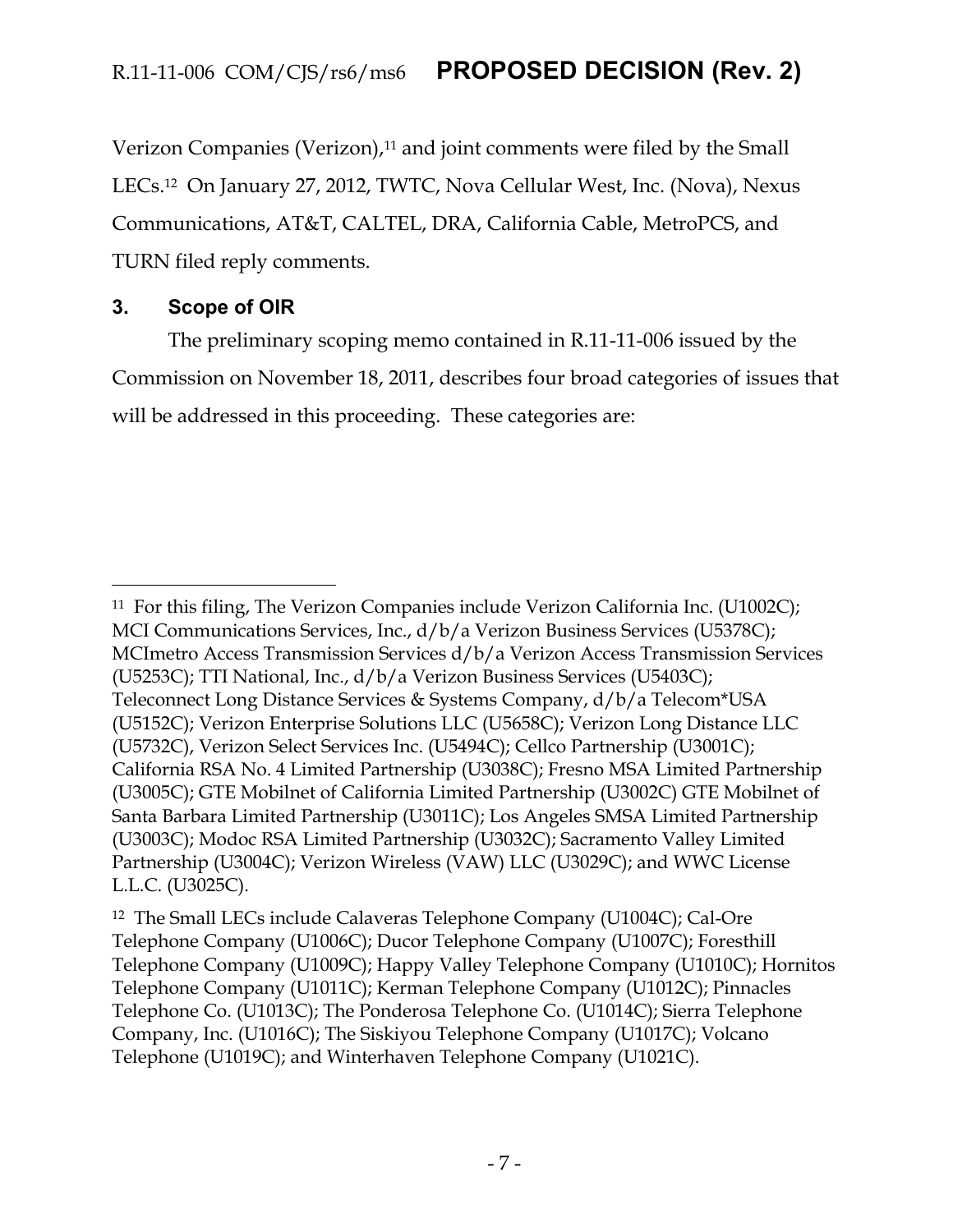Verizon Companies (Verizon),<sup>11</sup> and joint comments were filed by the Small LECs.12 On January 27, 2012, TWTC, Nova Cellular West, Inc. (Nova), Nexus Communications, AT&T, CALTEL, DRA, California Cable, MetroPCS, and TURN filed reply comments.

### <span id="page-7-0"></span>**3. Scope of OIR**

 $\overline{a}$ 

The preliminary scoping memo contained in R.11-11-006 issued by the Commission on November 18, 2011, describes four broad categories of issues that will be addressed in this proceeding. These categories are:

<sup>11</sup> For this filing, The Verizon Companies include Verizon California Inc. (U1002C); MCI Communications Services, Inc., d/b/a Verizon Business Services (U5378C); MCImetro Access Transmission Services d/b/a Verizon Access Transmission Services (U5253C); TTI National, Inc., d/b/a Verizon Business Services (U5403C); Teleconnect Long Distance Services & Systems Company, d/b/a Telecom\*USA (U5152C); Verizon Enterprise Solutions LLC (U5658C); Verizon Long Distance LLC (U5732C), Verizon Select Services Inc. (U5494C); Cellco Partnership (U3001C); California RSA No. 4 Limited Partnership (U3038C); Fresno MSA Limited Partnership (U3005C); GTE Mobilnet of California Limited Partnership (U3002C) GTE Mobilnet of Santa Barbara Limited Partnership (U3011C); Los Angeles SMSA Limited Partnership (U3003C); Modoc RSA Limited Partnership (U3032C); Sacramento Valley Limited Partnership (U3004C); Verizon Wireless (VAW) LLC (U3029C); and WWC License L.L.C. (U3025C).

<sup>12</sup> The Small LECs include Calaveras Telephone Company (U1004C); Cal-Ore Telephone Company (U1006C); Ducor Telephone Company (U1007C); Foresthill Telephone Company (U1009C); Happy Valley Telephone Company (U1010C); Hornitos Telephone Company (U1011C); Kerman Telephone Company (U1012C); Pinnacles Telephone Co. (U1013C); The Ponderosa Telephone Co. (U1014C); Sierra Telephone Company, Inc. (U1016C); The Siskiyou Telephone Company (U1017C); Volcano Telephone (U1019C); and Winterhaven Telephone Company (U1021C).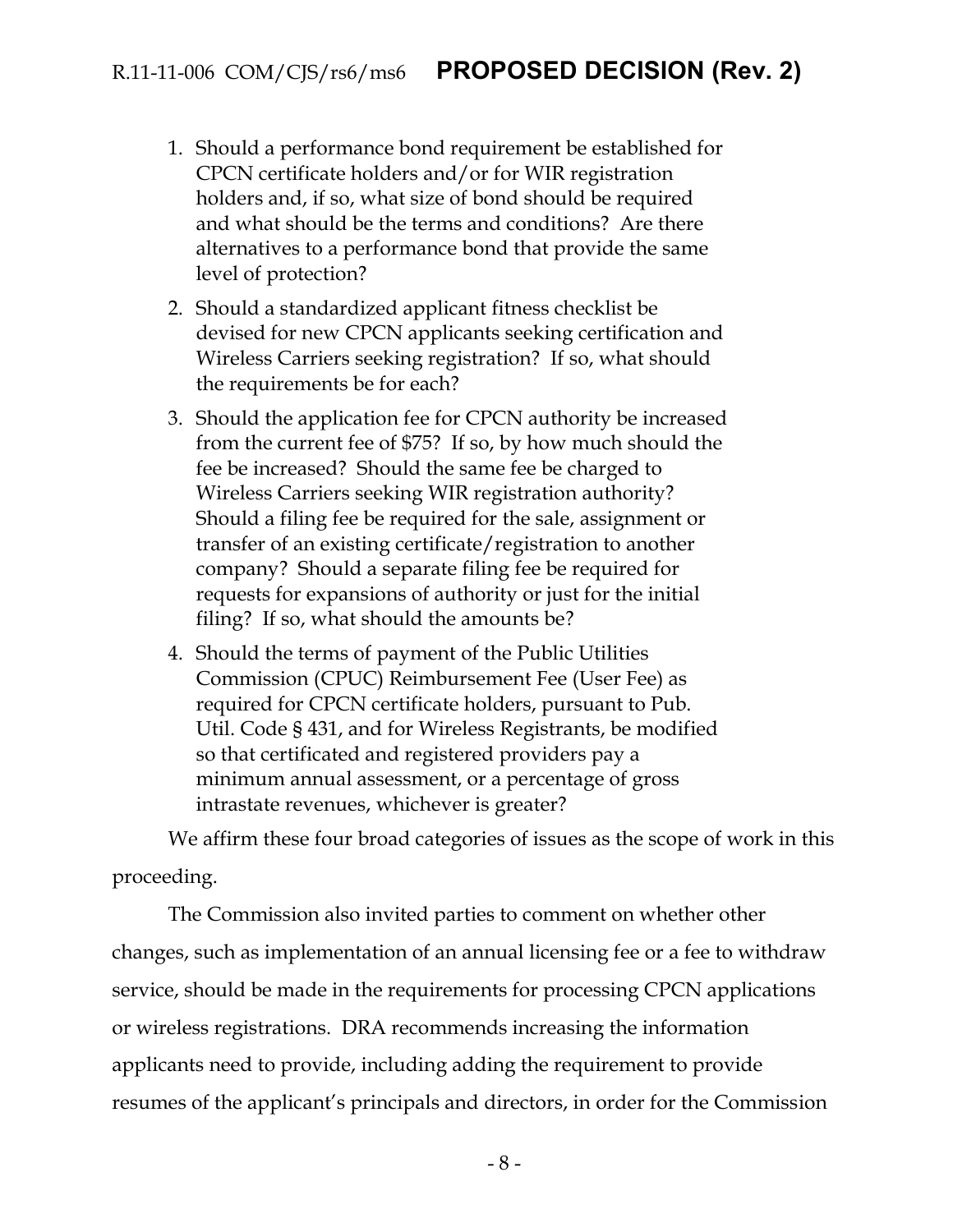- 1. Should a performance bond requirement be established for CPCN certificate holders and/or for WIR registration holders and, if so, what size of bond should be required and what should be the terms and conditions? Are there alternatives to a performance bond that provide the same level of protection?
- 2. Should a standardized applicant fitness checklist be devised for new CPCN applicants seeking certification and Wireless Carriers seeking registration? If so, what should the requirements be for each?
- 3. Should the application fee for CPCN authority be increased from the current fee of \$75? If so, by how much should the fee be increased? Should the same fee be charged to Wireless Carriers seeking WIR registration authority? Should a filing fee be required for the sale, assignment or transfer of an existing certificate/registration to another company? Should a separate filing fee be required for requests for expansions of authority or just for the initial filing? If so, what should the amounts be?
- 4. Should the terms of payment of the Public Utilities Commission (CPUC) Reimbursement Fee (User Fee) as required for CPCN certificate holders, pursuant to Pub. Util. Code § 431, and for Wireless Registrants, be modified so that certificated and registered providers pay a minimum annual assessment, or a percentage of gross intrastate revenues, whichever is greater?

We affirm these four broad categories of issues as the scope of work in this proceeding.

The Commission also invited parties to comment on whether other changes, such as implementation of an annual licensing fee or a fee to withdraw service, should be made in the requirements for processing CPCN applications or wireless registrations. DRA recommends increasing the information applicants need to provide, including adding the requirement to provide resumes of the applicant's principals and directors, in order for the Commission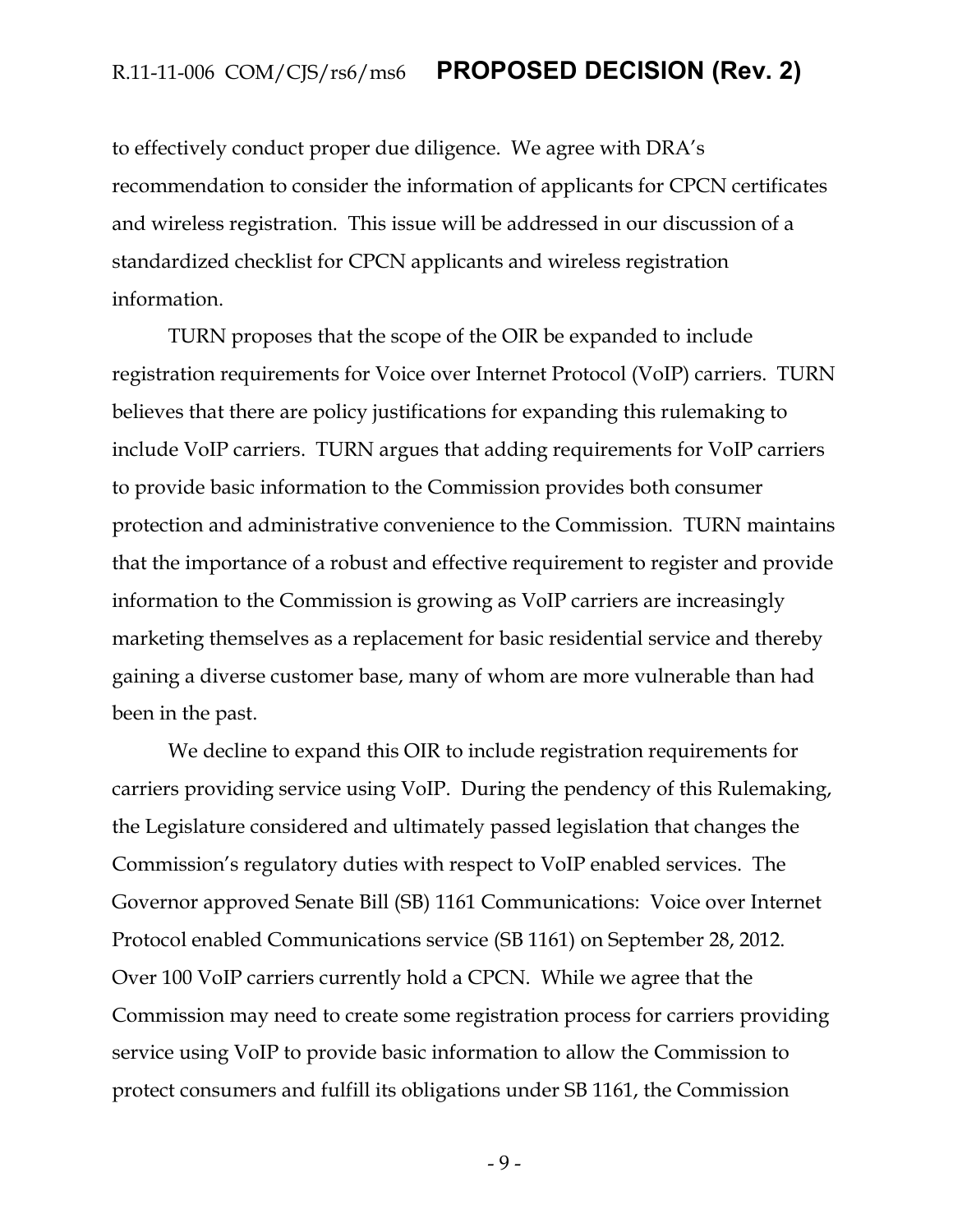to effectively conduct proper due diligence. We agree with DRA's recommendation to consider the information of applicants for CPCN certificates and wireless registration. This issue will be addressed in our discussion of a standardized checklist for CPCN applicants and wireless registration information.

TURN proposes that the scope of the OIR be expanded to include registration requirements for Voice over Internet Protocol (VoIP) carriers. TURN believes that there are policy justifications for expanding this rulemaking to include VoIP carriers. TURN argues that adding requirements for VoIP carriers to provide basic information to the Commission provides both consumer protection and administrative convenience to the Commission. TURN maintains that the importance of a robust and effective requirement to register and provide information to the Commission is growing as VoIP carriers are increasingly marketing themselves as a replacement for basic residential service and thereby gaining a diverse customer base, many of whom are more vulnerable than had been in the past.

We decline to expand this OIR to include registration requirements for carriers providing service using VoIP. During the pendency of this Rulemaking, the Legislature considered and ultimately passed legislation that changes the Commission's regulatory duties with respect to VoIP enabled services. The Governor approved Senate Bill (SB) 1161 Communications: Voice over Internet Protocol enabled Communications service (SB 1161) on September 28, 2012. Over 100 VoIP carriers currently hold a CPCN. While we agree that the Commission may need to create some registration process for carriers providing service using VoIP to provide basic information to allow the Commission to protect consumers and fulfill its obligations under SB 1161, the Commission

- 9 -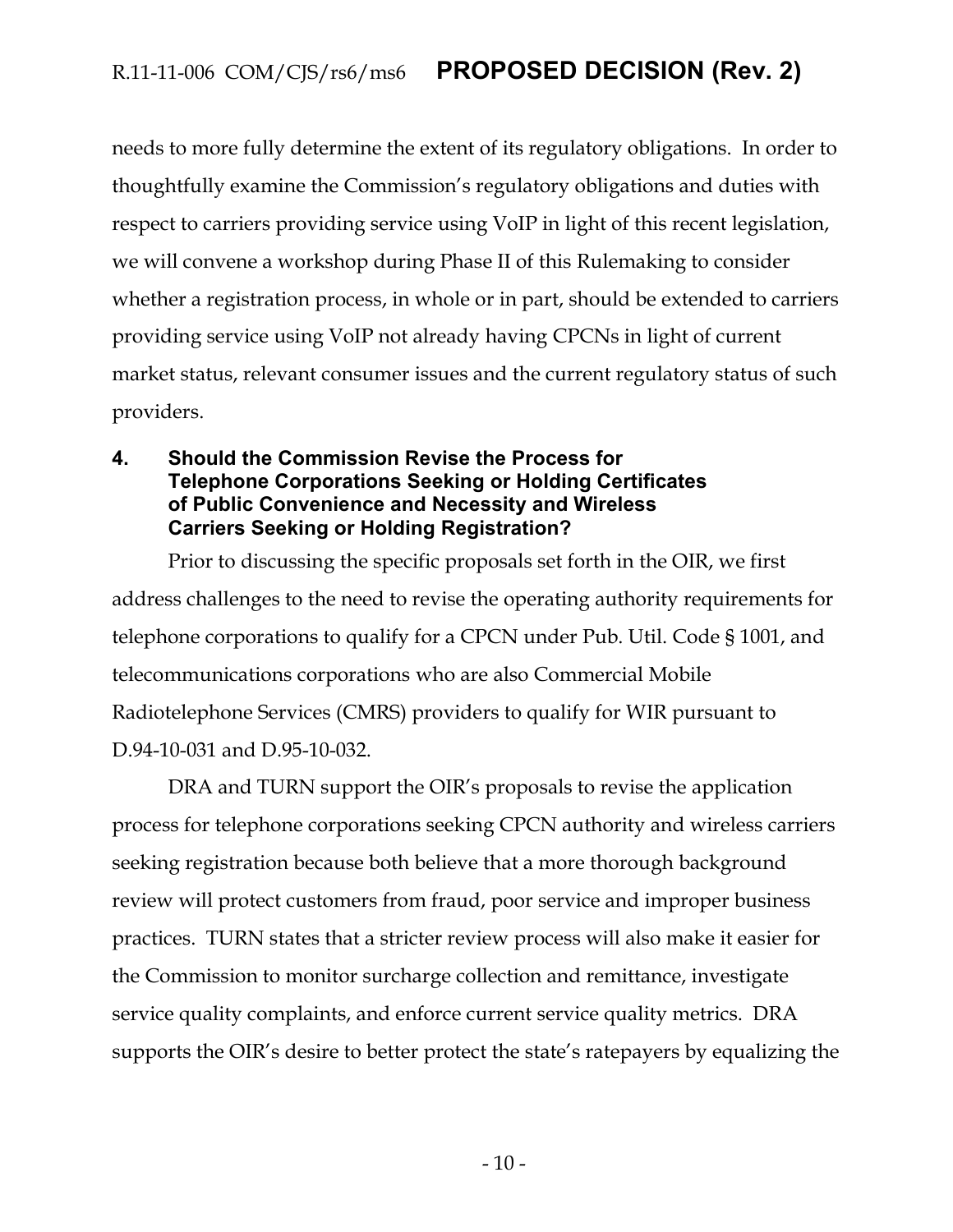needs to more fully determine the extent of its regulatory obligations. In order to thoughtfully examine the Commission's regulatory obligations and duties with respect to carriers providing service using VoIP in light of this recent legislation, we will convene a workshop during Phase II of this Rulemaking to consider whether a registration process, in whole or in part, should be extended to carriers providing service using VoIP not already having CPCNs in light of current market status, relevant consumer issues and the current regulatory status of such providers.

#### <span id="page-10-0"></span>**4. Should the Commission Revise the Process for Telephone Corporations Seeking or Holding Certificates of Public Convenience and Necessity and Wireless Carriers Seeking or Holding Registration?**

Prior to discussing the specific proposals set forth in the OIR, we first address challenges to the need to revise the operating authority requirements for telephone corporations to qualify for a CPCN under Pub. Util. Code § 1001, and telecommunications corporations who are also Commercial Mobile Radiotelephone Services (CMRS) providers to qualify for WIR pursuant to D.94-10-031 and D.95-10-032.

DRA and TURN support the OIR's proposals to revise the application process for telephone corporations seeking CPCN authority and wireless carriers seeking registration because both believe that a more thorough background review will protect customers from fraud, poor service and improper business practices. TURN states that a stricter review process will also make it easier for the Commission to monitor surcharge collection and remittance, investigate service quality complaints, and enforce current service quality metrics. DRA supports the OIR's desire to better protect the state's ratepayers by equalizing the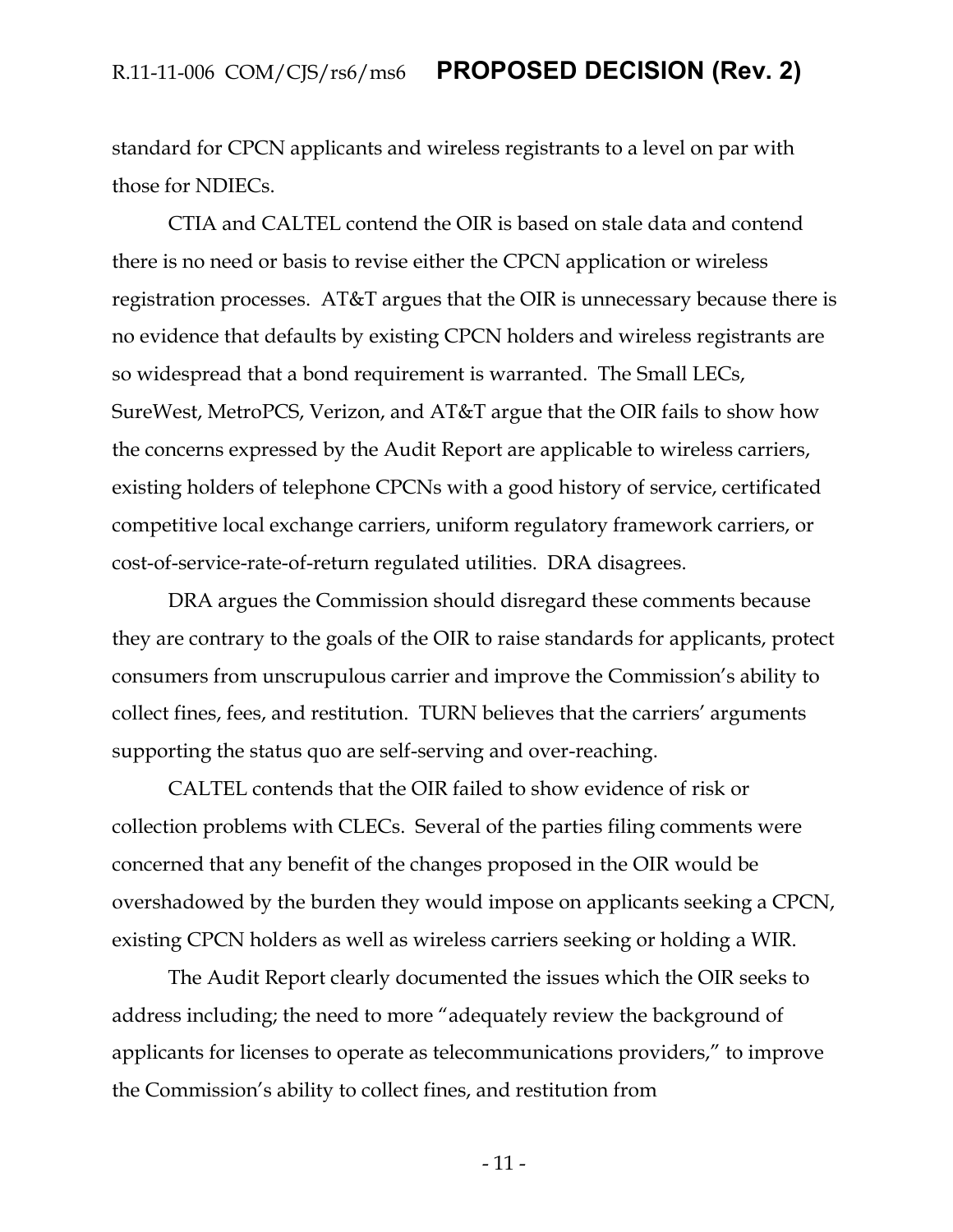standard for CPCN applicants and wireless registrants to a level on par with those for NDIECs.

CTIA and CALTEL contend the OIR is based on stale data and contend there is no need or basis to revise either the CPCN application or wireless registration processes. AT&T argues that the OIR is unnecessary because there is no evidence that defaults by existing CPCN holders and wireless registrants are so widespread that a bond requirement is warranted. The Small LECs, SureWest, MetroPCS, Verizon, and AT&T argue that the OIR fails to show how the concerns expressed by the Audit Report are applicable to wireless carriers, existing holders of telephone CPCNs with a good history of service, certificated competitive local exchange carriers, uniform regulatory framework carriers, or cost-of-service-rate-of-return regulated utilities. DRA disagrees.

DRA argues the Commission should disregard these comments because they are contrary to the goals of the OIR to raise standards for applicants, protect consumers from unscrupulous carrier and improve the Commission's ability to collect fines, fees, and restitution. TURN believes that the carriers' arguments supporting the status quo are self-serving and over-reaching.

CALTEL contends that the OIR failed to show evidence of risk or collection problems with CLECs. Several of the parties filing comments were concerned that any benefit of the changes proposed in the OIR would be overshadowed by the burden they would impose on applicants seeking a CPCN, existing CPCN holders as well as wireless carriers seeking or holding a WIR.

The Audit Report clearly documented the issues which the OIR seeks to address including; the need to more "adequately review the background of applicants for licenses to operate as telecommunications providers," to improve the Commission's ability to collect fines, and restitution from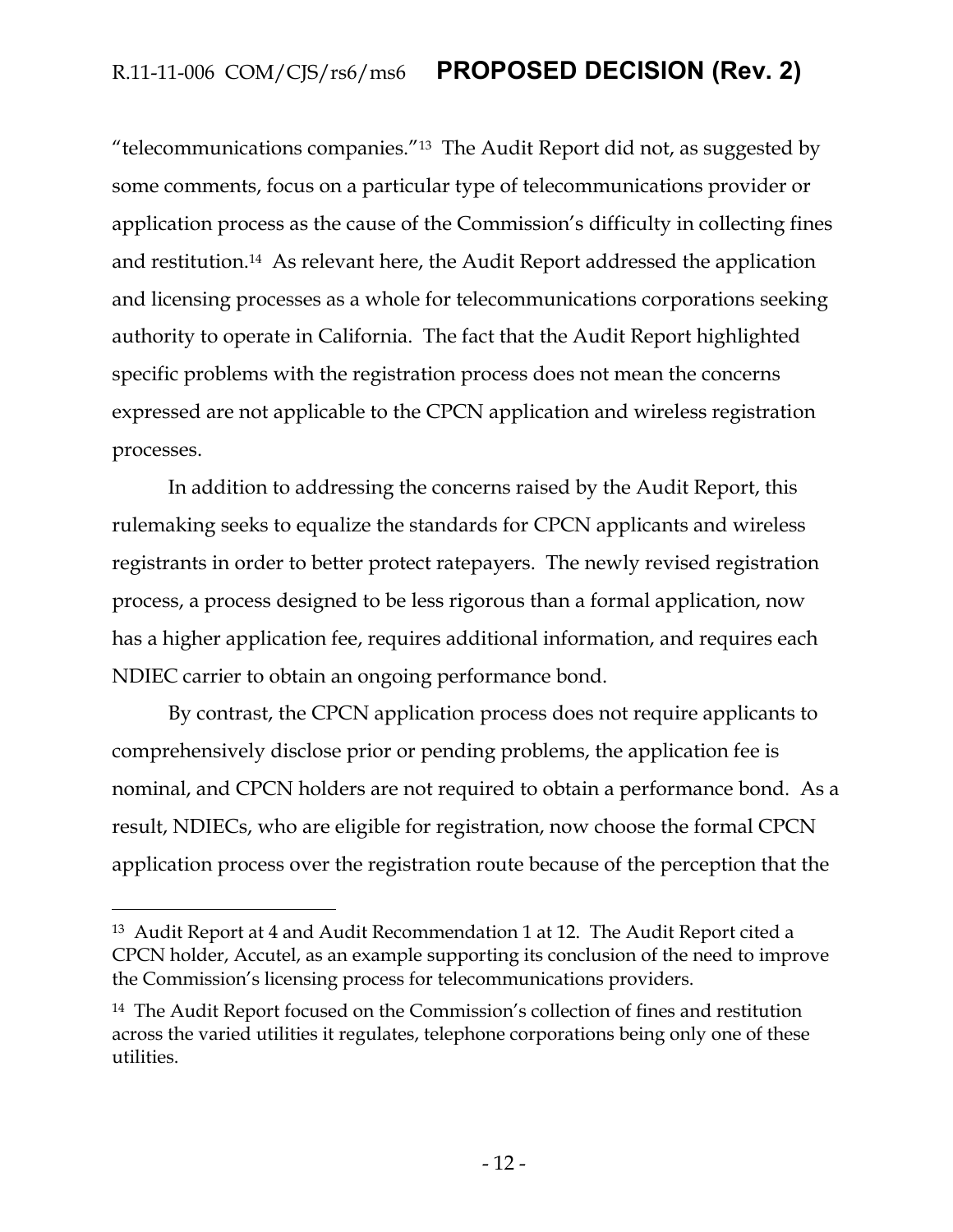"telecommunications companies."13 The Audit Report did not, as suggested by some comments, focus on a particular type of telecommunications provider or application process as the cause of the Commission's difficulty in collecting fines and restitution.14 As relevant here, the Audit Report addressed the application and licensing processes as a whole for telecommunications corporations seeking authority to operate in California. The fact that the Audit Report highlighted specific problems with the registration process does not mean the concerns expressed are not applicable to the CPCN application and wireless registration processes.

In addition to addressing the concerns raised by the Audit Report, this rulemaking seeks to equalize the standards for CPCN applicants and wireless registrants in order to better protect ratepayers. The newly revised registration process, a process designed to be less rigorous than a formal application, now has a higher application fee, requires additional information, and requires each NDIEC carrier to obtain an ongoing performance bond.

By contrast, the CPCN application process does not require applicants to comprehensively disclose prior or pending problems, the application fee is nominal, and CPCN holders are not required to obtain a performance bond. As a result, NDIECs, who are eligible for registration, now choose the formal CPCN application process over the registration route because of the perception that the

<sup>13</sup> Audit Report at 4 and Audit Recommendation 1 at 12. The Audit Report cited a CPCN holder, Accutel, as an example supporting its conclusion of the need to improve the Commission's licensing process for telecommunications providers.

<sup>14</sup> The Audit Report focused on the Commission's collection of fines and restitution across the varied utilities it regulates, telephone corporations being only one of these utilities.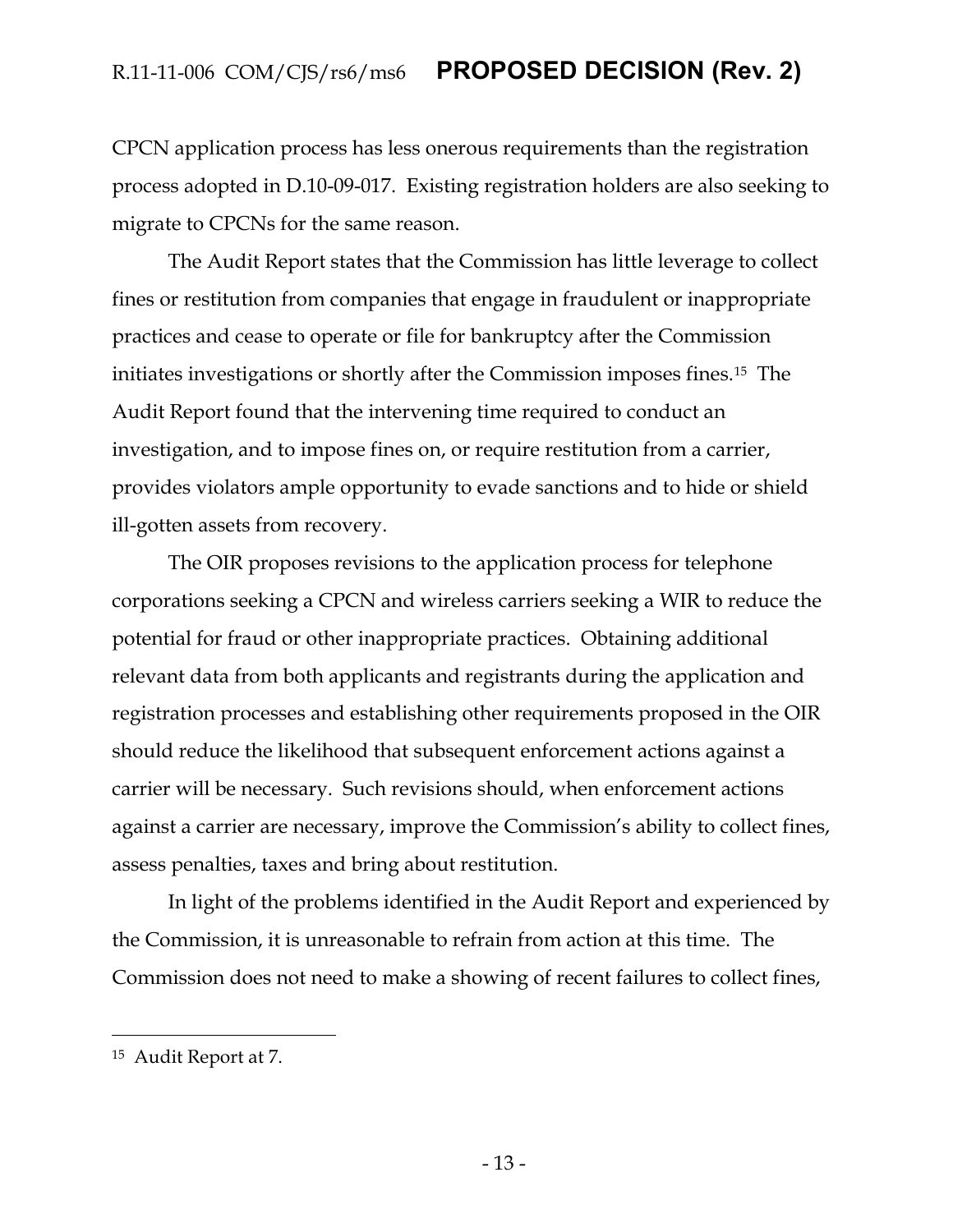CPCN application process has less onerous requirements than the registration process adopted in D.10-09-017. Existing registration holders are also seeking to migrate to CPCNs for the same reason.

The Audit Report states that the Commission has little leverage to collect fines or restitution from companies that engage in fraudulent or inappropriate practices and cease to operate or file for bankruptcy after the Commission initiates investigations or shortly after the Commission imposes fines.15 The Audit Report found that the intervening time required to conduct an investigation, and to impose fines on, or require restitution from a carrier, provides violators ample opportunity to evade sanctions and to hide or shield ill-gotten assets from recovery.

The OIR proposes revisions to the application process for telephone corporations seeking a CPCN and wireless carriers seeking a WIR to reduce the potential for fraud or other inappropriate practices. Obtaining additional relevant data from both applicants and registrants during the application and registration processes and establishing other requirements proposed in the OIR should reduce the likelihood that subsequent enforcement actions against a carrier will be necessary. Such revisions should, when enforcement actions against a carrier are necessary, improve the Commission's ability to collect fines, assess penalties, taxes and bring about restitution.

In light of the problems identified in the Audit Report and experienced by the Commission, it is unreasonable to refrain from action at this time. The Commission does not need to make a showing of recent failures to collect fines,

<sup>15</sup> Audit Report at 7.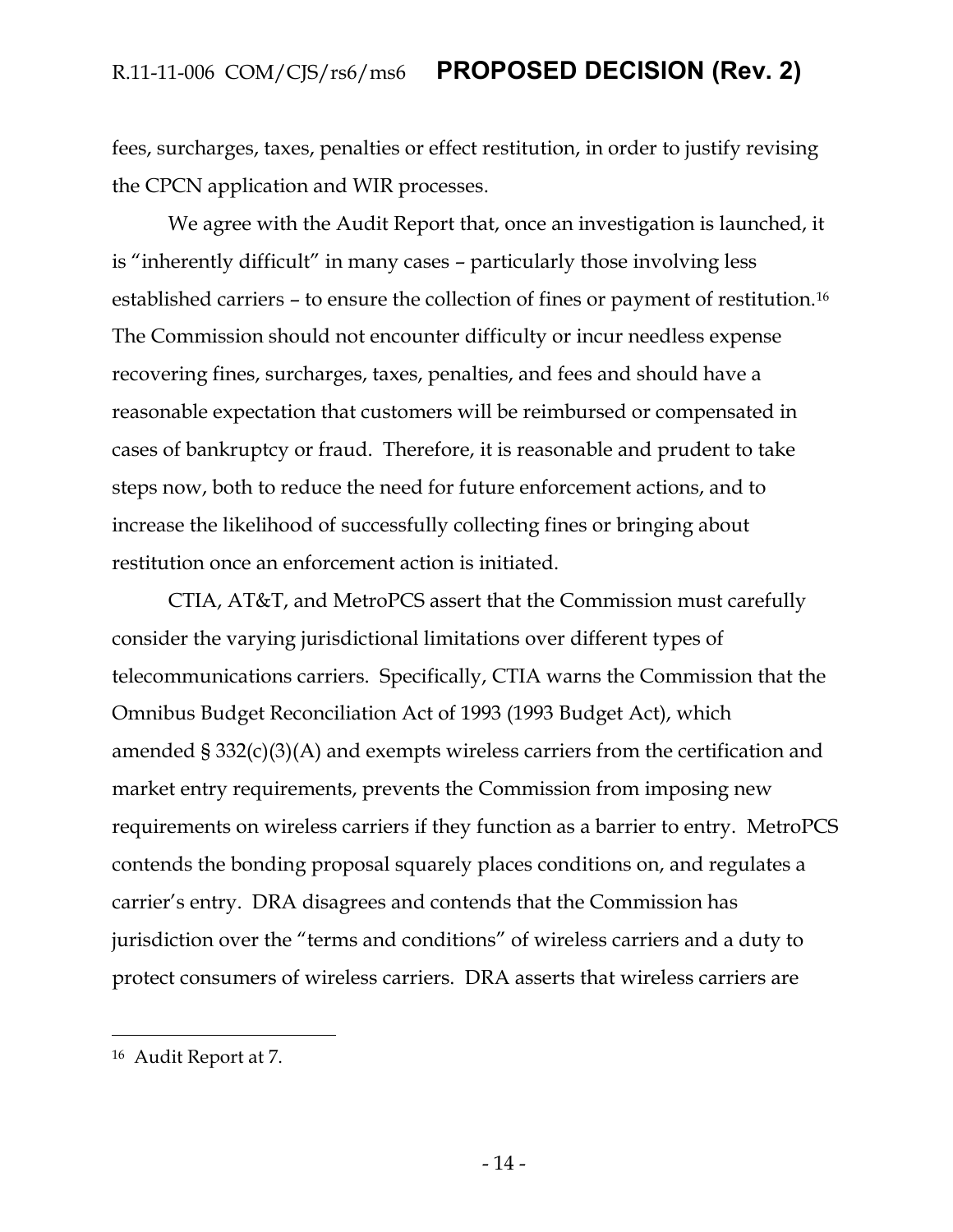fees, surcharges, taxes, penalties or effect restitution, in order to justify revising the CPCN application and WIR processes.

We agree with the Audit Report that, once an investigation is launched, it is "inherently difficult" in many cases – particularly those involving less established carriers – to ensure the collection of fines or payment of restitution.<sup>16</sup> The Commission should not encounter difficulty or incur needless expense recovering fines, surcharges, taxes, penalties, and fees and should have a reasonable expectation that customers will be reimbursed or compensated in cases of bankruptcy or fraud. Therefore, it is reasonable and prudent to take steps now, both to reduce the need for future enforcement actions, and to increase the likelihood of successfully collecting fines or bringing about restitution once an enforcement action is initiated.

CTIA, AT&T, and MetroPCS assert that the Commission must carefully consider the varying jurisdictional limitations over different types of telecommunications carriers. Specifically, CTIA warns the Commission that the Omnibus Budget Reconciliation Act of 1993 (1993 Budget Act), which amended § 332(c)(3)(A) and exempts wireless carriers from the certification and market entry requirements, prevents the Commission from imposing new requirements on wireless carriers if they function as a barrier to entry. MetroPCS contends the bonding proposal squarely places conditions on, and regulates a carrier's entry. DRA disagrees and contends that the Commission has jurisdiction over the "terms and conditions" of wireless carriers and a duty to protect consumers of wireless carriers. DRA asserts that wireless carriers are

<sup>16</sup> Audit Report at 7.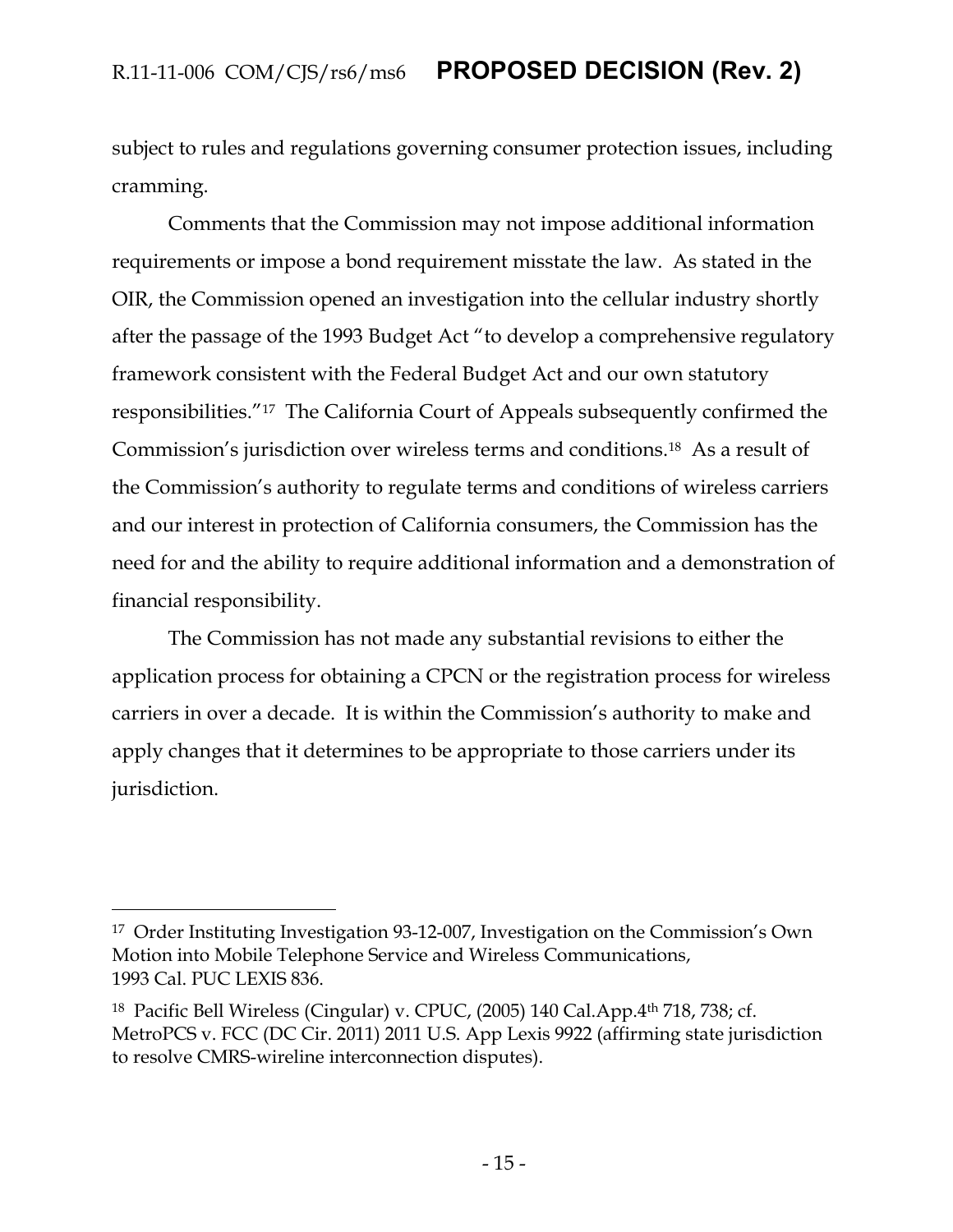subject to rules and regulations governing consumer protection issues, including cramming.

Comments that the Commission may not impose additional information requirements or impose a bond requirement misstate the law. As stated in the OIR, the Commission opened an investigation into the cellular industry shortly after the passage of the 1993 Budget Act "to develop a comprehensive regulatory framework consistent with the Federal Budget Act and our own statutory responsibilities."17 The California Court of Appeals subsequently confirmed the Commission's jurisdiction over wireless terms and conditions.18 As a result of the Commission's authority to regulate terms and conditions of wireless carriers and our interest in protection of California consumers, the Commission has the need for and the ability to require additional information and a demonstration of financial responsibility.

The Commission has not made any substantial revisions to either the application process for obtaining a CPCN or the registration process for wireless carriers in over a decade. It is within the Commission's authority to make and apply changes that it determines to be appropriate to those carriers under its jurisdiction.

<sup>17</sup> Order Instituting Investigation 93-12-007, Investigation on the Commission's Own Motion into Mobile Telephone Service and Wireless Communications, 1993 Cal. PUC LEXIS 836.

<sup>18</sup> Pacific Bell Wireless (Cingular) v. CPUC, (2005) 140 Cal.App.4th 718, 738; cf. MetroPCS v. FCC (DC Cir. 2011) 2011 U.S. App Lexis 9922 (affirming state jurisdiction to resolve CMRS-wireline interconnection disputes).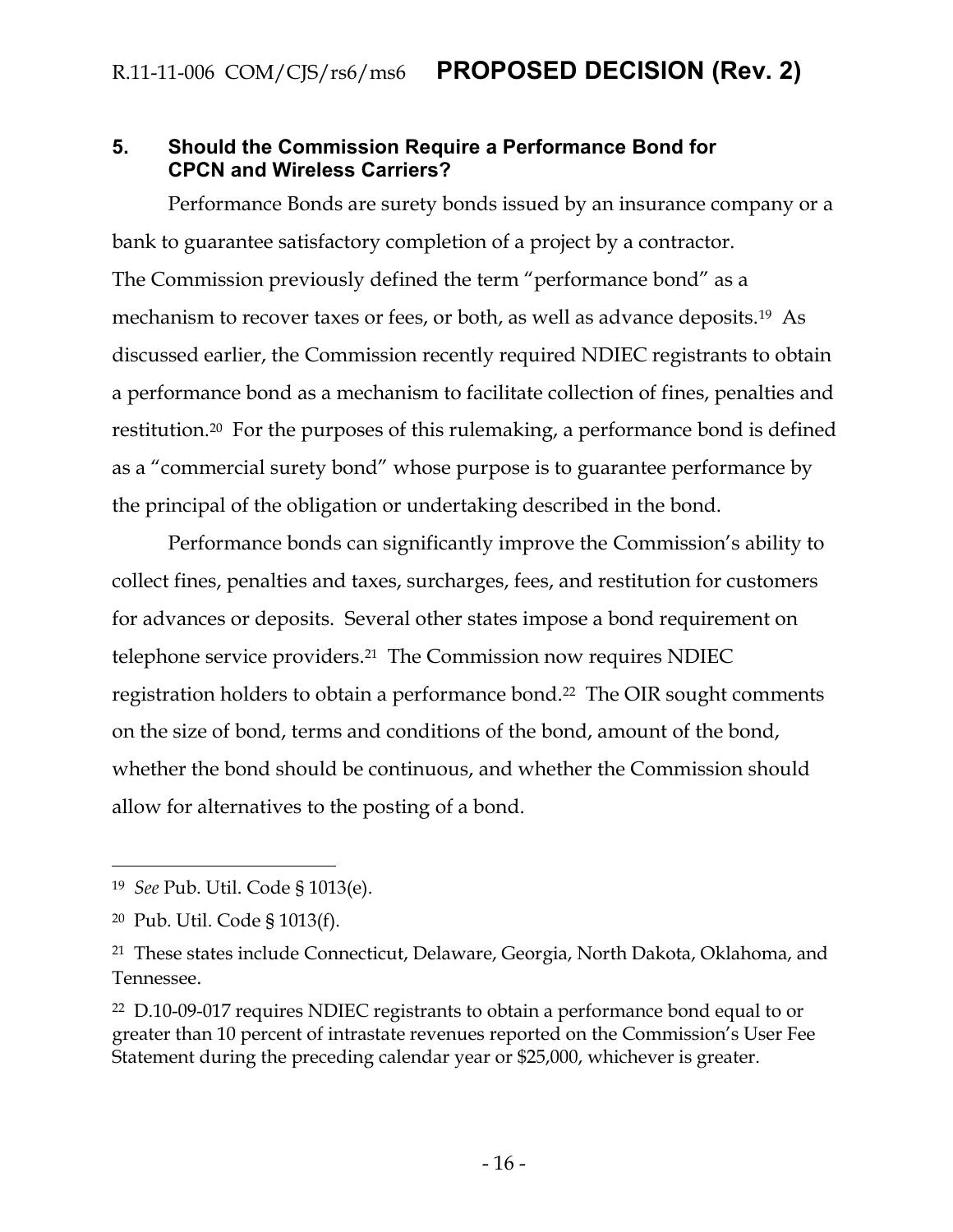#### <span id="page-16-0"></span>**5. Should the Commission Require a Performance Bond for CPCN and Wireless Carriers?**

Performance Bonds are surety bonds issued by an insurance company or a bank to guarantee satisfactory completion of a project by a contractor. The Commission previously defined the term "performance bond" as a mechanism to recover taxes or fees, or both, as well as advance deposits.<sup>19</sup> As discussed earlier, the Commission recently required NDIEC registrants to obtain a performance bond as a mechanism to facilitate collection of fines, penalties and restitution.20 For the purposes of this rulemaking, a performance bond is defined as a "commercial surety bond" whose purpose is to guarantee performance by the principal of the obligation or undertaking described in the bond.

Performance bonds can significantly improve the Commission's ability to collect fines, penalties and taxes, surcharges, fees, and restitution for customers for advances or deposits. Several other states impose a bond requirement on telephone service providers.<sup>21</sup> The Commission now requires NDIEC registration holders to obtain a performance bond.<sup>22</sup> The OIR sought comments on the size of bond, terms and conditions of the bond, amount of the bond, whether the bond should be continuous, and whether the Commission should allow for alternatives to the posting of a bond.

<sup>19</sup> *See* Pub. Util. Code § 1013(e).

<sup>20</sup> Pub. Util. Code § 1013(f).

<sup>21</sup> These states include Connecticut, Delaware, Georgia, North Dakota, Oklahoma, and Tennessee.

<sup>22</sup> D.10-09-017 requires NDIEC registrants to obtain a performance bond equal to or greater than 10 percent of intrastate revenues reported on the Commission's User Fee Statement during the preceding calendar year or \$25,000, whichever is greater.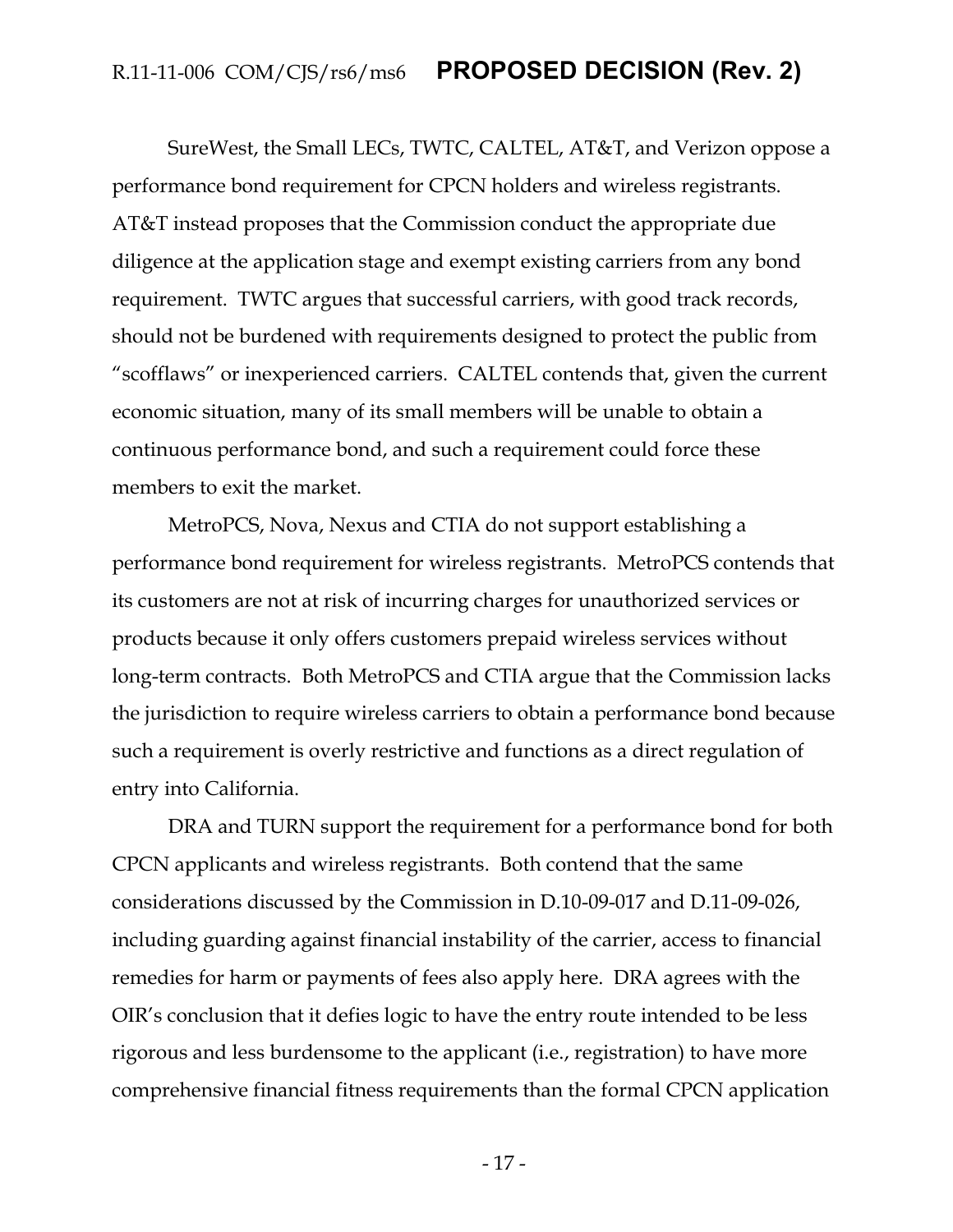SureWest, the Small LECs, TWTC, CALTEL, AT&T, and Verizon oppose a performance bond requirement for CPCN holders and wireless registrants. AT&T instead proposes that the Commission conduct the appropriate due diligence at the application stage and exempt existing carriers from any bond requirement. TWTC argues that successful carriers, with good track records, should not be burdened with requirements designed to protect the public from "scofflaws" or inexperienced carriers. CALTEL contends that, given the current economic situation, many of its small members will be unable to obtain a continuous performance bond, and such a requirement could force these members to exit the market.

MetroPCS, Nova, Nexus and CTIA do not support establishing a performance bond requirement for wireless registrants. MetroPCS contends that its customers are not at risk of incurring charges for unauthorized services or products because it only offers customers prepaid wireless services without long-term contracts. Both MetroPCS and CTIA argue that the Commission lacks the jurisdiction to require wireless carriers to obtain a performance bond because such a requirement is overly restrictive and functions as a direct regulation of entry into California.

DRA and TURN support the requirement for a performance bond for both CPCN applicants and wireless registrants. Both contend that the same considerations discussed by the Commission in D.10-09-017 and D.11-09-026, including guarding against financial instability of the carrier, access to financial remedies for harm or payments of fees also apply here. DRA agrees with the OIR's conclusion that it defies logic to have the entry route intended to be less rigorous and less burdensome to the applicant (i.e., registration) to have more comprehensive financial fitness requirements than the formal CPCN application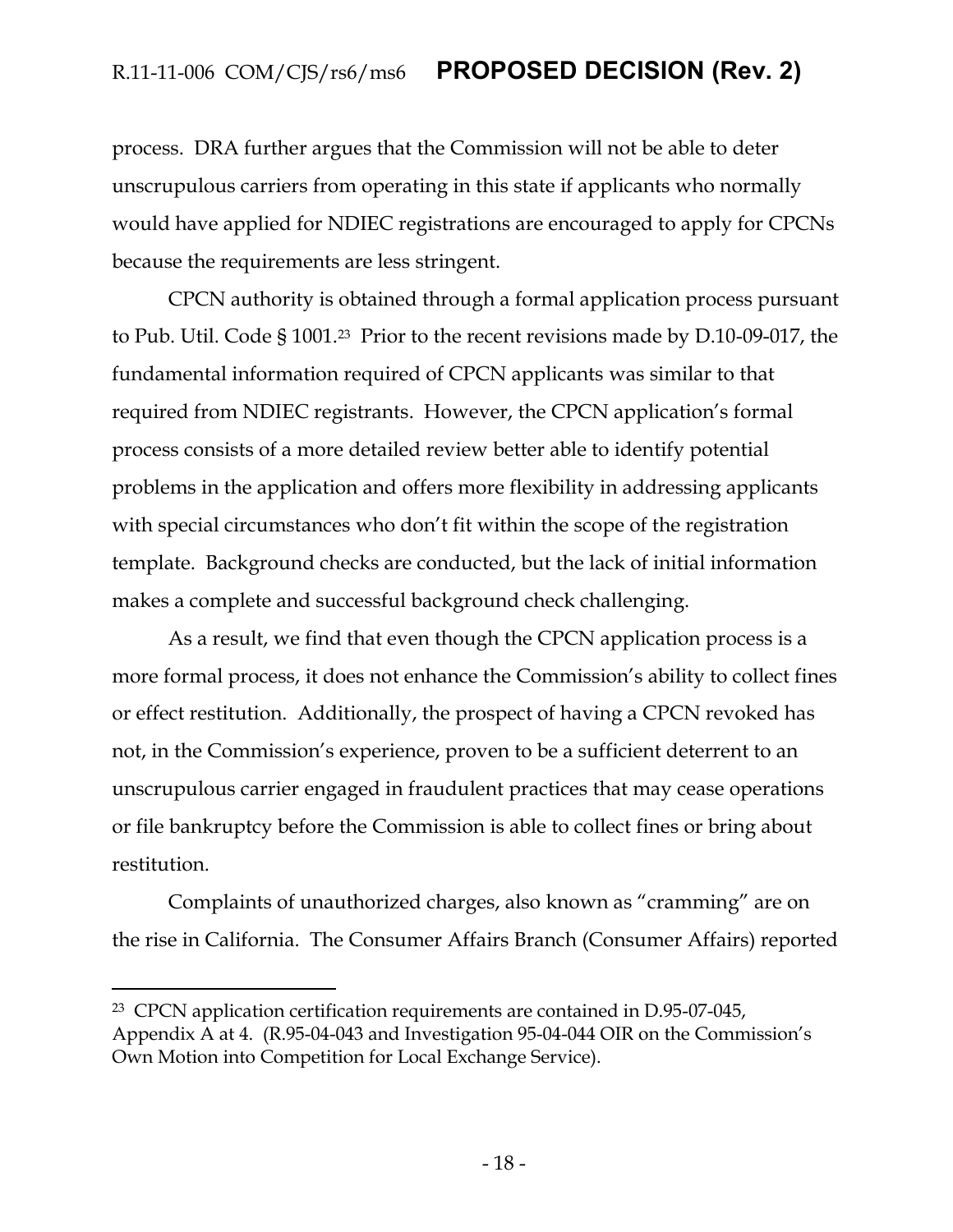process. DRA further argues that the Commission will not be able to deter unscrupulous carriers from operating in this state if applicants who normally would have applied for NDIEC registrations are encouraged to apply for CPCNs because the requirements are less stringent.

CPCN authority is obtained through a formal application process pursuant to Pub. Util. Code § 1001.23 Prior to the recent revisions made by D.10-09-017, the fundamental information required of CPCN applicants was similar to that required from NDIEC registrants. However, the CPCN application's formal process consists of a more detailed review better able to identify potential problems in the application and offers more flexibility in addressing applicants with special circumstances who don't fit within the scope of the registration template. Background checks are conducted, but the lack of initial information makes a complete and successful background check challenging.

As a result, we find that even though the CPCN application process is a more formal process, it does not enhance the Commission's ability to collect fines or effect restitution. Additionally, the prospect of having a CPCN revoked has not, in the Commission's experience, proven to be a sufficient deterrent to an unscrupulous carrier engaged in fraudulent practices that may cease operations or file bankruptcy before the Commission is able to collect fines or bring about restitution.

Complaints of unauthorized charges, also known as "cramming" are on the rise in California. The Consumer Affairs Branch (Consumer Affairs) reported

<sup>23</sup> CPCN application certification requirements are contained in D.95-07-045, Appendix A at 4. (R.95-04-043 and Investigation 95-04-044 OIR on the Commission's Own Motion into Competition for Local Exchange Service).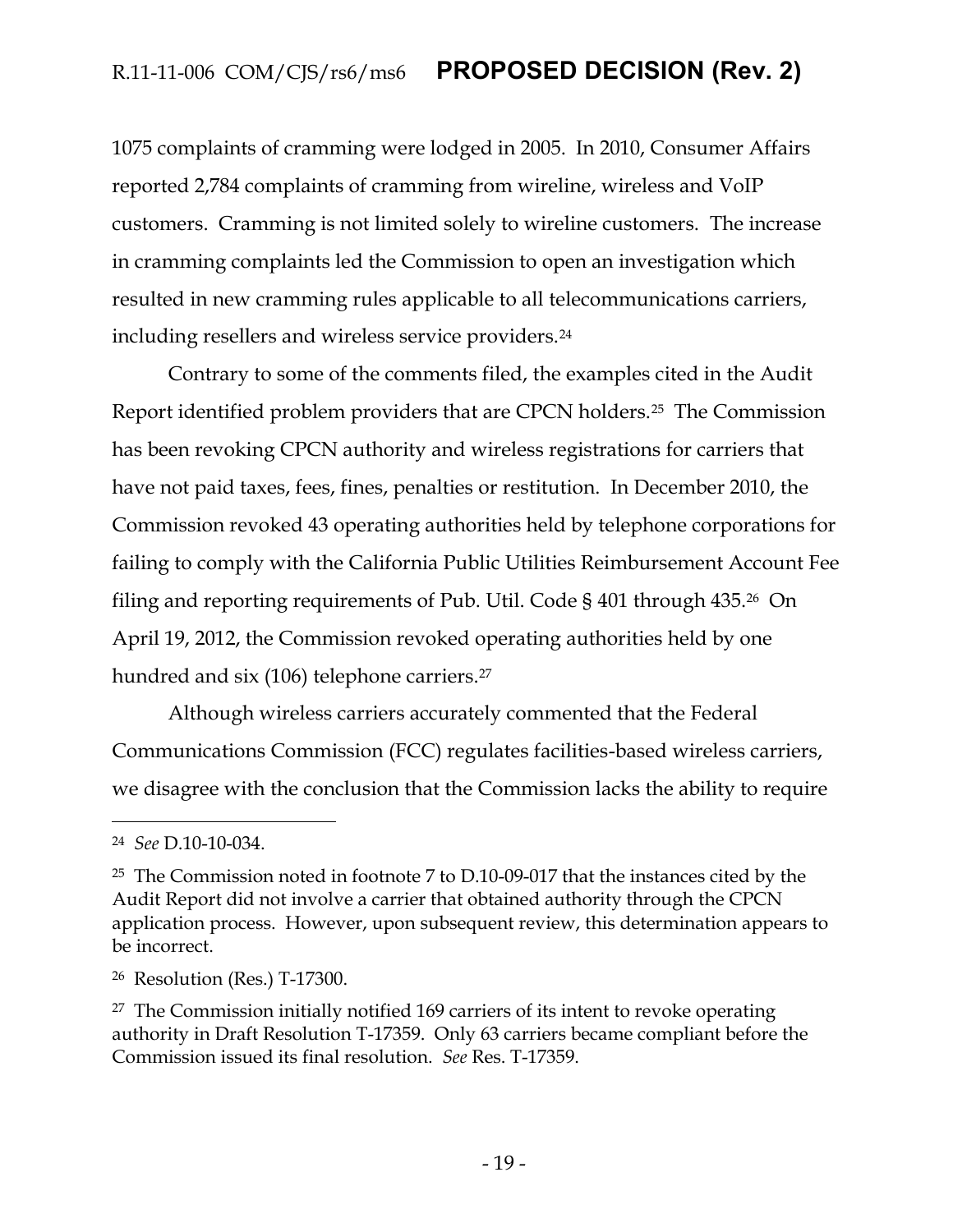1075 complaints of cramming were lodged in 2005. In 2010, Consumer Affairs reported 2,784 complaints of cramming from wireline, wireless and VoIP customers. Cramming is not limited solely to wireline customers. The increase in cramming complaints led the Commission to open an investigation which resulted in new cramming rules applicable to all telecommunications carriers, including resellers and wireless service providers.<sup>24</sup>

Contrary to some of the comments filed, the examples cited in the Audit Report identified problem providers that are CPCN holders.25 The Commission has been revoking CPCN authority and wireless registrations for carriers that have not paid taxes, fees, fines, penalties or restitution. In December 2010, the Commission revoked 43 operating authorities held by telephone corporations for failing to comply with the California Public Utilities Reimbursement Account Fee filing and reporting requirements of Pub. Util. Code § 401 through 435.26 On April 19, 2012, the Commission revoked operating authorities held by one hundred and six (106) telephone carriers.<sup>27</sup>

Although wireless carriers accurately commented that the Federal Communications Commission (FCC) regulates facilities-based wireless carriers, we disagree with the conclusion that the Commission lacks the ability to require

<sup>24</sup> *See* D.10-10-034.

<sup>25</sup> The Commission noted in footnote 7 to D.10-09-017 that the instances cited by the Audit Report did not involve a carrier that obtained authority through the CPCN application process. However, upon subsequent review, this determination appears to be incorrect.

<sup>26</sup> Resolution (Res.) T-17300.

<sup>27</sup> The Commission initially notified 169 carriers of its intent to revoke operating authority in Draft Resolution T-17359. Only 63 carriers became compliant before the Commission issued its final resolution. *See* Res. T-17359.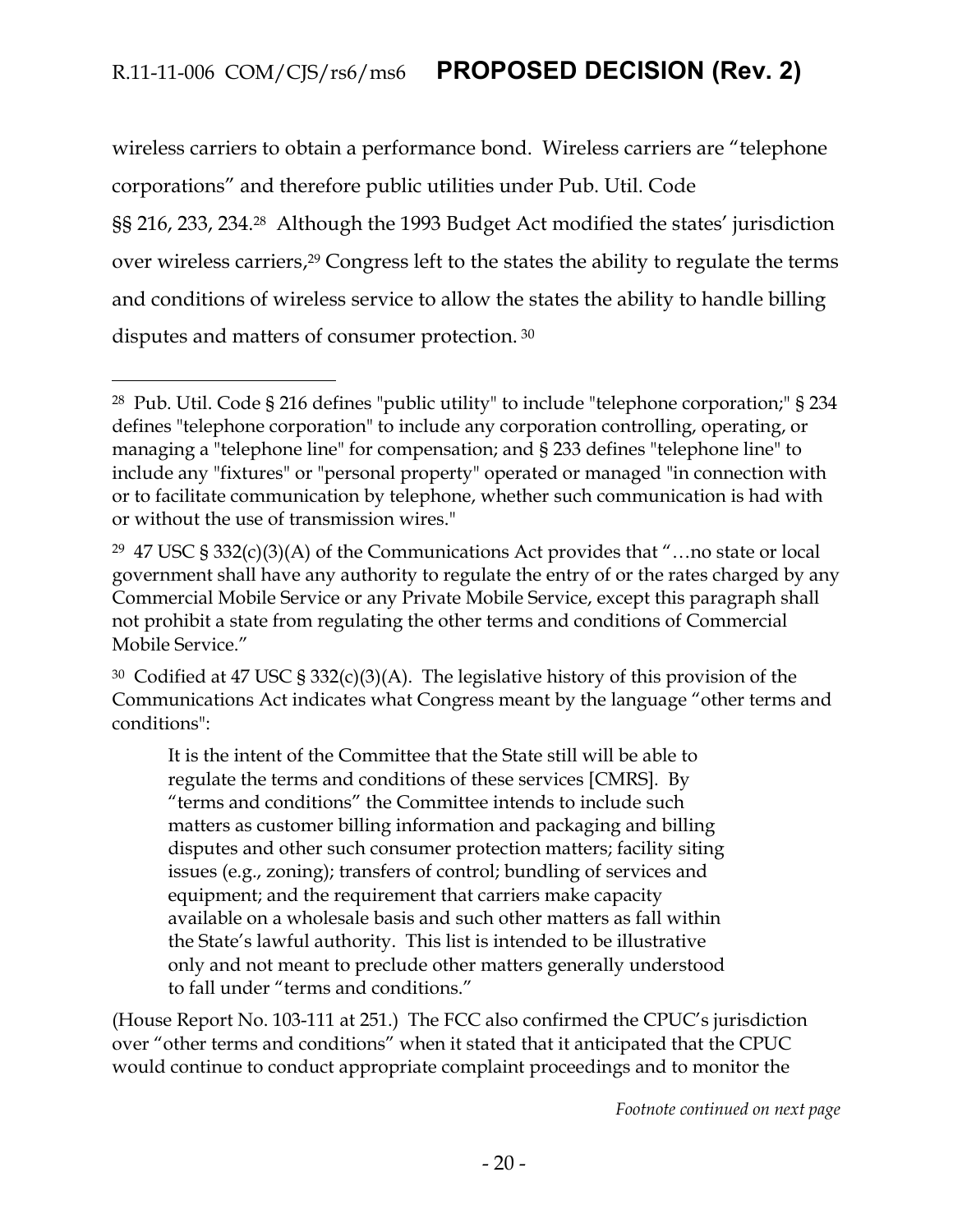wireless carriers to obtain a performance bond. Wireless carriers are "telephone corporations" and therefore public utilities under Pub. Util. Code §§ 216, 233, 234.<sup>28</sup> Although the 1993 Budget Act modified the states' jurisdiction over wireless carriers, <sup>29</sup> Congress left to the states the ability to regulate the terms and conditions of wireless service to allow the states the ability to handle billing disputes and matters of consumer protection. <sup>30</sup>

 $\overline{a}$ 

It is the intent of the Committee that the State still will be able to regulate the terms and conditions of these services [CMRS]. By "terms and conditions" the Committee intends to include such matters as customer billing information and packaging and billing disputes and other such consumer protection matters; facility siting issues (e.g., zoning); transfers of control; bundling of services and equipment; and the requirement that carriers make capacity available on a wholesale basis and such other matters as fall within the State's lawful authority. This list is intended to be illustrative only and not meant to preclude other matters generally understood to fall under "terms and conditions."

(House Report No. 103-111 at 251.) The FCC also confirmed the CPUC's jurisdiction over "other terms and conditions" when it stated that it anticipated that the CPUC would continue to conduct appropriate complaint proceedings and to monitor the

*Footnote continued on next page*

<sup>28</sup> Pub. Util. Code § 216 defines "public utility" to include "telephone corporation;" § 234 defines "telephone corporation" to include any corporation controlling, operating, or managing a "telephone line" for compensation; and § 233 defines "telephone line" to include any "fixtures" or "personal property" operated or managed "in connection with or to facilitate communication by telephone, whether such communication is had with or without the use of transmission wires."

<sup>&</sup>lt;sup>29</sup> 47 USC § 332(c)(3)(A) of the Communications Act provides that "...no state or local government shall have any authority to regulate the entry of or the rates charged by any Commercial Mobile Service or any Private Mobile Service, except this paragraph shall not prohibit a state from regulating the other terms and conditions of Commercial Mobile Service."

<sup>30</sup> Codified at 47 USC § 332(c)(3)(A). The legislative history of this provision of the Communications Act indicates what Congress meant by the language "other terms and conditions":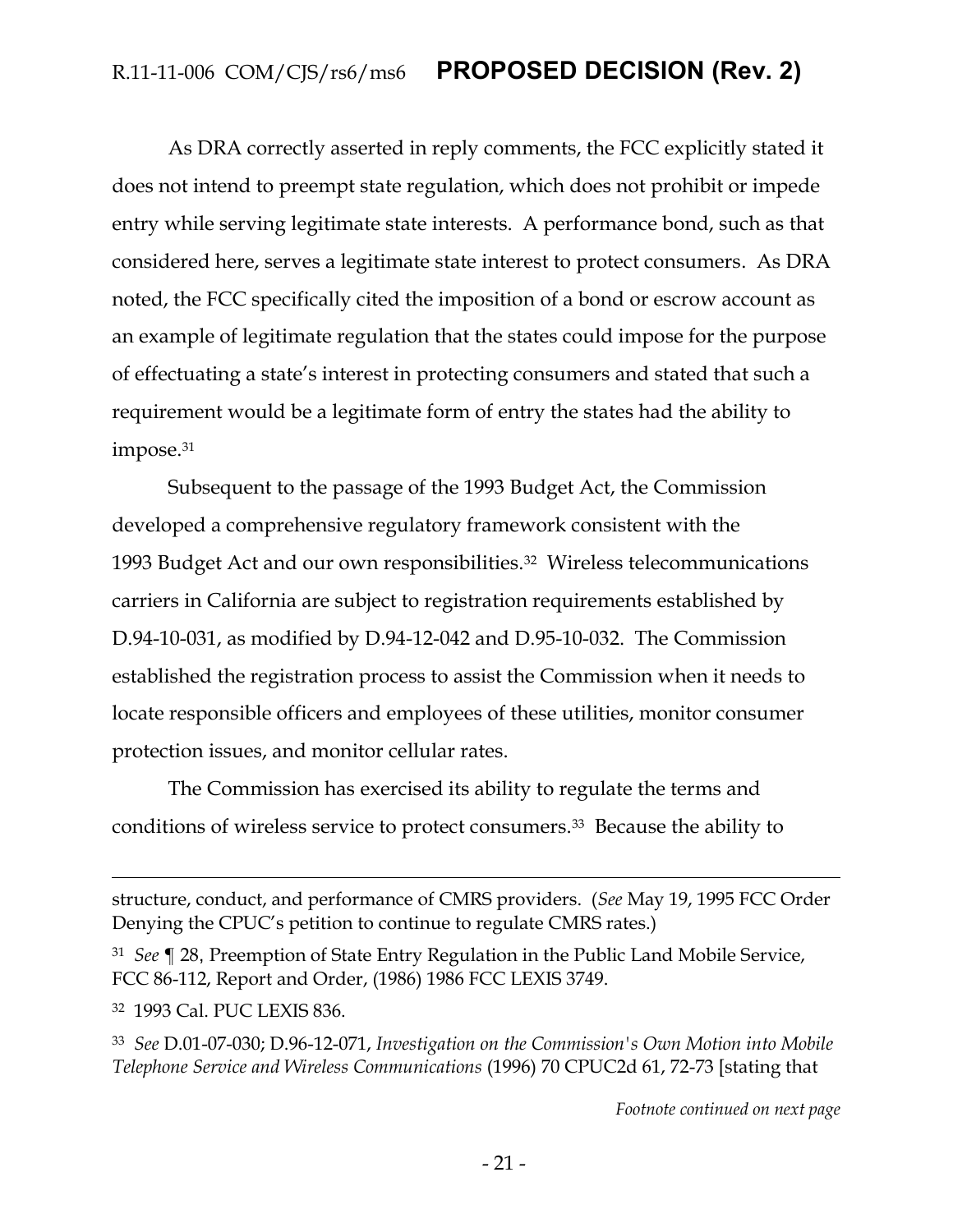As DRA correctly asserted in reply comments, the FCC explicitly stated it does not intend to preempt state regulation, which does not prohibit or impede entry while serving legitimate state interests. A performance bond, such as that considered here, serves a legitimate state interest to protect consumers. As DRA noted, the FCC specifically cited the imposition of a bond or escrow account as an example of legitimate regulation that the states could impose for the purpose of effectuating a state's interest in protecting consumers and stated that such a requirement would be a legitimate form of entry the states had the ability to impose.<sup>31</sup>

Subsequent to the passage of the 1993 Budget Act, the Commission developed a comprehensive regulatory framework consistent with the 1993 Budget Act and our own responsibilities.32 Wireless telecommunications carriers in California are subject to registration requirements established by D.94-10-031, as modified by D.94-12-042 and D.95-10-032. The Commission established the registration process to assist the Commission when it needs to locate responsible officers and employees of these utilities, monitor consumer protection issues, and monitor cellular rates.

The Commission has exercised its ability to regulate the terms and conditions of wireless service to protect consumers.33 Because the ability to

structure, conduct, and performance of CMRS providers. (*See* May 19, 1995 FCC Order Denying the CPUC's petition to continue to regulate CMRS rates.)

<sup>31</sup> *See* ¶ 28, Preemption of State Entry Regulation in the Public Land Mobile Service, FCC 86-112, Report and Order, (1986) 1986 FCC LEXIS 3749.

<sup>32</sup> 1993 Cal. PUC LEXIS 836.

 $\overline{a}$ 

<sup>33</sup> *See* D.01-07-030; D.96-12-071, *Investigation on the Commission's Own Motion into Mobile Telephone Service and Wireless Communications* (1996) 70 CPUC2d 61, 72-73 [stating that

*Footnote continued on next page*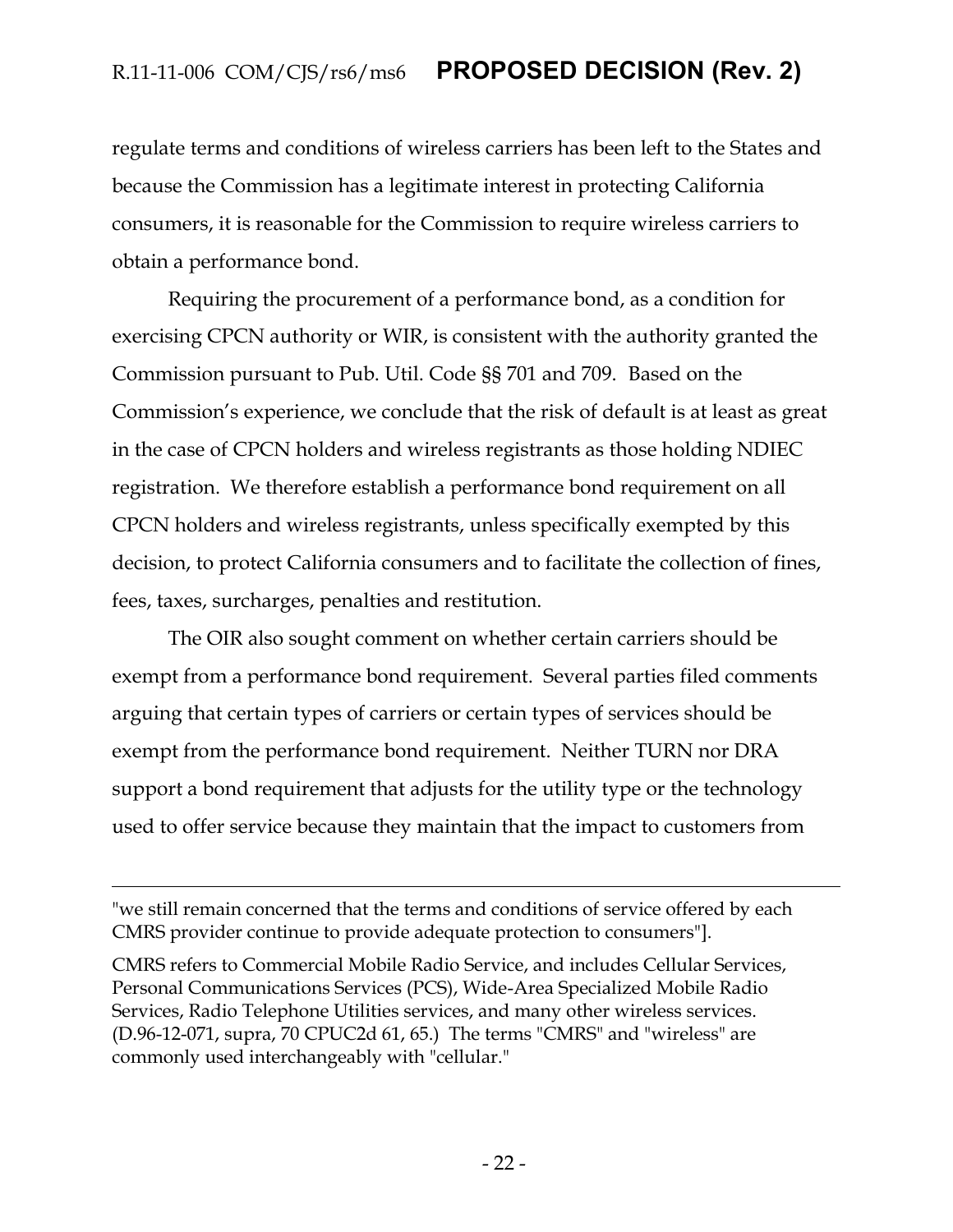regulate terms and conditions of wireless carriers has been left to the States and because the Commission has a legitimate interest in protecting California consumers, it is reasonable for the Commission to require wireless carriers to obtain a performance bond.

Requiring the procurement of a performance bond, as a condition for exercising CPCN authority or WIR, is consistent with the authority granted the Commission pursuant to Pub. Util. Code §§ 701 and 709. Based on the Commission's experience, we conclude that the risk of default is at least as great in the case of CPCN holders and wireless registrants as those holding NDIEC registration. We therefore establish a performance bond requirement on all CPCN holders and wireless registrants, unless specifically exempted by this decision, to protect California consumers and to facilitate the collection of fines, fees, taxes, surcharges, penalties and restitution.

The OIR also sought comment on whether certain carriers should be exempt from a performance bond requirement. Several parties filed comments arguing that certain types of carriers or certain types of services should be exempt from the performance bond requirement. Neither TURN nor DRA support a bond requirement that adjusts for the utility type or the technology used to offer service because they maintain that the impact to customers from

"we still remain concerned that the terms and conditions of service offered by each CMRS provider continue to provide adequate protection to consumers"].

 $\overline{a}$ 

CMRS refers to Commercial Mobile Radio Service, and includes Cellular Services, Personal Communications Services (PCS), Wide-Area Specialized Mobile Radio Services, Radio Telephone Utilities services, and many other wireless services. (D.96-12-071, supra, 70 CPUC2d 61, 65.) The terms "CMRS" and "wireless" are commonly used interchangeably with "cellular."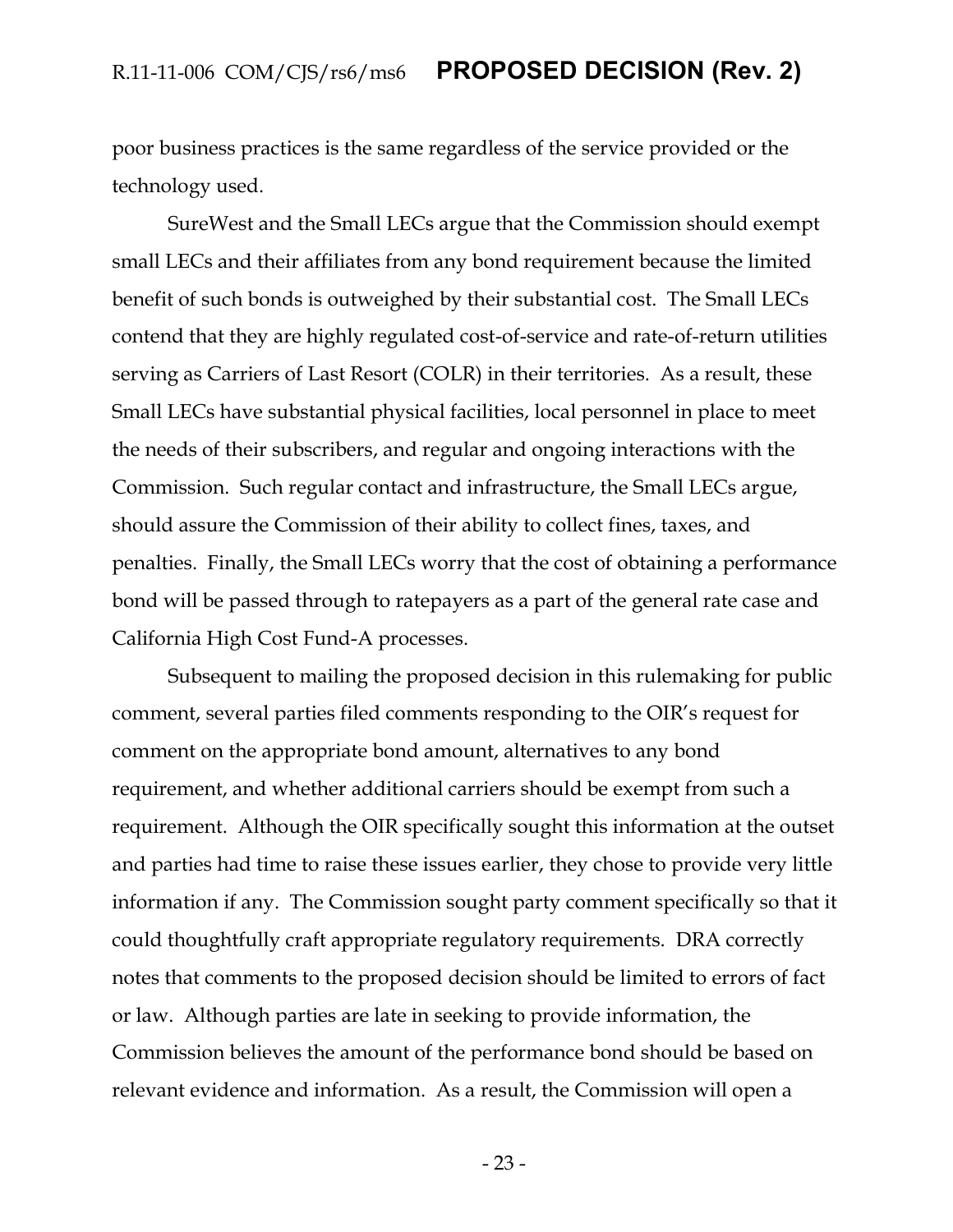poor business practices is the same regardless of the service provided or the technology used.

SureWest and the Small LECs argue that the Commission should exempt small LECs and their affiliates from any bond requirement because the limited benefit of such bonds is outweighed by their substantial cost. The Small LECs contend that they are highly regulated cost-of-service and rate-of-return utilities serving as Carriers of Last Resort (COLR) in their territories. As a result, these Small LECs have substantial physical facilities, local personnel in place to meet the needs of their subscribers, and regular and ongoing interactions with the Commission. Such regular contact and infrastructure, the Small LECs argue, should assure the Commission of their ability to collect fines, taxes, and penalties. Finally, the Small LECs worry that the cost of obtaining a performance bond will be passed through to ratepayers as a part of the general rate case and California High Cost Fund-A processes.

Subsequent to mailing the proposed decision in this rulemaking for public comment, several parties filed comments responding to the OIR's request for comment on the appropriate bond amount, alternatives to any bond requirement, and whether additional carriers should be exempt from such a requirement. Although the OIR specifically sought this information at the outset and parties had time to raise these issues earlier, they chose to provide very little information if any. The Commission sought party comment specifically so that it could thoughtfully craft appropriate regulatory requirements. DRA correctly notes that comments to the proposed decision should be limited to errors of fact or law. Although parties are late in seeking to provide information, the Commission believes the amount of the performance bond should be based on relevant evidence and information. As a result, the Commission will open a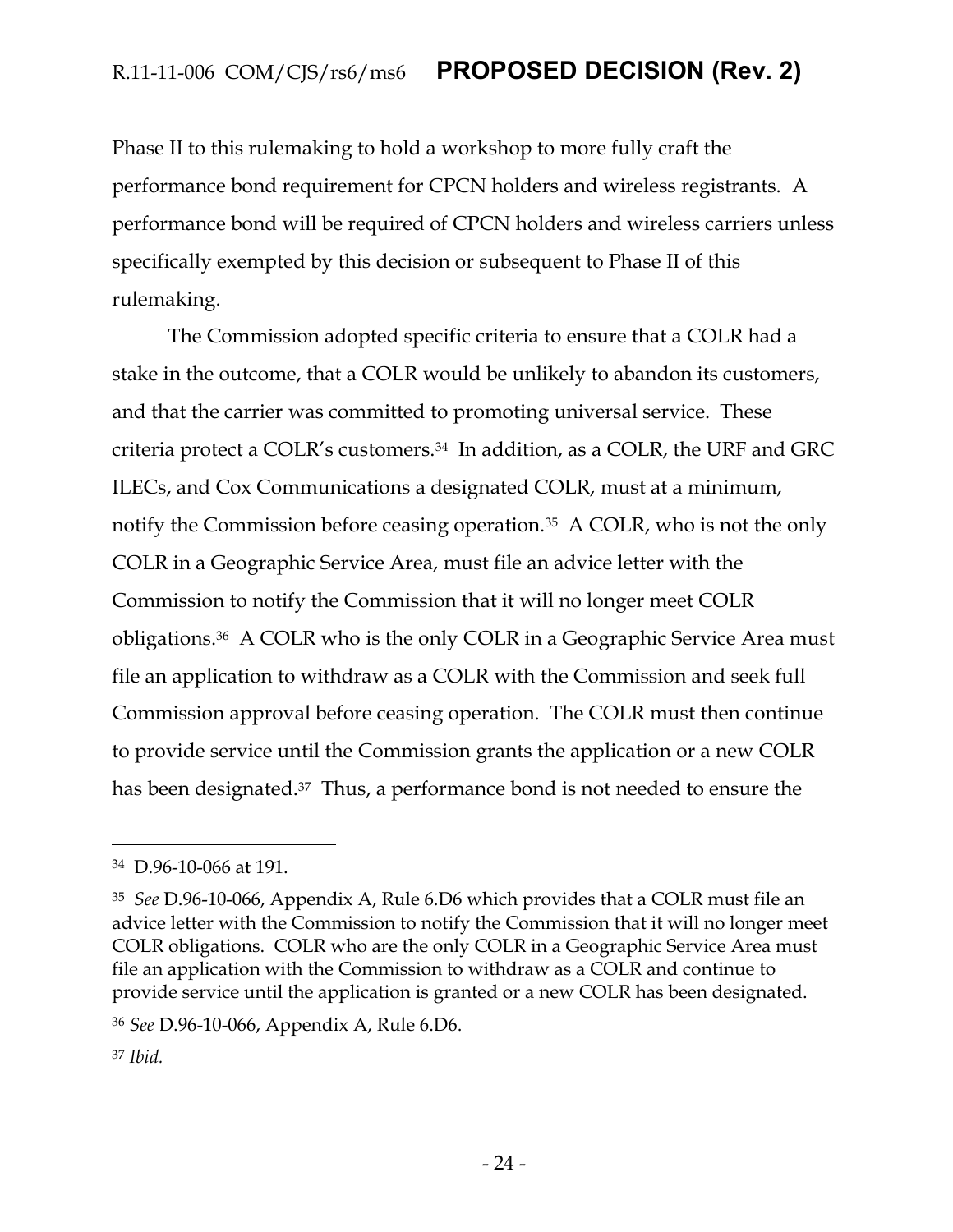Phase II to this rulemaking to hold a workshop to more fully craft the performance bond requirement for CPCN holders and wireless registrants. A performance bond will be required of CPCN holders and wireless carriers unless specifically exempted by this decision or subsequent to Phase II of this rulemaking.

The Commission adopted specific criteria to ensure that a COLR had a stake in the outcome, that a COLR would be unlikely to abandon its customers, and that the carrier was committed to promoting universal service. These criteria protect a COLR's customers.34 In addition, as a COLR, the URF and GRC ILECs, and Cox Communications a designated COLR, must at a minimum, notify the Commission before ceasing operation.<sup>35</sup> A COLR, who is not the only COLR in a Geographic Service Area, must file an advice letter with the Commission to notify the Commission that it will no longer meet COLR obligations.36 A COLR who is the only COLR in a Geographic Service Area must file an application to withdraw as a COLR with the Commission and seek full Commission approval before ceasing operation. The COLR must then continue to provide service until the Commission grants the application or a new COLR has been designated.<sup>37</sup> Thus, a performance bond is not needed to ensure the

<sup>34</sup> D.96-10-066 at 191.

<sup>35</sup> *See* D.96-10-066, Appendix A, Rule 6.D6 which provides that a COLR must file an advice letter with the Commission to notify the Commission that it will no longer meet COLR obligations. COLR who are the only COLR in a Geographic Service Area must file an application with the Commission to withdraw as a COLR and continue to provide service until the application is granted or a new COLR has been designated.

<sup>36</sup> *See* D.96-10-066, Appendix A, Rule 6.D6.

<sup>37</sup> *Ibid.*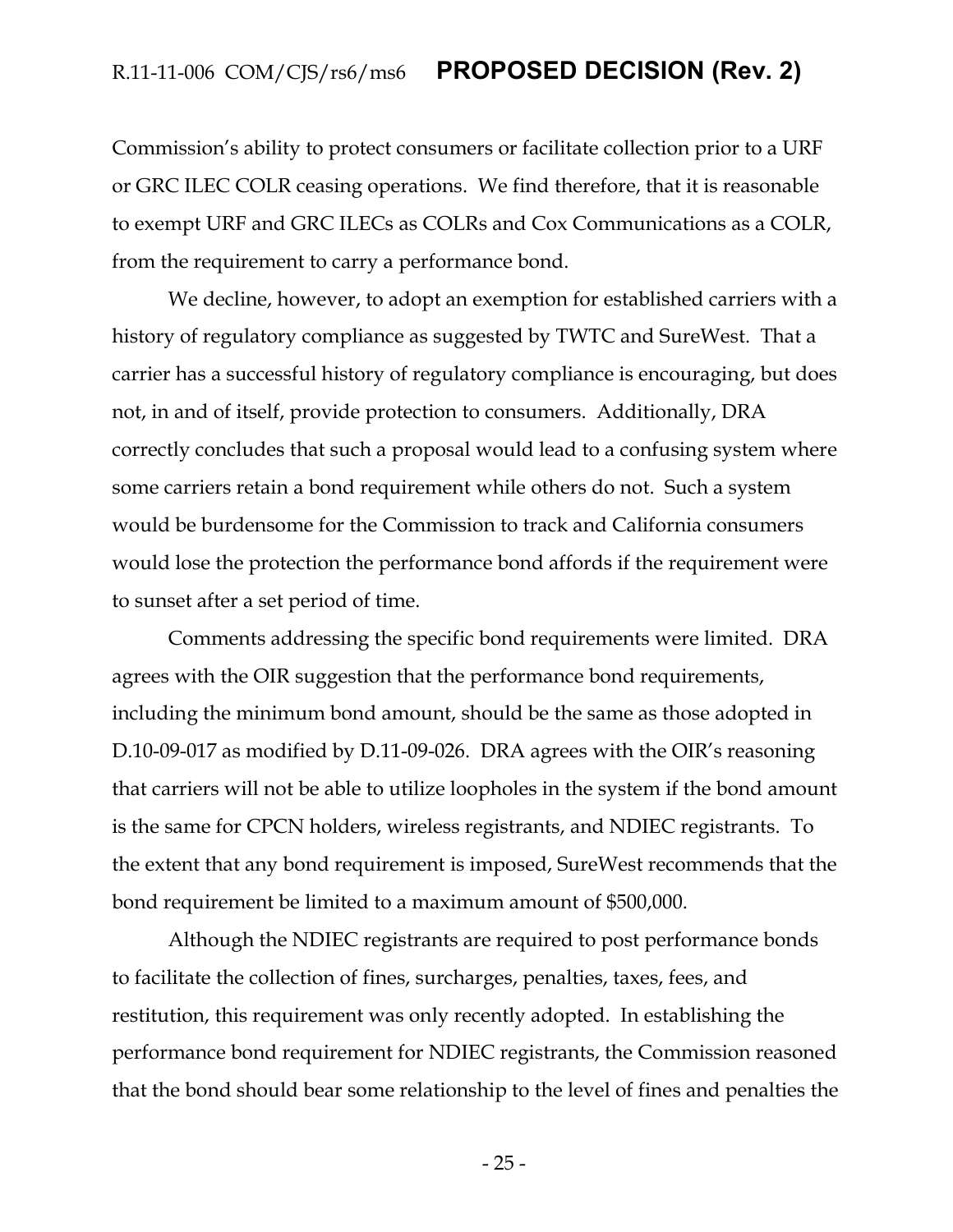Commission's ability to protect consumers or facilitate collection prior to a URF or GRC ILEC COLR ceasing operations. We find therefore, that it is reasonable to exempt URF and GRC ILECs as COLRs and Cox Communications as a COLR, from the requirement to carry a performance bond.

We decline, however, to adopt an exemption for established carriers with a history of regulatory compliance as suggested by TWTC and SureWest. That a carrier has a successful history of regulatory compliance is encouraging, but does not, in and of itself, provide protection to consumers. Additionally, DRA correctly concludes that such a proposal would lead to a confusing system where some carriers retain a bond requirement while others do not. Such a system would be burdensome for the Commission to track and California consumers would lose the protection the performance bond affords if the requirement were to sunset after a set period of time.

Comments addressing the specific bond requirements were limited. DRA agrees with the OIR suggestion that the performance bond requirements, including the minimum bond amount, should be the same as those adopted in D.10-09-017 as modified by D.11-09-026. DRA agrees with the OIR's reasoning that carriers will not be able to utilize loopholes in the system if the bond amount is the same for CPCN holders, wireless registrants, and NDIEC registrants. To the extent that any bond requirement is imposed, SureWest recommends that the bond requirement be limited to a maximum amount of \$500,000.

Although the NDIEC registrants are required to post performance bonds to facilitate the collection of fines, surcharges, penalties, taxes, fees, and restitution, this requirement was only recently adopted. In establishing the performance bond requirement for NDIEC registrants, the Commission reasoned that the bond should bear some relationship to the level of fines and penalties the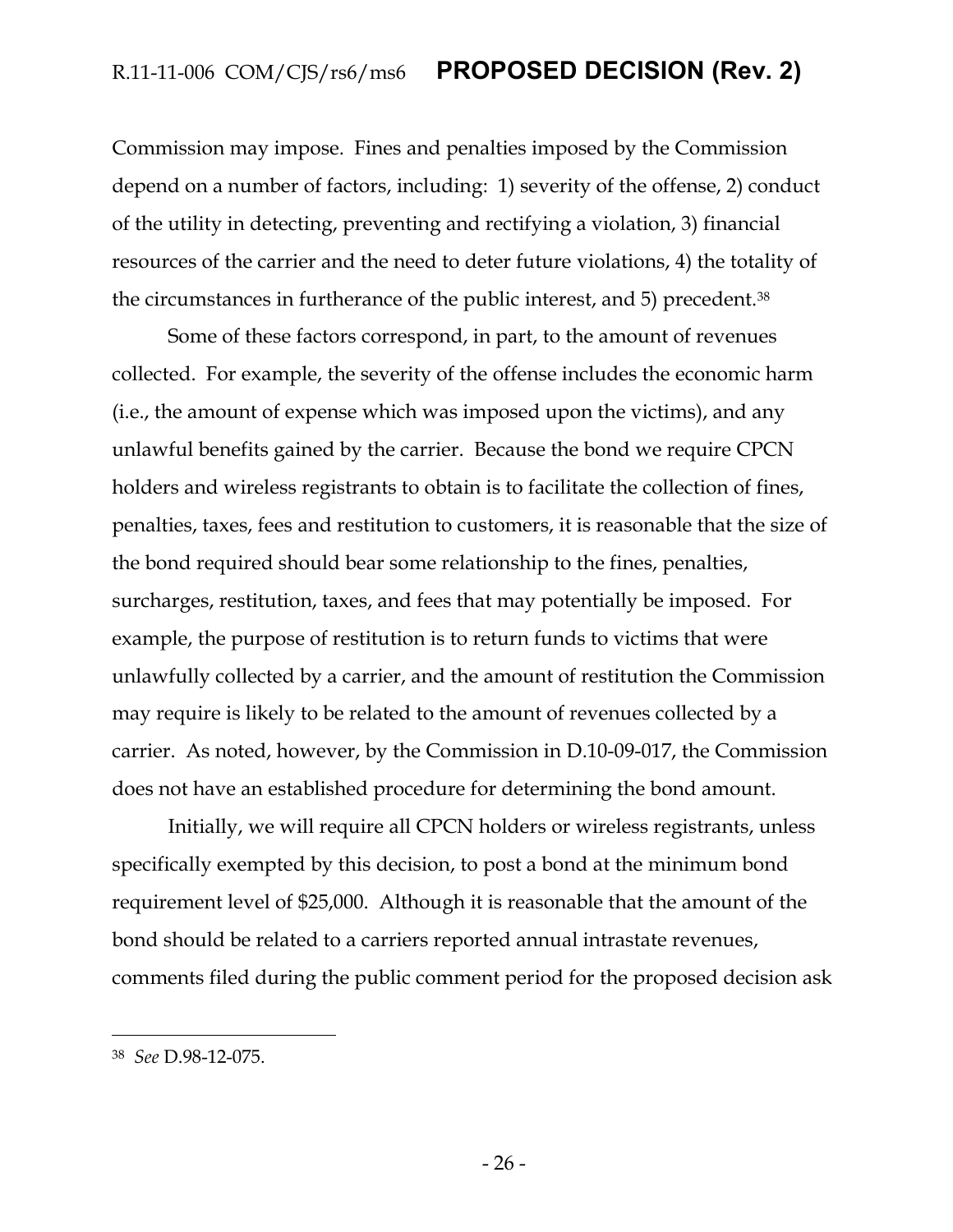Commission may impose. Fines and penalties imposed by the Commission depend on a number of factors, including: 1) severity of the offense, 2) conduct of the utility in detecting, preventing and rectifying a violation, 3) financial resources of the carrier and the need to deter future violations, 4) the totality of the circumstances in furtherance of the public interest, and 5) precedent.<sup>38</sup>

Some of these factors correspond, in part, to the amount of revenues collected. For example, the severity of the offense includes the economic harm (i.e., the amount of expense which was imposed upon the victims), and any unlawful benefits gained by the carrier. Because the bond we require CPCN holders and wireless registrants to obtain is to facilitate the collection of fines, penalties, taxes, fees and restitution to customers, it is reasonable that the size of the bond required should bear some relationship to the fines, penalties, surcharges, restitution, taxes, and fees that may potentially be imposed. For example, the purpose of restitution is to return funds to victims that were unlawfully collected by a carrier, and the amount of restitution the Commission may require is likely to be related to the amount of revenues collected by a carrier. As noted, however, by the Commission in D.10-09-017, the Commission does not have an established procedure for determining the bond amount.

Initially, we will require all CPCN holders or wireless registrants, unless specifically exempted by this decision, to post a bond at the minimum bond requirement level of \$25,000. Although it is reasonable that the amount of the bond should be related to a carriers reported annual intrastate revenues, comments filed during the public comment period for the proposed decision ask

<sup>38</sup> *See* D.98-12-075.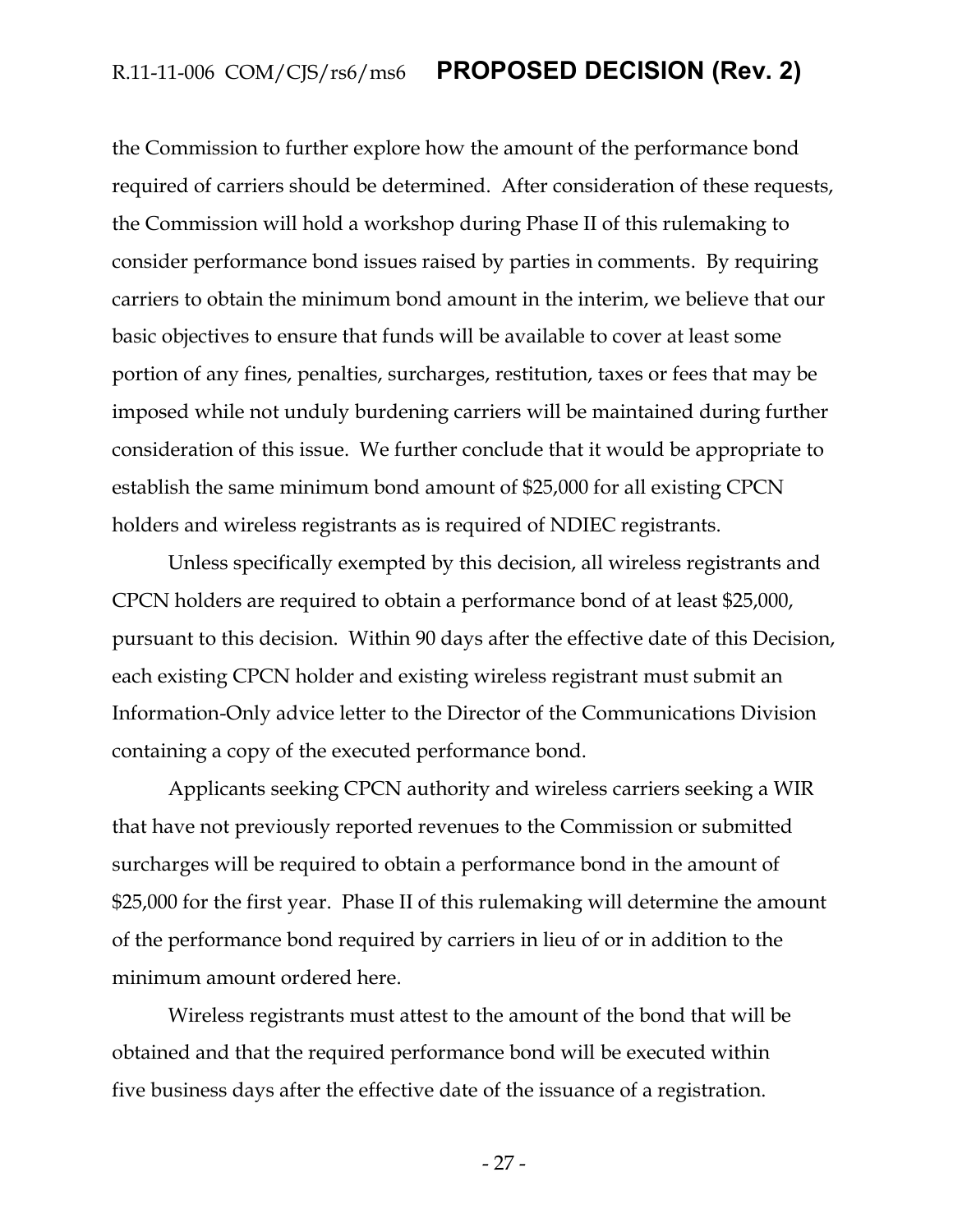the Commission to further explore how the amount of the performance bond required of carriers should be determined. After consideration of these requests, the Commission will hold a workshop during Phase II of this rulemaking to consider performance bond issues raised by parties in comments. By requiring carriers to obtain the minimum bond amount in the interim, we believe that our basic objectives to ensure that funds will be available to cover at least some portion of any fines, penalties, surcharges, restitution, taxes or fees that may be imposed while not unduly burdening carriers will be maintained during further consideration of this issue. We further conclude that it would be appropriate to establish the same minimum bond amount of \$25,000 for all existing CPCN holders and wireless registrants as is required of NDIEC registrants.

Unless specifically exempted by this decision, all wireless registrants and CPCN holders are required to obtain a performance bond of at least \$25,000, pursuant to this decision. Within 90 days after the effective date of this Decision, each existing CPCN holder and existing wireless registrant must submit an Information-Only advice letter to the Director of the Communications Division containing a copy of the executed performance bond.

Applicants seeking CPCN authority and wireless carriers seeking a WIR that have not previously reported revenues to the Commission or submitted surcharges will be required to obtain a performance bond in the amount of \$25,000 for the first year. Phase II of this rulemaking will determine the amount of the performance bond required by carriers in lieu of or in addition to the minimum amount ordered here.

Wireless registrants must attest to the amount of the bond that will be obtained and that the required performance bond will be executed within five business days after the effective date of the issuance of a registration.

- 27 -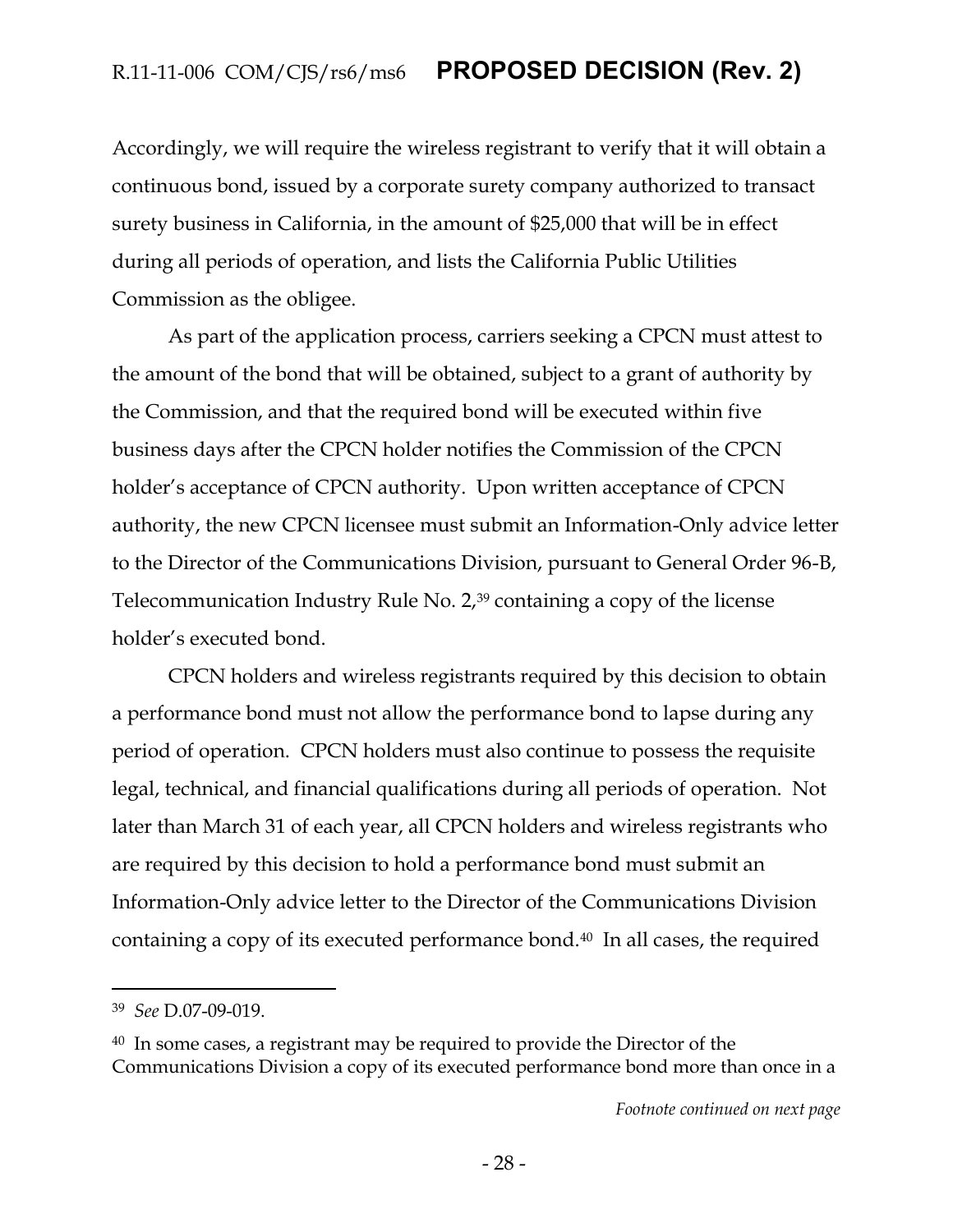Accordingly, we will require the wireless registrant to verify that it will obtain a continuous bond, issued by a corporate surety company authorized to transact surety business in California, in the amount of \$25,000 that will be in effect during all periods of operation, and lists the California Public Utilities Commission as the obligee.

As part of the application process, carriers seeking a CPCN must attest to the amount of the bond that will be obtained, subject to a grant of authority by the Commission, and that the required bond will be executed within five business days after the CPCN holder notifies the Commission of the CPCN holder's acceptance of CPCN authority. Upon written acceptance of CPCN authority, the new CPCN licensee must submit an Information-Only advice letter to the Director of the Communications Division, pursuant to General Order 96-B, Telecommunication Industry Rule No. 2,<sup>39</sup> containing a copy of the license holder's executed bond.

CPCN holders and wireless registrants required by this decision to obtain a performance bond must not allow the performance bond to lapse during any period of operation. CPCN holders must also continue to possess the requisite legal, technical, and financial qualifications during all periods of operation. Not later than March 31 of each year, all CPCN holders and wireless registrants who are required by this decision to hold a performance bond must submit an Information-Only advice letter to the Director of the Communications Division containing a copy of its executed performance bond.40 In all cases, the required

<sup>39</sup> *See* D.07-09-019.

<sup>40</sup> In some cases, a registrant may be required to provide the Director of the Communications Division a copy of its executed performance bond more than once in a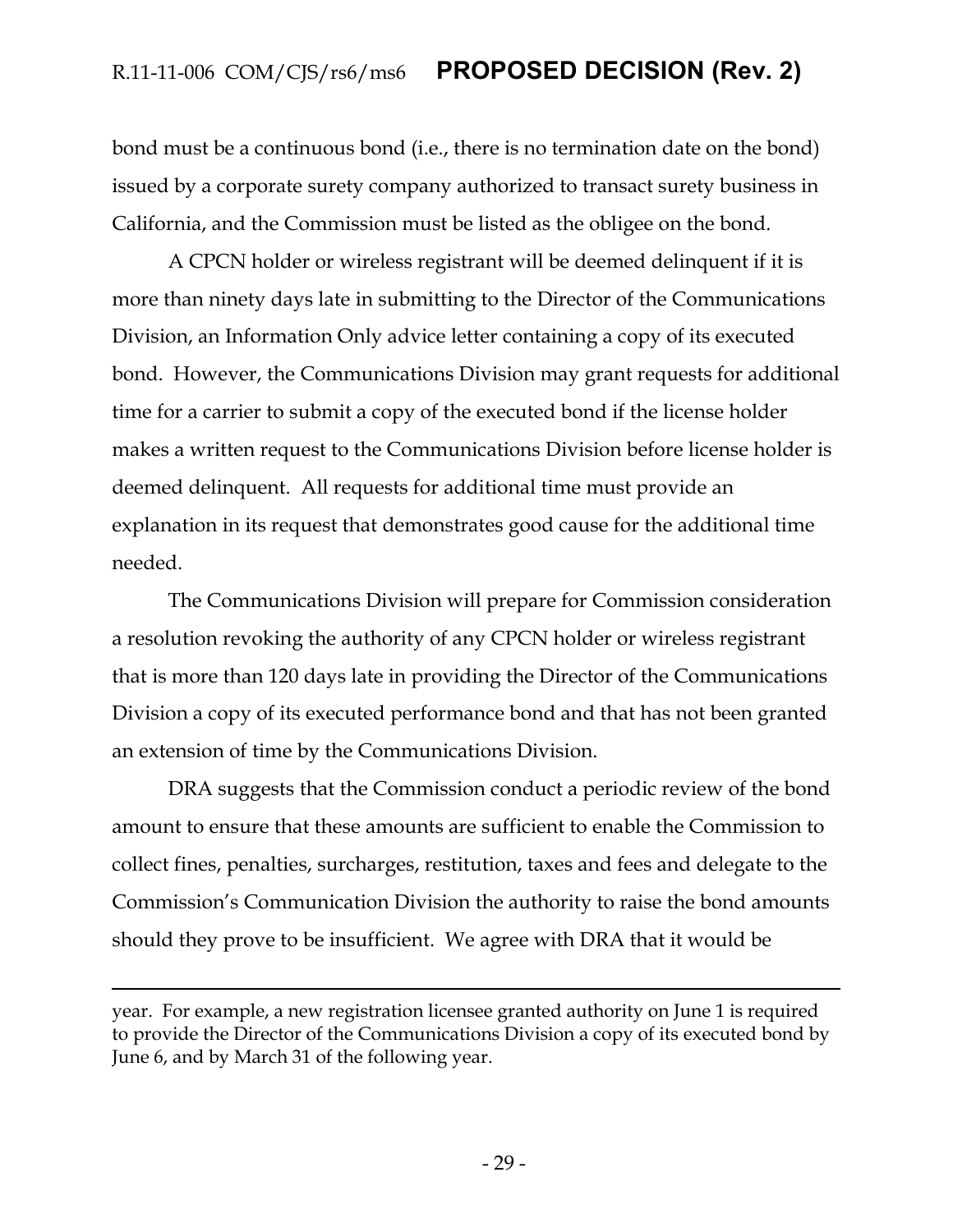bond must be a continuous bond (i.e., there is no termination date on the bond) issued by a corporate surety company authorized to transact surety business in California, and the Commission must be listed as the obligee on the bond.

A CPCN holder or wireless registrant will be deemed delinquent if it is more than ninety days late in submitting to the Director of the Communications Division, an Information Only advice letter containing a copy of its executed bond. However, the Communications Division may grant requests for additional time for a carrier to submit a copy of the executed bond if the license holder makes a written request to the Communications Division before license holder is deemed delinquent. All requests for additional time must provide an explanation in its request that demonstrates good cause for the additional time needed.

The Communications Division will prepare for Commission consideration a resolution revoking the authority of any CPCN holder or wireless registrant that is more than 120 days late in providing the Director of the Communications Division a copy of its executed performance bond and that has not been granted an extension of time by the Communications Division.

DRA suggests that the Commission conduct a periodic review of the bond amount to ensure that these amounts are sufficient to enable the Commission to collect fines, penalties, surcharges, restitution, taxes and fees and delegate to the Commission's Communication Division the authority to raise the bond amounts should they prove to be insufficient. We agree with DRA that it would be

year. For example, a new registration licensee granted authority on June 1 is required to provide the Director of the Communications Division a copy of its executed bond by June 6, and by March 31 of the following year.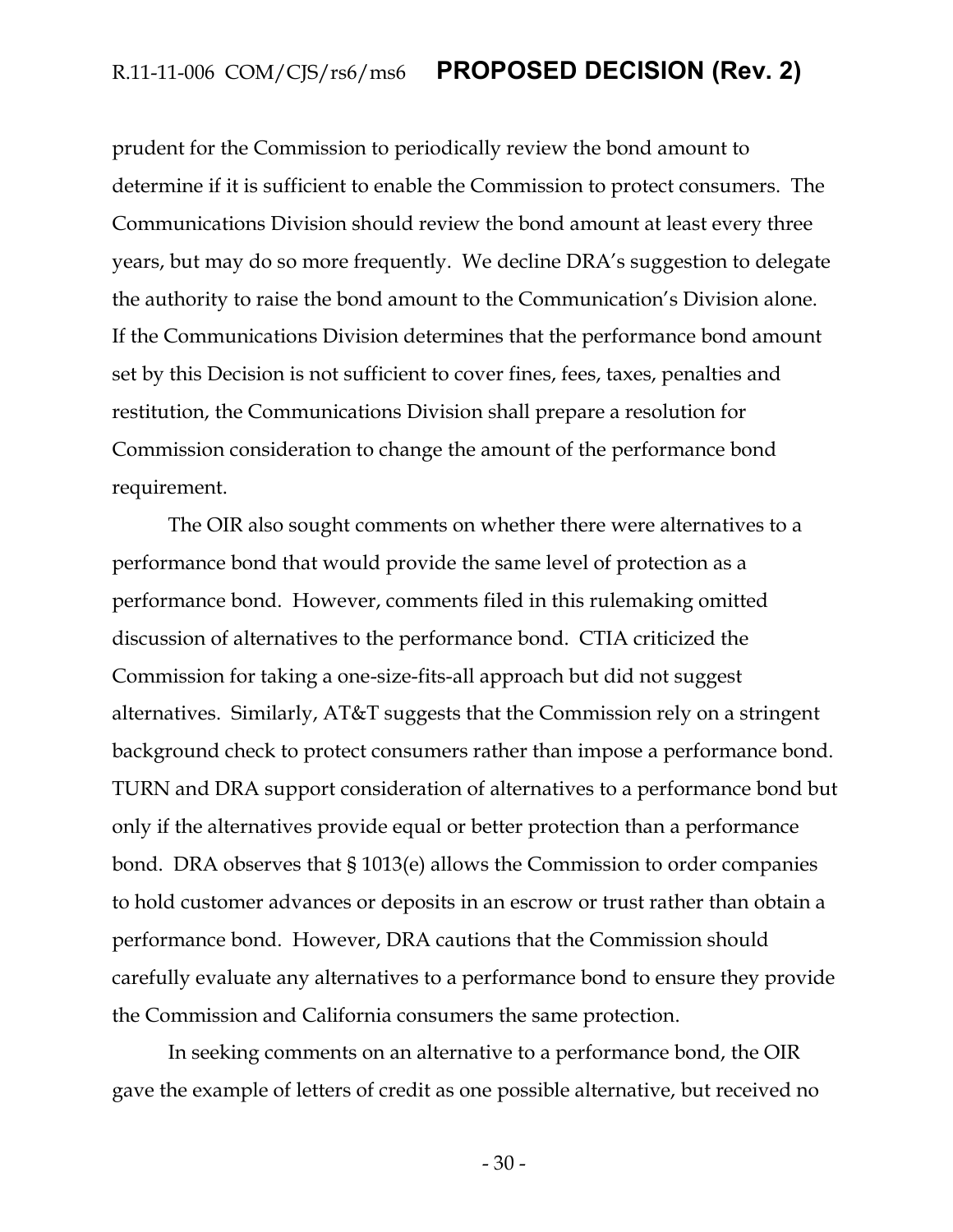prudent for the Commission to periodically review the bond amount to determine if it is sufficient to enable the Commission to protect consumers. The Communications Division should review the bond amount at least every three years, but may do so more frequently. We decline DRA's suggestion to delegate the authority to raise the bond amount to the Communication's Division alone. If the Communications Division determines that the performance bond amount set by this Decision is not sufficient to cover fines, fees, taxes, penalties and restitution, the Communications Division shall prepare a resolution for Commission consideration to change the amount of the performance bond requirement.

The OIR also sought comments on whether there were alternatives to a performance bond that would provide the same level of protection as a performance bond.However, comments filed in this rulemaking omitted discussion of alternatives to the performance bond. CTIA criticized the Commission for taking a one-size-fits-all approach but did not suggest alternatives. Similarly, AT&T suggests that the Commission rely on a stringent background check to protect consumers rather than impose a performance bond. TURN and DRA support consideration of alternatives to a performance bond but only if the alternatives provide equal or better protection than a performance bond. DRA observes that § 1013(e) allows the Commission to order companies to hold customer advances or deposits in an escrow or trust rather than obtain a performance bond. However, DRA cautions that the Commission should carefully evaluate any alternatives to a performance bond to ensure they provide the Commission and California consumers the same protection.

In seeking comments on an alternative to a performance bond, the OIR gave the example of letters of credit as one possible alternative, but received no

- 30 -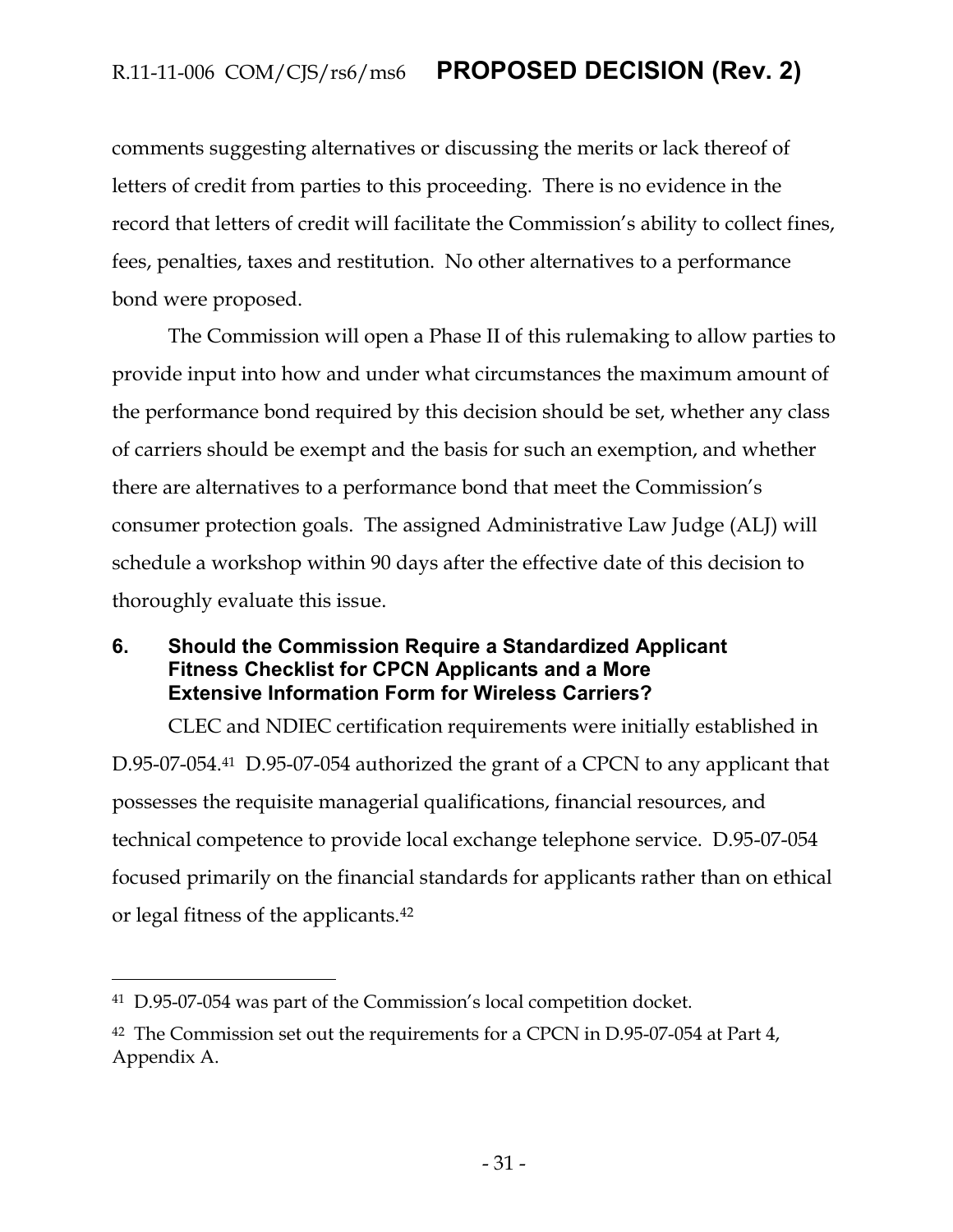comments suggesting alternatives or discussing the merits or lack thereof of letters of credit from parties to this proceeding. There is no evidence in the record that letters of credit will facilitate the Commission's ability to collect fines, fees, penalties, taxes and restitution. No other alternatives to a performance bond were proposed.

The Commission will open a Phase II of this rulemaking to allow parties to provide input into how and under what circumstances the maximum amount of the performance bond required by this decision should be set, whether any class of carriers should be exempt and the basis for such an exemption, and whether there are alternatives to a performance bond that meet the Commission's consumer protection goals. The assigned Administrative Law Judge (ALJ) will schedule a workshop within 90 days after the effective date of this decision to thoroughly evaluate this issue.

#### <span id="page-31-0"></span>**6. Should the Commission Require a Standardized Applicant Fitness Checklist for CPCN Applicants and a More Extensive Information Form for Wireless Carriers?**

CLEC and NDIEC certification requirements were initially established in D.95-07-054.41 D.95-07-054 authorized the grant of a CPCN to any applicant that possesses the requisite managerial qualifications, financial resources, and technical competence to provide local exchange telephone service. D.95-07-054 focused primarily on the financial standards for applicants rather than on ethical or legal fitness of the applicants.<sup>42</sup>

<sup>41</sup> D.95-07-054 was part of the Commission's local competition docket.

<sup>&</sup>lt;sup>42</sup> The Commission set out the requirements for a CPCN in D.95-07-054 at Part 4, Appendix A.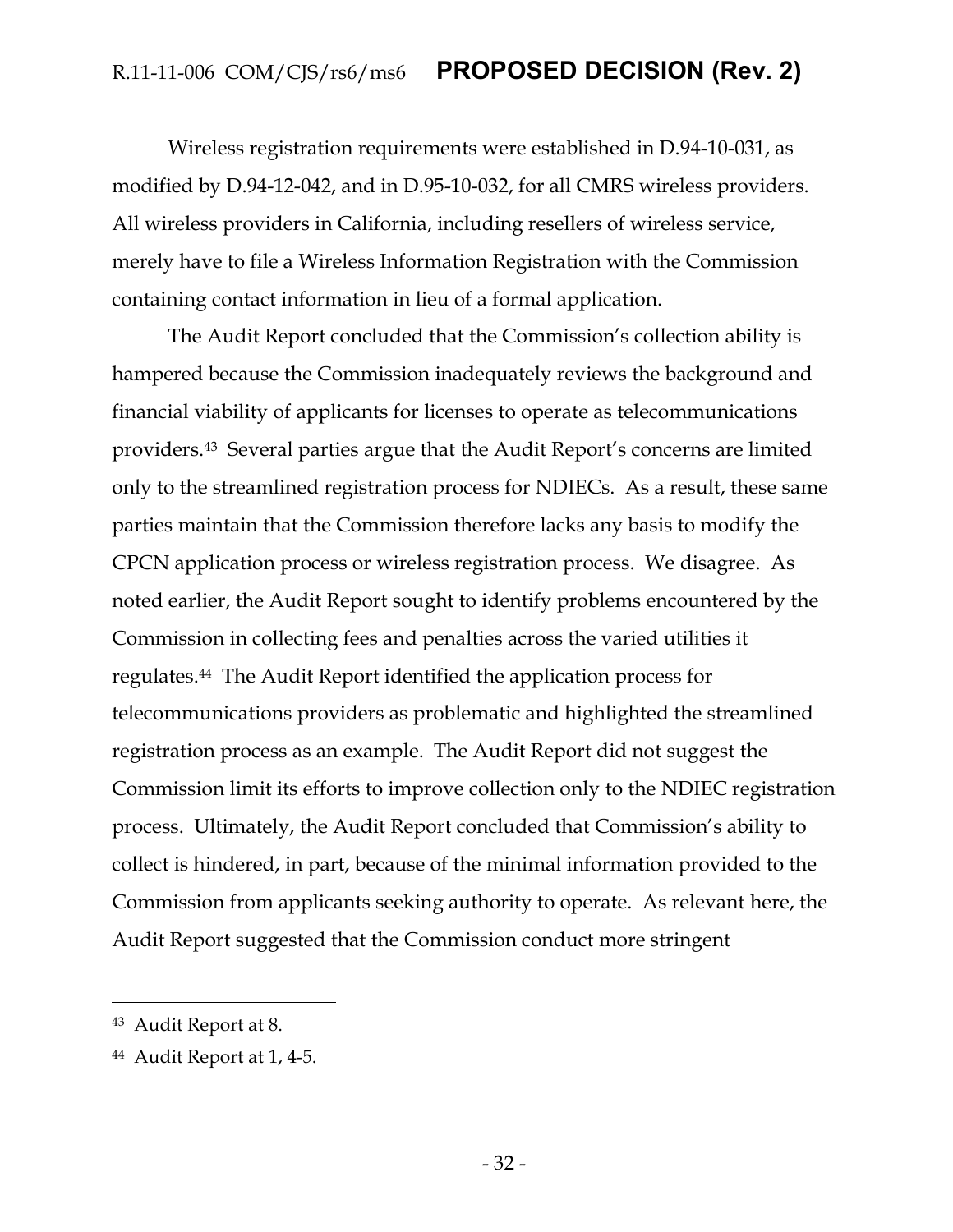Wireless registration requirements were established in D.94-10-031, as modified by D.94-12-042, and in D.95-10-032, for all CMRS wireless providers. All wireless providers in California, including resellers of wireless service, merely have to file a Wireless Information Registration with the Commission containing contact information in lieu of a formal application.

The Audit Report concluded that the Commission's collection ability is hampered because the Commission inadequately reviews the background and financial viability of applicants for licenses to operate as telecommunications providers.<sup>43</sup> Several parties argue that the Audit Report's concerns are limited only to the streamlined registration process for NDIECs. As a result, these same parties maintain that the Commission therefore lacks any basis to modify the CPCN application process or wireless registration process. We disagree. As noted earlier, the Audit Report sought to identify problems encountered by the Commission in collecting fees and penalties across the varied utilities it regulates.44 The Audit Report identified the application process for telecommunications providers as problematic and highlighted the streamlined registration process as an example. The Audit Report did not suggest the Commission limit its efforts to improve collection only to the NDIEC registration process. Ultimately, the Audit Report concluded that Commission's ability to collect is hindered, in part, because of the minimal information provided to the Commission from applicants seeking authority to operate. As relevant here, the Audit Report suggested that the Commission conduct more stringent

<sup>43</sup> Audit Report at 8.

<sup>44</sup> Audit Report at 1, 4-5.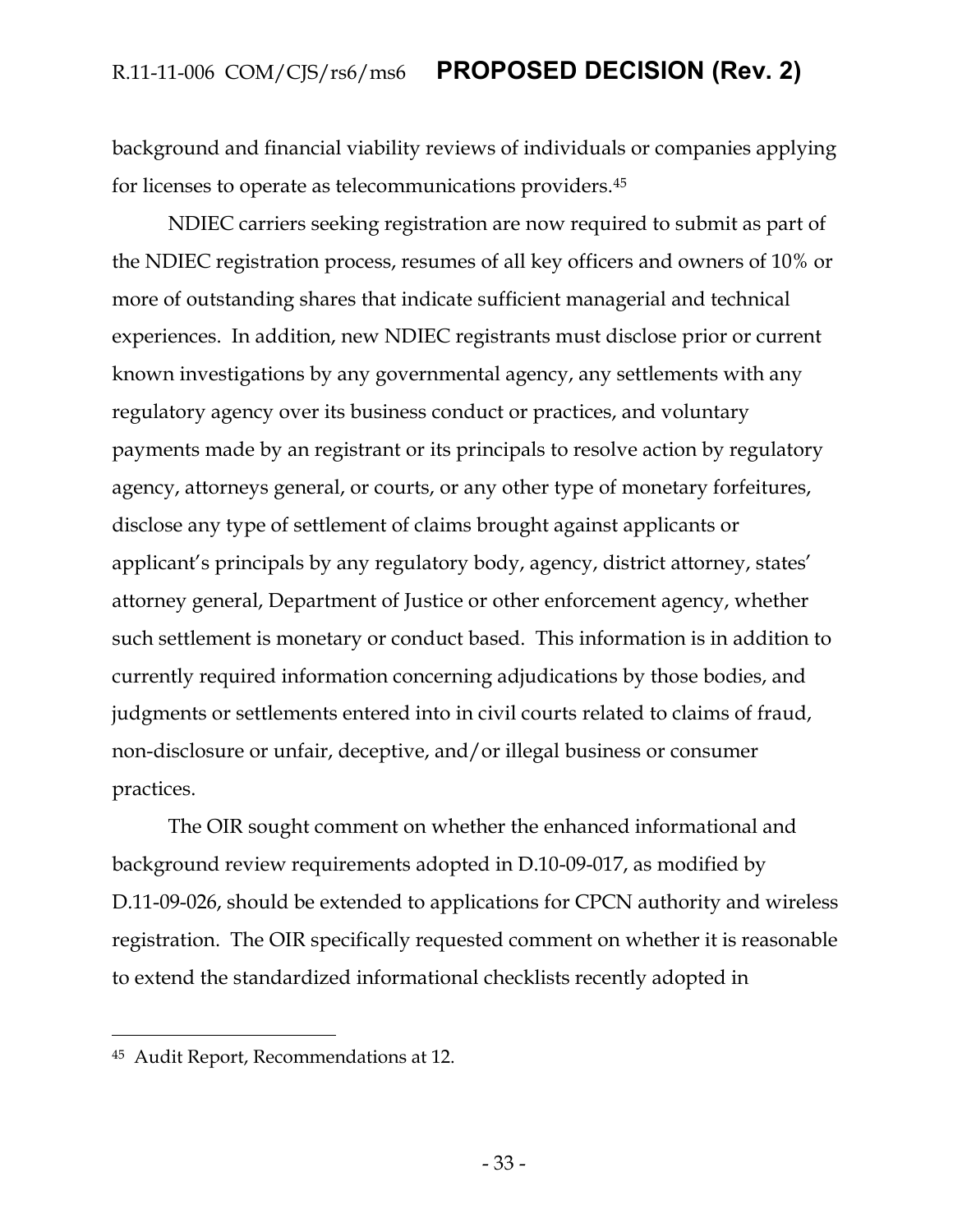background and financial viability reviews of individuals or companies applying for licenses to operate as telecommunications providers.<sup>45</sup>

NDIEC carriers seeking registration are now required to submit as part of the NDIEC registration process, resumes of all key officers and owners of 10% or more of outstanding shares that indicate sufficient managerial and technical experiences. In addition, new NDIEC registrants must disclose prior or current known investigations by any governmental agency, any settlements with any regulatory agency over its business conduct or practices, and voluntary payments made by an registrant or its principals to resolve action by regulatory agency, attorneys general, or courts, or any other type of monetary forfeitures, disclose any type of settlement of claims brought against applicants or applicant's principals by any regulatory body, agency, district attorney, states' attorney general, Department of Justice or other enforcement agency, whether such settlement is monetary or conduct based. This information is in addition to currently required information concerning adjudications by those bodies, and judgments or settlements entered into in civil courts related to claims of fraud, non-disclosure or unfair, deceptive, and/or illegal business or consumer practices.

The OIR sought comment on whether the enhanced informational and background review requirements adopted in D.10-09-017, as modified by D.11-09-026, should be extended to applications for CPCN authority and wireless registration. The OIR specifically requested comment on whether it is reasonable to extend the standardized informational checklists recently adopted in

<sup>45</sup> Audit Report, Recommendations at 12.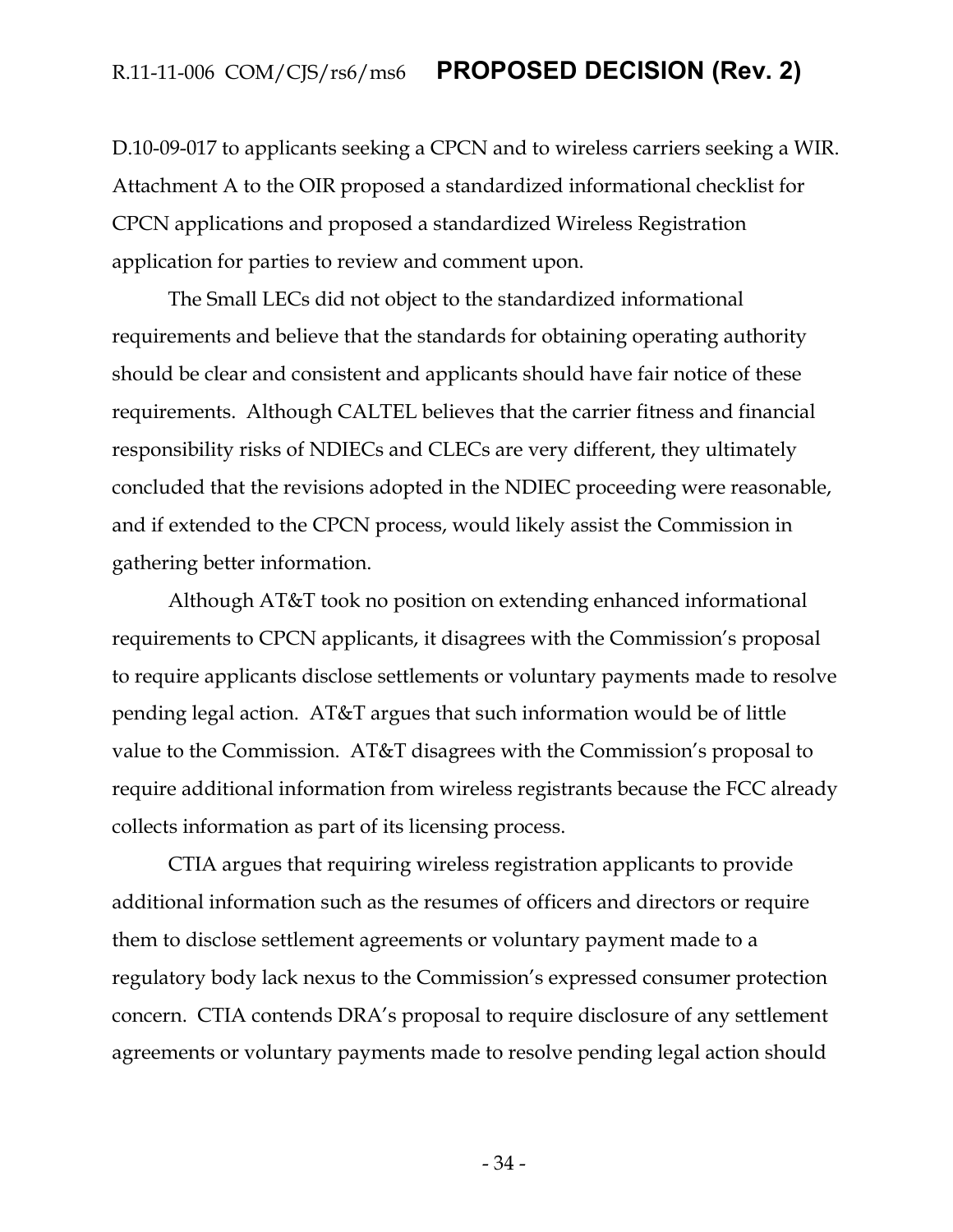D.10-09-017 to applicants seeking a CPCN and to wireless carriers seeking a WIR. Attachment A to the OIR proposed a standardized informational checklist for CPCN applications and proposed a standardized Wireless Registration application for parties to review and comment upon.

The Small LECs did not object to the standardized informational requirements and believe that the standards for obtaining operating authority should be clear and consistent and applicants should have fair notice of these requirements. Although CALTEL believes that the carrier fitness and financial responsibility risks of NDIECs and CLECs are very different, they ultimately concluded that the revisions adopted in the NDIEC proceeding were reasonable, and if extended to the CPCN process, would likely assist the Commission in gathering better information.

Although AT&T took no position on extending enhanced informational requirements to CPCN applicants, it disagrees with the Commission's proposal to require applicants disclose settlements or voluntary payments made to resolve pending legal action. AT&T argues that such information would be of little value to the Commission. AT&T disagrees with the Commission's proposal to require additional information from wireless registrants because the FCC already collects information as part of its licensing process.

CTIA argues that requiring wireless registration applicants to provide additional information such as the resumes of officers and directors or require them to disclose settlement agreements or voluntary payment made to a regulatory body lack nexus to the Commission's expressed consumer protection concern. CTIA contends DRA's proposal to require disclosure of any settlement agreements or voluntary payments made to resolve pending legal action should

- 34 -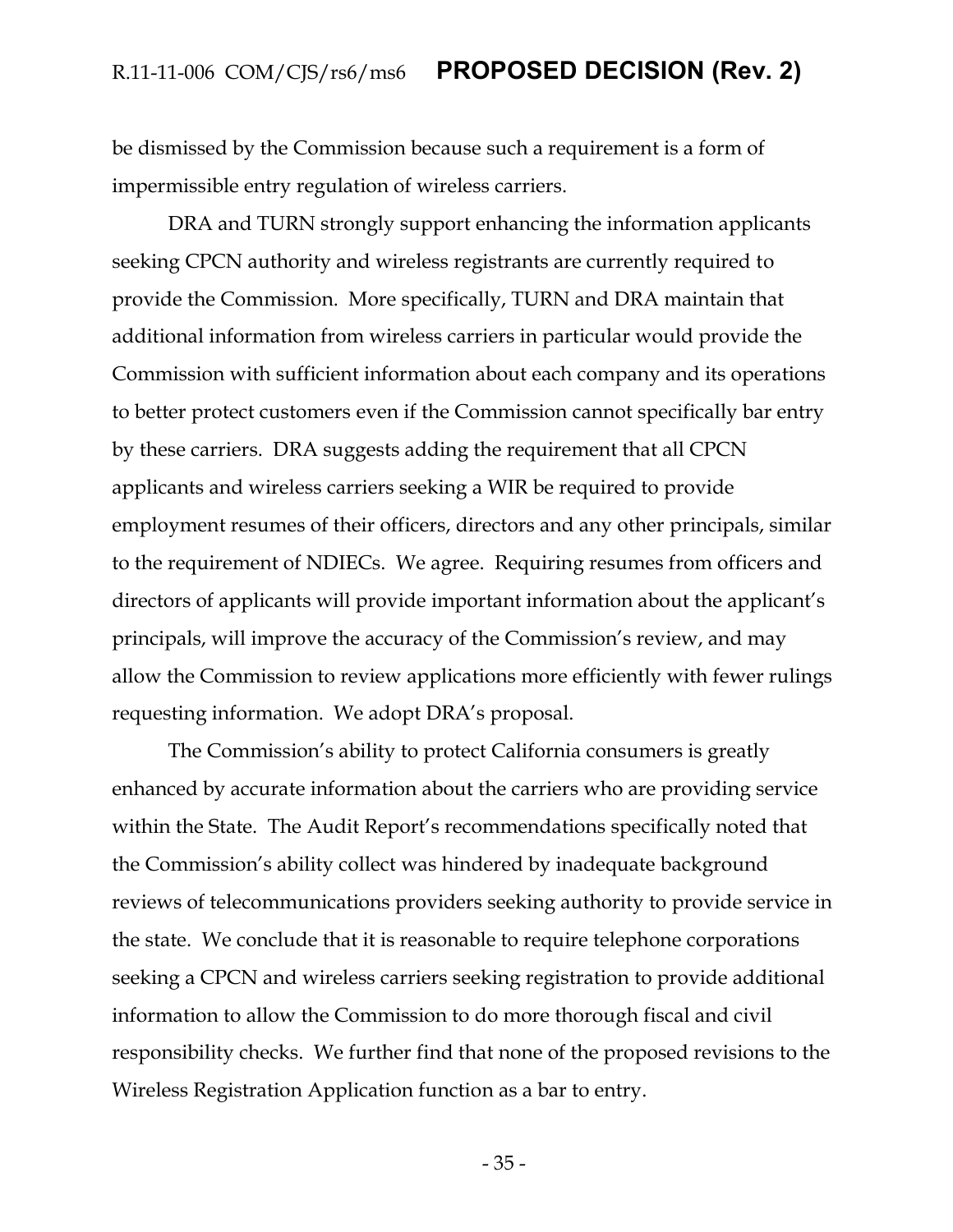be dismissed by the Commission because such a requirement is a form of impermissible entry regulation of wireless carriers.

DRA and TURN strongly support enhancing the information applicants seeking CPCN authority and wireless registrants are currently required to provide the Commission. More specifically, TURN and DRA maintain that additional information from wireless carriers in particular would provide the Commission with sufficient information about each company and its operations to better protect customers even if the Commission cannot specifically bar entry by these carriers. DRA suggests adding the requirement that all CPCN applicants and wireless carriers seeking a WIR be required to provide employment resumes of their officers, directors and any other principals, similar to the requirement of NDIECs. We agree. Requiring resumes from officers and directors of applicants will provide important information about the applicant's principals, will improve the accuracy of the Commission's review, and may allow the Commission to review applications more efficiently with fewer rulings requesting information. We adopt DRA's proposal.

The Commission's ability to protect California consumers is greatly enhanced by accurate information about the carriers who are providing service within the State. The Audit Report's recommendations specifically noted that the Commission's ability collect was hindered by inadequate background reviews of telecommunications providers seeking authority to provide service in the state. We conclude that it is reasonable to require telephone corporations seeking a CPCN and wireless carriers seeking registration to provide additional information to allow the Commission to do more thorough fiscal and civil responsibility checks. We further find that none of the proposed revisions to the Wireless Registration Application function as a bar to entry.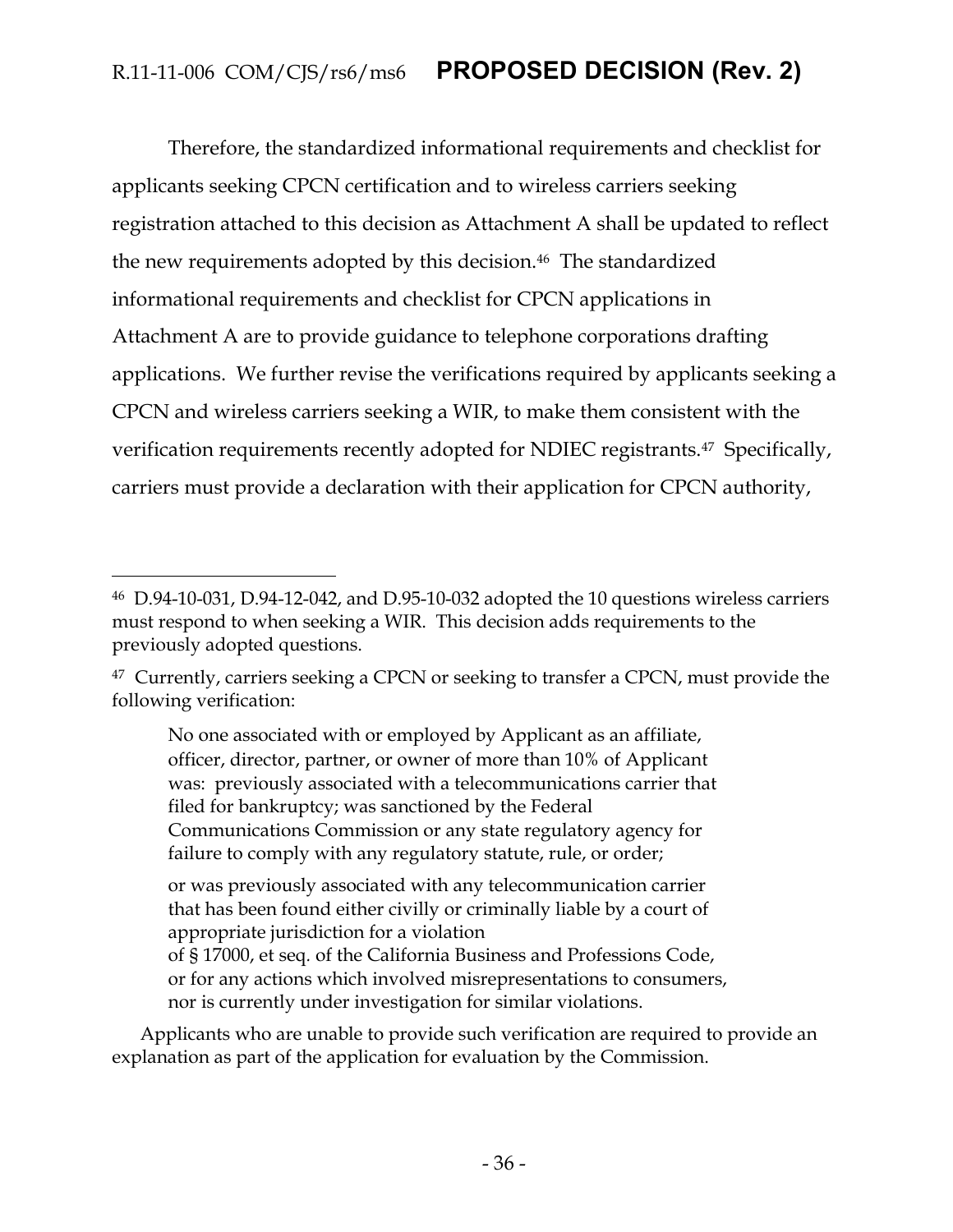Therefore, the standardized informational requirements and checklist for applicants seeking CPCN certification and to wireless carriers seeking registration attached to this decision as Attachment A shall be updated to reflect the new requirements adopted by this decision. <sup>46</sup> The standardized informational requirements and checklist for CPCN applications in Attachment A are to provide guidance to telephone corporations drafting applications. We further revise the verifications required by applicants seeking a CPCN and wireless carriers seeking a WIR, to make them consistent with the verification requirements recently adopted for NDIEC registrants.<sup>47</sup> Specifically, carriers must provide a declaration with their application for CPCN authority,

 $\overline{a}$ 

No one associated with or employed by Applicant as an affiliate, officer, director, partner, or owner of more than 10% of Applicant was: previously associated with a telecommunications carrier that filed for bankruptcy; was sanctioned by the Federal Communications Commission or any state regulatory agency for failure to comply with any regulatory statute, rule, or order;

or was previously associated with any telecommunication carrier that has been found either civilly or criminally liable by a court of appropriate jurisdiction for a violation of § 17000, et seq*.* of the California Business and Professions Code,

or for any actions which involved misrepresentations to consumers, nor is currently under investigation for similar violations.

Applicants who are unable to provide such verification are required to provide an explanation as part of the application for evaluation by the Commission.

<sup>46</sup> D.94-10-031, D.94-12-042, and D.95-10-032 adopted the 10 questions wireless carriers must respond to when seeking a WIR. This decision adds requirements to the previously adopted questions.

<sup>&</sup>lt;sup>47</sup> Currently, carriers seeking a CPCN or seeking to transfer a CPCN, must provide the following verification: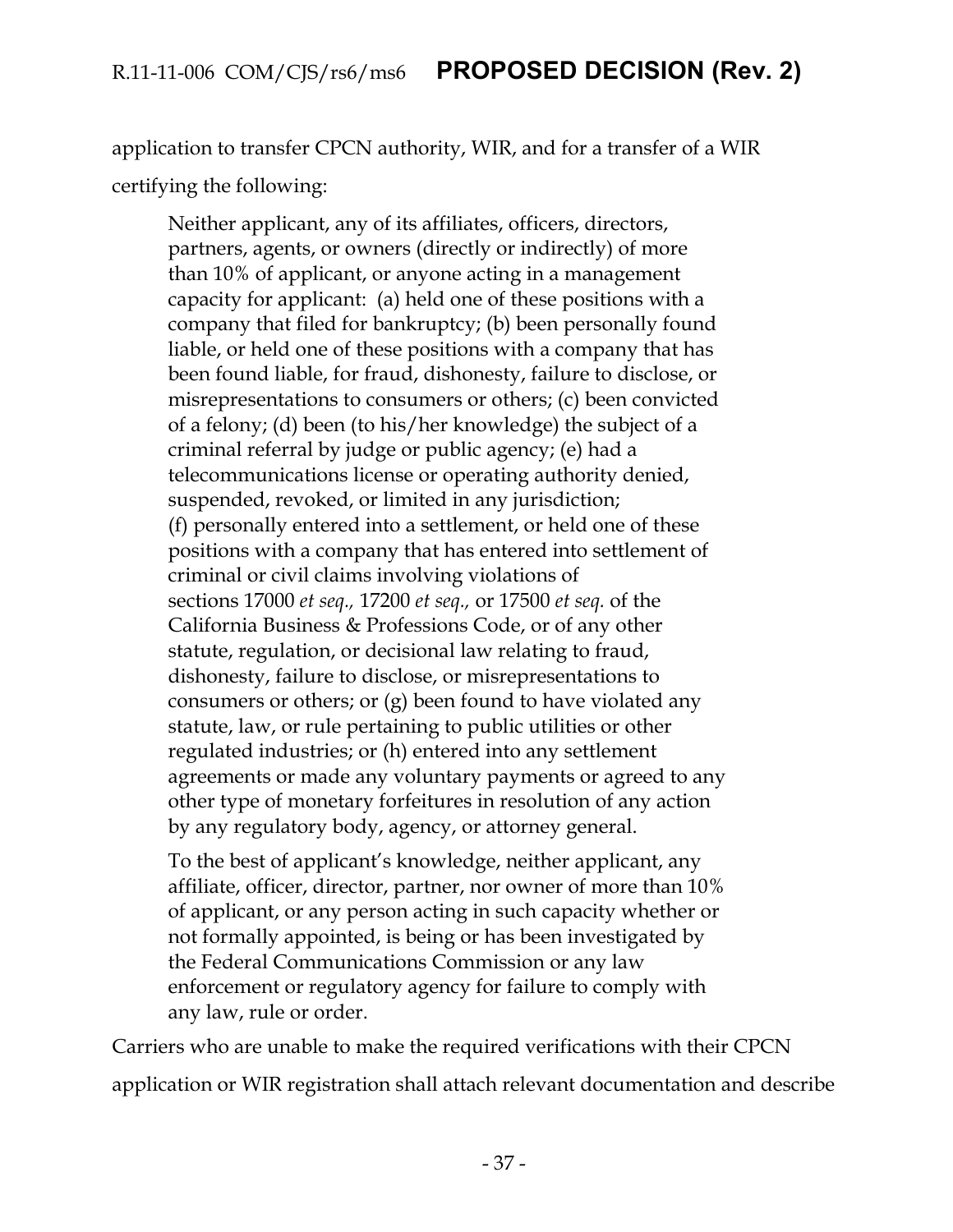application to transfer CPCN authority, WIR, and for a transfer of a WIR certifying the following:

Neither applicant, any of its affiliates, officers, directors, partners, agents, or owners (directly or indirectly) of more than 10% of applicant, or anyone acting in a management capacity for applicant: (a) held one of these positions with a company that filed for bankruptcy; (b) been personally found liable, or held one of these positions with a company that has been found liable, for fraud, dishonesty, failure to disclose, or misrepresentations to consumers or others; (c) been convicted of a felony; (d) been (to his/her knowledge) the subject of a criminal referral by judge or public agency; (e) had a telecommunications license or operating authority denied, suspended, revoked, or limited in any jurisdiction; (f) personally entered into a settlement, or held one of these positions with a company that has entered into settlement of criminal or civil claims involving violations of sections 17000 *et seq.,* 17200 *et seq.,* or 17500 *et seq.* of the California Business & Professions Code, or of any other statute, regulation, or decisional law relating to fraud, dishonesty, failure to disclose, or misrepresentations to consumers or others; or (g) been found to have violated any statute, law, or rule pertaining to public utilities or other regulated industries; or (h) entered into any settlement agreements or made any voluntary payments or agreed to any other type of monetary forfeitures in resolution of any action by any regulatory body, agency, or attorney general.

To the best of applicant's knowledge, neither applicant, any affiliate, officer, director, partner, nor owner of more than 10% of applicant, or any person acting in such capacity whether or not formally appointed, is being or has been investigated by the Federal Communications Commission or any law enforcement or regulatory agency for failure to comply with any law, rule or order.

Carriers who are unable to make the required verifications with their CPCN application or WIR registration shall attach relevant documentation and describe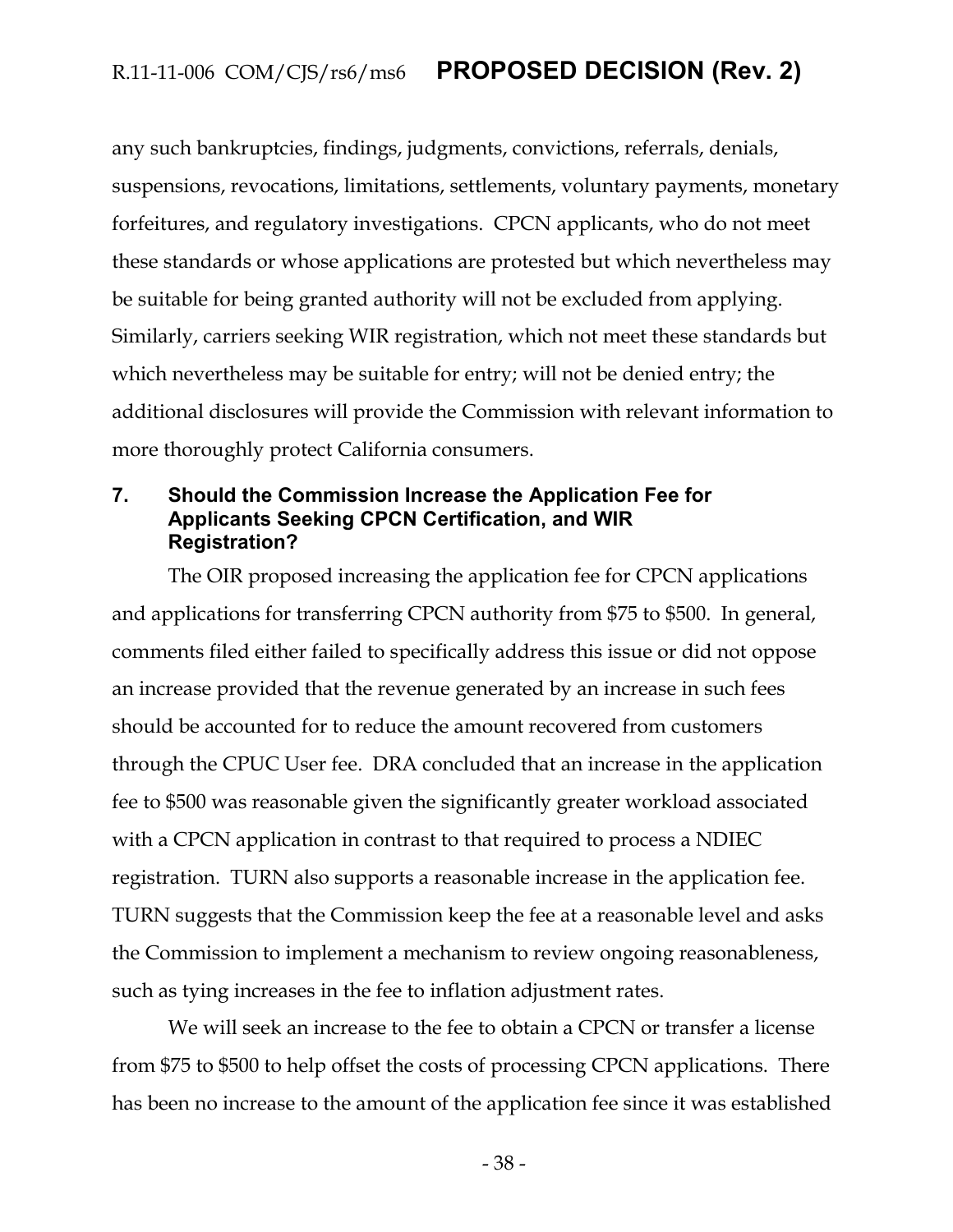any such bankruptcies, findings, judgments, convictions, referrals, denials, suspensions, revocations, limitations, settlements, voluntary payments, monetary forfeitures, and regulatory investigations. CPCN applicants, who do not meet these standards or whose applications are protested but which nevertheless may be suitable for being granted authority will not be excluded from applying. Similarly, carriers seeking WIR registration, which not meet these standards but which nevertheless may be suitable for entry; will not be denied entry; the additional disclosures will provide the Commission with relevant information to more thoroughly protect California consumers.

#### <span id="page-38-0"></span>**7. Should the Commission Increase the Application Fee for Applicants Seeking CPCN Certification, and WIR Registration?**

The OIR proposed increasing the application fee for CPCN applications and applications for transferring CPCN authority from \$75 to \$500. In general, comments filed either failed to specifically address this issue or did not oppose an increase provided that the revenue generated by an increase in such fees should be accounted for to reduce the amount recovered from customers through the CPUC User fee. DRA concluded that an increase in the application fee to \$500 was reasonable given the significantly greater workload associated with a CPCN application in contrast to that required to process a NDIEC registration. TURN also supports a reasonable increase in the application fee. TURN suggests that the Commission keep the fee at a reasonable level and asks the Commission to implement a mechanism to review ongoing reasonableness, such as tying increases in the fee to inflation adjustment rates.

We will seek an increase to the fee to obtain a CPCN or transfer a license from \$75 to \$500 to help offset the costs of processing CPCN applications. There has been no increase to the amount of the application fee since it was established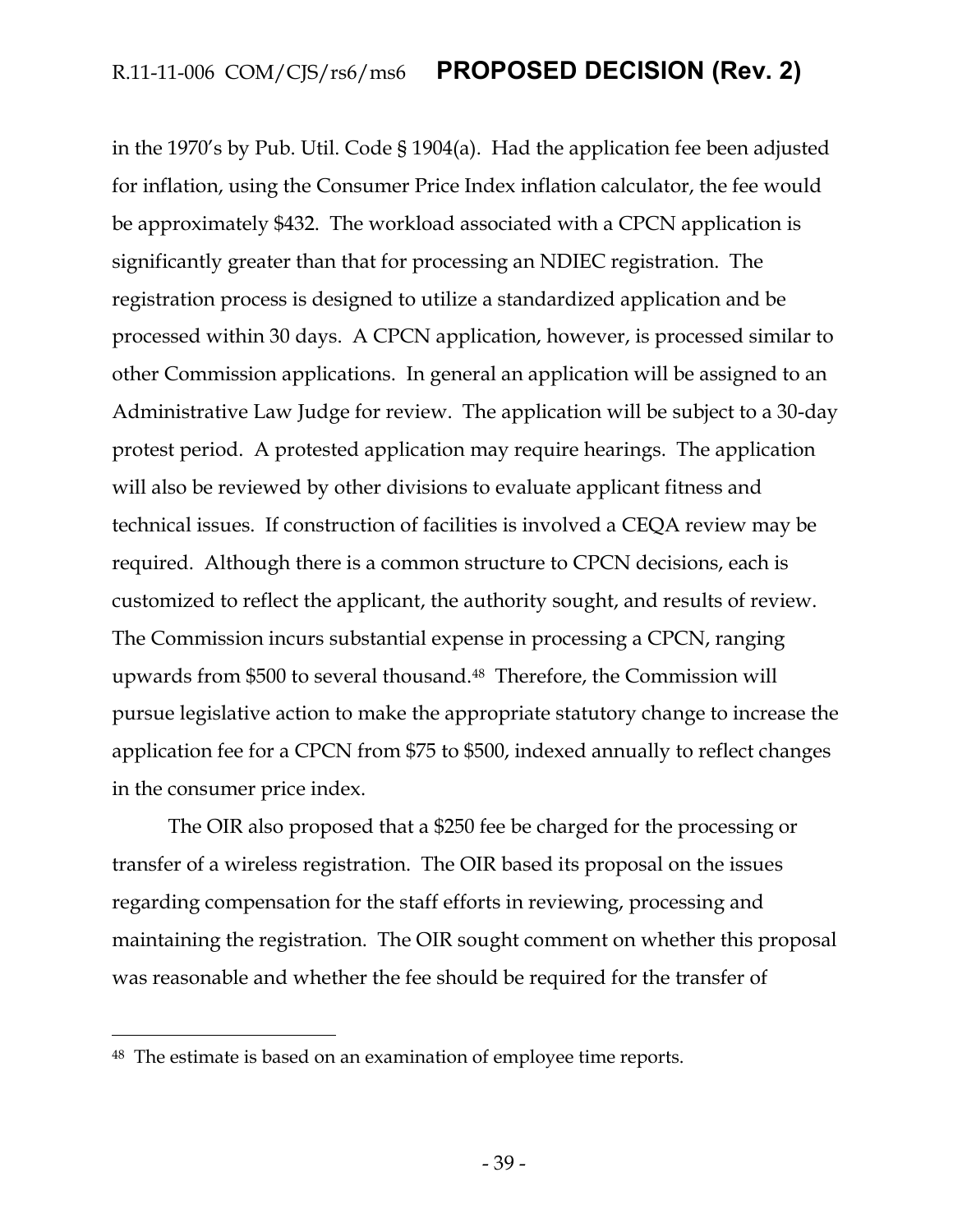in the 1970's by Pub. Util. Code § 1904(a). Had the application fee been adjusted for inflation, using the Consumer Price Index inflation calculator, the fee would be approximately \$432. The workload associated with a CPCN application is significantly greater than that for processing an NDIEC registration. The registration process is designed to utilize a standardized application and be processed within 30 days. A CPCN application, however, is processed similar to other Commission applications. In general an application will be assigned to an Administrative Law Judge for review. The application will be subject to a 30-day protest period. A protested application may require hearings. The application will also be reviewed by other divisions to evaluate applicant fitness and technical issues. If construction of facilities is involved a CEQA review may be required. Although there is a common structure to CPCN decisions, each is customized to reflect the applicant, the authority sought, and results of review. The Commission incurs substantial expense in processing a CPCN, ranging upwards from \$500 to several thousand.<sup>48</sup>Therefore, the Commission will pursue legislative action to make the appropriate statutory change to increase the application fee for a CPCN from \$75 to \$500, indexed annually to reflect changes in the consumer price index.

The OIR also proposed that a \$250 fee be charged for the processing or transfer of a wireless registration. The OIR based its proposal on the issues regarding compensation for the staff efforts in reviewing, processing and maintaining the registration. The OIR sought comment on whether this proposal was reasonable and whether the fee should be required for the transfer of

<sup>48</sup> The estimate is based on an examination of employee time reports.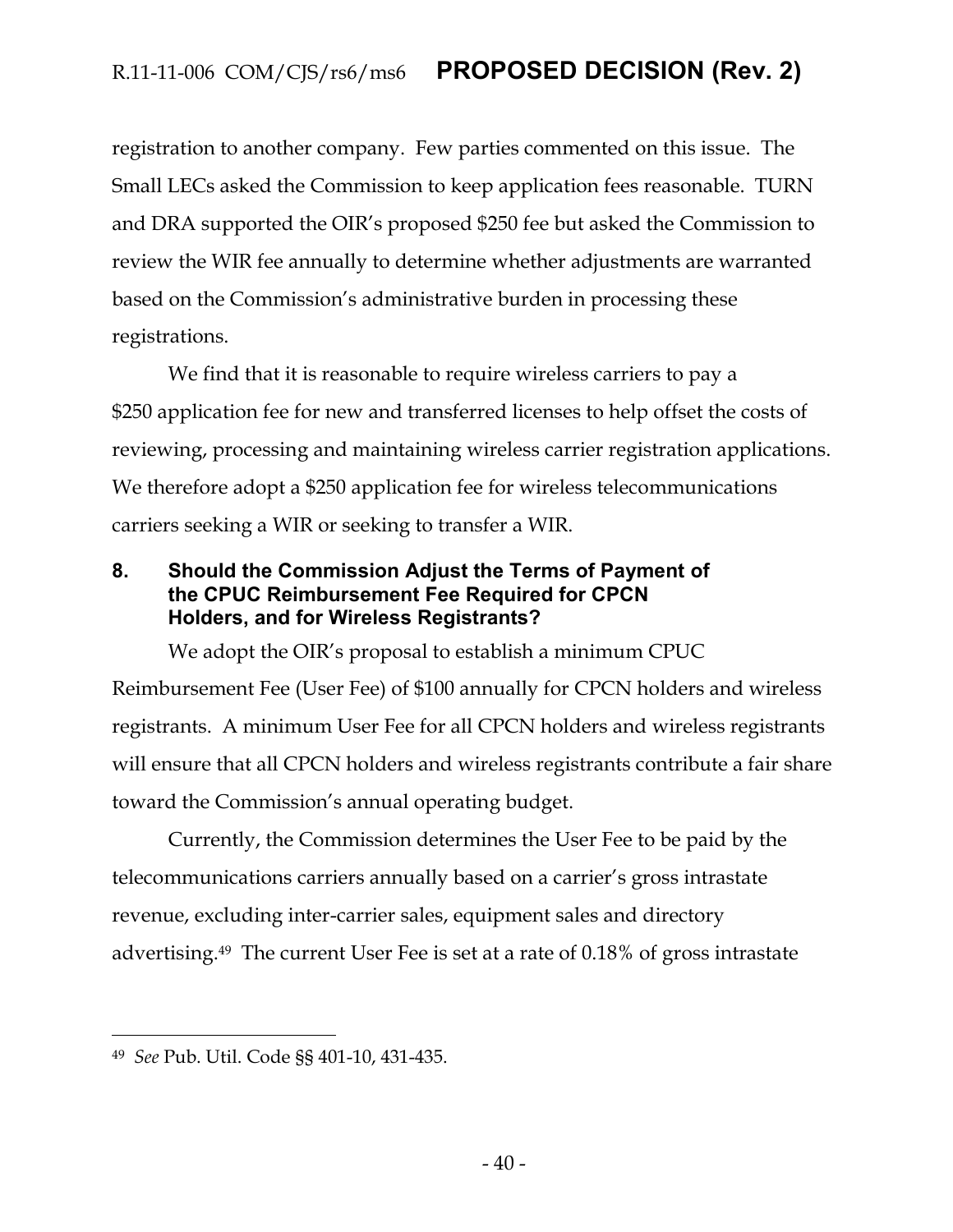registration to another company. Few parties commented on this issue. The Small LECs asked the Commission to keep application fees reasonable. TURN and DRA supported the OIR's proposed \$250 fee but asked the Commission to review the WIR fee annually to determine whether adjustments are warranted based on the Commission's administrative burden in processing these registrations.

We find that it is reasonable to require wireless carriers to pay a \$250 application fee for new and transferred licenses to help offset the costs of reviewing, processing and maintaining wireless carrier registration applications. We therefore adopt a \$250 application fee for wireless telecommunications carriers seeking a WIR or seeking to transfer a WIR.

#### <span id="page-40-0"></span>**8. Should the Commission Adjust the Terms of Payment of the CPUC Reimbursement Fee Required for CPCN Holders, and for Wireless Registrants?**

We adopt the OIR's proposal to establish a minimum CPUC Reimbursement Fee (User Fee) of \$100 annually for CPCN holders and wireless registrants. A minimum User Fee for all CPCN holders and wireless registrants will ensure that all CPCN holders and wireless registrants contribute a fair share toward the Commission's annual operating budget.

Currently, the Commission determines the User Fee to be paid by the telecommunications carriers annually based on a carrier's gross intrastate revenue, excluding inter-carrier sales, equipment sales and directory advertising.49 The current User Fee is set at a rate of 0.18% of gross intrastate

<sup>49</sup> *See* Pub. Util. Code §§ 401-10, 431-435.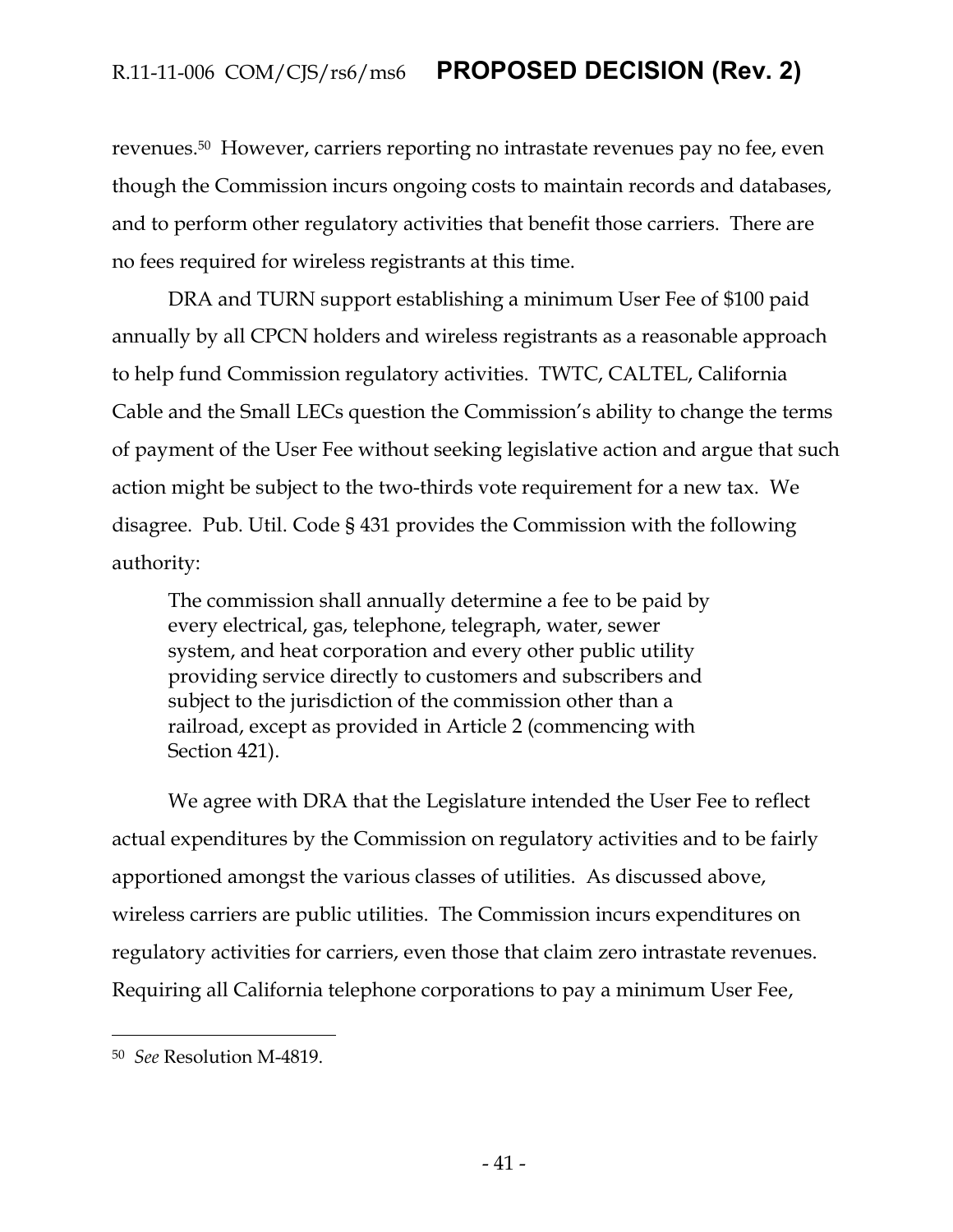revenues.50 However, carriers reporting no intrastate revenues pay no fee, even though the Commission incurs ongoing costs to maintain records and databases, and to perform other regulatory activities that benefit those carriers. There are no fees required for wireless registrants at this time.

DRA and TURN support establishing a minimum User Fee of \$100 paid annually by all CPCN holders and wireless registrants as a reasonable approach to help fund Commission regulatory activities. TWTC, CALTEL, California Cable and the Small LECs question the Commission's ability to change the terms of payment of the User Fee without seeking legislative action and argue that such action might be subject to the two-thirds vote requirement for a new tax. We disagree. Pub. Util. Code § 431 provides the Commission with the following authority:

The commission shall annually determine a fee to be paid by every electrical, gas, telephone, telegraph, water, sewer system, and heat corporation and every other public utility providing service directly to customers and subscribers and subject to the jurisdiction of the commission other than a railroad, except as provided in Article 2 (commencing with Section 421).

We agree with DRA that the Legislature intended the User Fee to reflect actual expenditures by the Commission on regulatory activities and to be fairly apportioned amongst the various classes of utilities. As discussed above, wireless carriers are public utilities. The Commission incurs expenditures on regulatory activities for carriers, even those that claim zero intrastate revenues. Requiring all California telephone corporations to pay a minimum User Fee,

<sup>50</sup> *See* Resolution M-4819.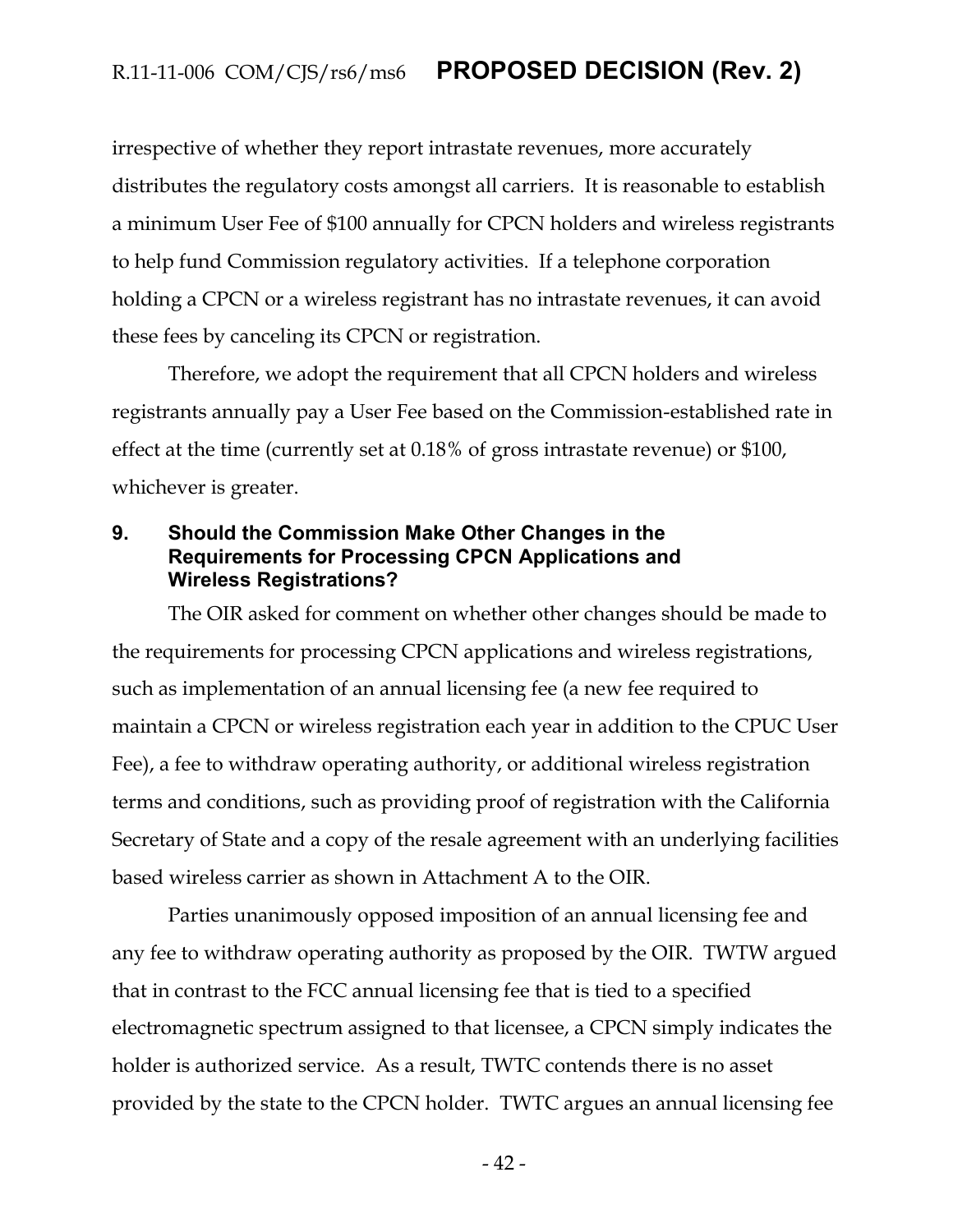irrespective of whether they report intrastate revenues, more accurately distributes the regulatory costs amongst all carriers. It is reasonable to establish a minimum User Fee of \$100 annually for CPCN holders and wireless registrants to help fund Commission regulatory activities. If a telephone corporation holding a CPCN or a wireless registrant has no intrastate revenues, it can avoid these fees by canceling its CPCN or registration.

Therefore, we adopt the requirement that all CPCN holders and wireless registrants annually pay a User Fee based on the Commission-established rate in effect at the time (currently set at 0.18% of gross intrastate revenue) or \$100, whichever is greater.

#### <span id="page-42-0"></span>**9. Should the Commission Make Other Changes in the Requirements for Processing CPCN Applications and Wireless Registrations?**

The OIR asked for comment on whether other changes should be made to the requirements for processing CPCN applications and wireless registrations, such as implementation of an annual licensing fee (a new fee required to maintain a CPCN or wireless registration each year in addition to the CPUC User Fee), a fee to withdraw operating authority, or additional wireless registration terms and conditions, such as providing proof of registration with the California Secretary of State and a copy of the resale agreement with an underlying facilities based wireless carrier as shown in Attachment A to the OIR.

Parties unanimously opposed imposition of an annual licensing fee and any fee to withdraw operating authority as proposed by the OIR. TWTW argued that in contrast to the FCC annual licensing fee that is tied to a specified electromagnetic spectrum assigned to that licensee, a CPCN simply indicates the holder is authorized service. As a result, TWTC contends there is no asset provided by the state to the CPCN holder. TWTC argues an annual licensing fee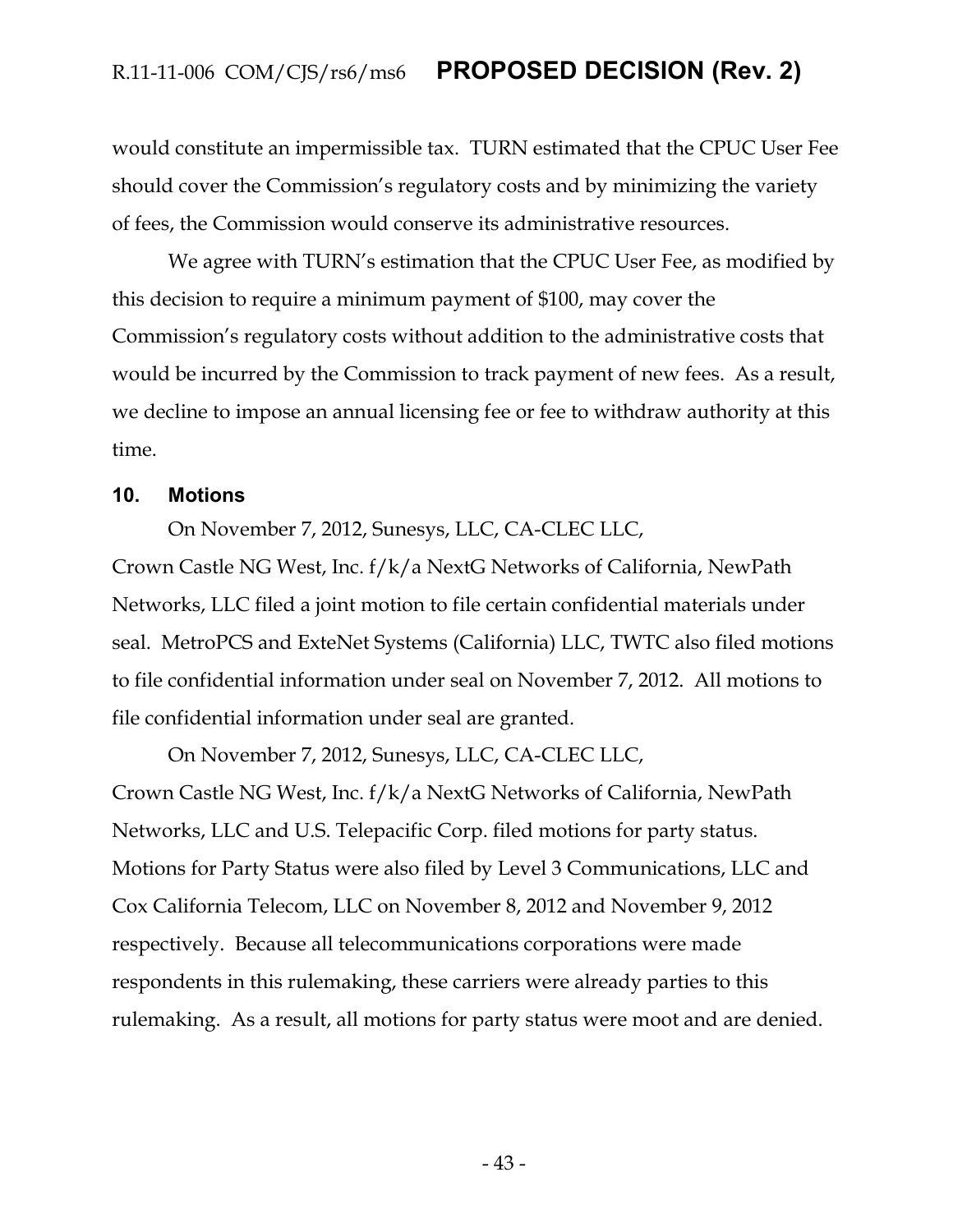would constitute an impermissible tax. TURN estimated that the CPUC User Fee should cover the Commission's regulatory costs and by minimizing the variety of fees, the Commission would conserve its administrative resources.

We agree with TURN's estimation that the CPUC User Fee, as modified by this decision to require a minimum payment of \$100, may cover the Commission's regulatory costs without addition to the administrative costs that would be incurred by the Commission to track payment of new fees. As a result, we decline to impose an annual licensing fee or fee to withdraw authority at this time.

#### <span id="page-43-0"></span>**10. Motions**

On November 7, 2012, Sunesys, LLC, CA-CLEC LLC,

Crown Castle NG West, Inc. f/k/a NextG Networks of California, NewPath Networks, LLC filed a joint motion to file certain confidential materials under seal. MetroPCS and ExteNet Systems (California) LLC, TWTC also filed motions to file confidential information under seal on November 7, 2012. All motions to file confidential information under seal are granted.

On November 7, 2012, Sunesys, LLC, CA-CLEC LLC, Crown Castle NG West, Inc. f/k/a NextG Networks of California, NewPath Networks, LLC and U.S. Telepacific Corp. filed motions for party status. Motions for Party Status were also filed by Level 3 Communications, LLC and Cox California Telecom, LLC on November 8, 2012 and November 9, 2012 respectively. Because all telecommunications corporations were made respondents in this rulemaking, these carriers were already parties to this rulemaking. As a result, all motions for party status were moot and are denied.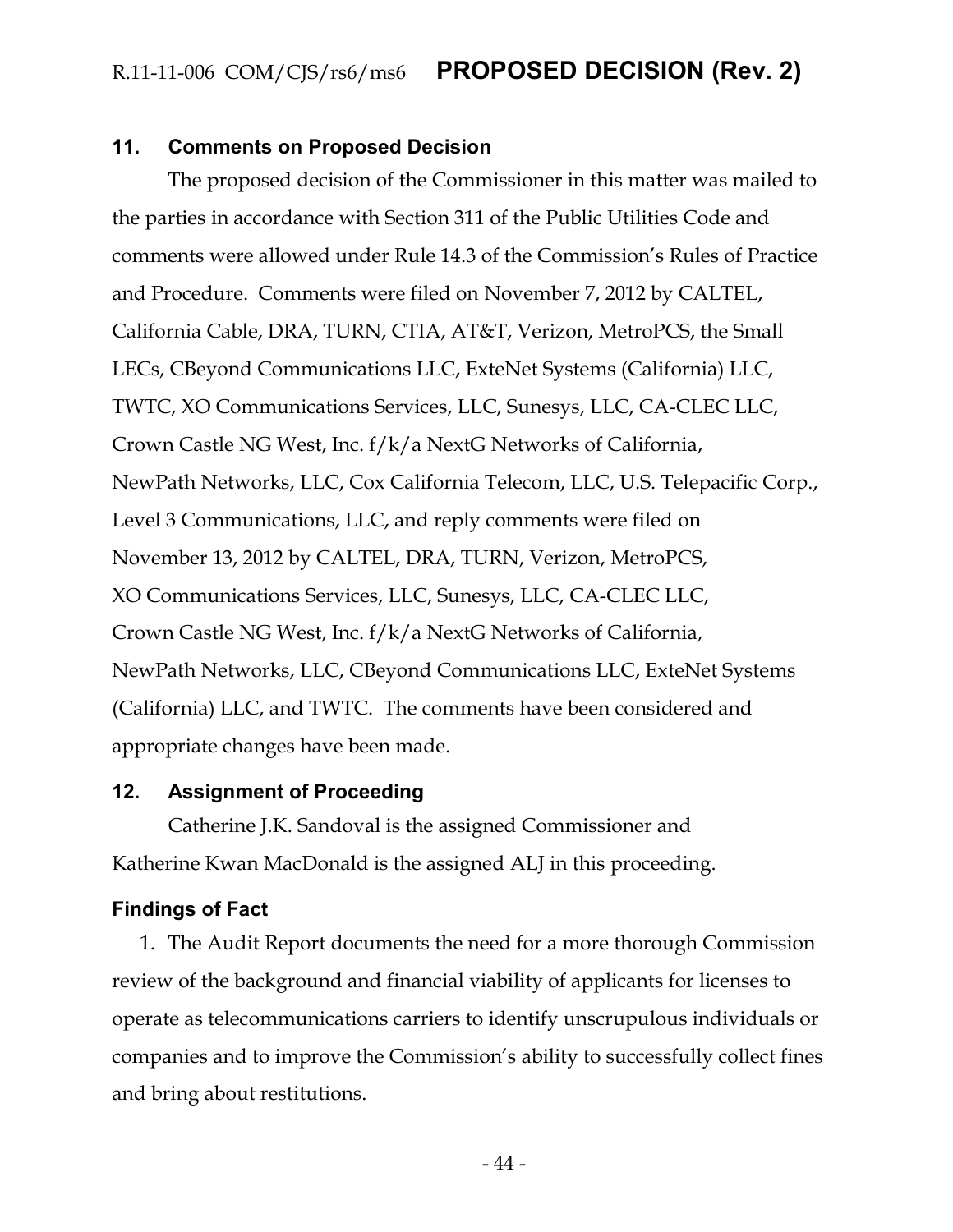#### <span id="page-44-0"></span>**11. Comments on Proposed Decision**

The proposed decision of the Commissioner in this matter was mailed to the parties in accordance with Section 311 of the Public Utilities Code and comments were allowed under Rule 14.3 of the Commission's Rules of Practice and Procedure. Comments were filed on November 7, 2012 by CALTEL, California Cable, DRA, TURN, CTIA, AT&T, Verizon, MetroPCS, the Small LECs, CBeyond Communications LLC, ExteNet Systems (California) LLC, TWTC, XO Communications Services, LLC, Sunesys, LLC, CA-CLEC LLC, Crown Castle NG West, Inc. f/k/a NextG Networks of California, NewPath Networks, LLC, Cox California Telecom, LLC, U.S. Telepacific Corp., Level 3 Communications, LLC, and reply comments were filed on November 13, 2012 by CALTEL, DRA, TURN, Verizon, MetroPCS, XO Communications Services, LLC, Sunesys, LLC, CA-CLEC LLC, Crown Castle NG West, Inc. f/k/a NextG Networks of California, NewPath Networks, LLC, CBeyond Communications LLC, ExteNet Systems (California) LLC, and TWTC. The comments have been considered and appropriate changes have been made.

#### <span id="page-44-1"></span>**12. Assignment of Proceeding**

Catherine J.K. Sandoval is the assigned Commissioner and Katherine Kwan MacDonald is the assigned ALJ in this proceeding.

#### <span id="page-44-2"></span>**Findings of Fact**

1. The Audit Report documents the need for a more thorough Commission review of the background and financial viability of applicants for licenses to operate as telecommunications carriers to identify unscrupulous individuals or companies and to improve the Commission's ability to successfully collect fines and bring about restitutions.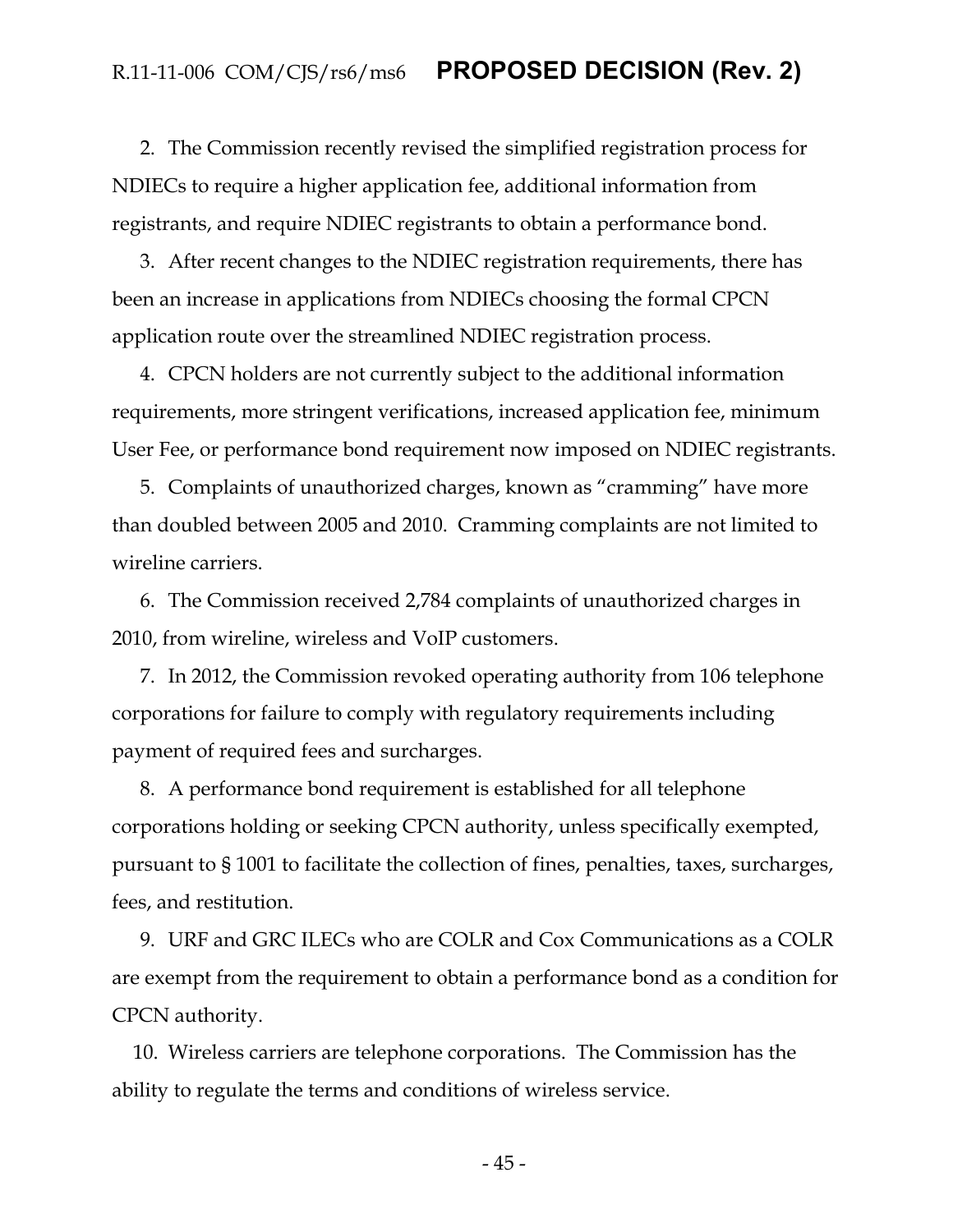2. The Commission recently revised the simplified registration process for NDIECs to require a higher application fee, additional information from registrants, and require NDIEC registrants to obtain a performance bond.

3. After recent changes to the NDIEC registration requirements, there has been an increase in applications from NDIECs choosing the formal CPCN application route over the streamlined NDIEC registration process.

4. CPCN holders are not currently subject to the additional information requirements, more stringent verifications, increased application fee, minimum User Fee, or performance bond requirement now imposed on NDIEC registrants.

5. Complaints of unauthorized charges, known as "cramming" have more than doubled between 2005 and 2010. Cramming complaints are not limited to wireline carriers.

6. The Commission received 2,784 complaints of unauthorized charges in 2010, from wireline, wireless and VoIP customers.

7. In 2012, the Commission revoked operating authority from 106 telephone corporations for failure to comply with regulatory requirements including payment of required fees and surcharges.

8. A performance bond requirement is established for all telephone corporations holding or seeking CPCN authority, unless specifically exempted, pursuant to § 1001 to facilitate the collection of fines, penalties, taxes, surcharges, fees, and restitution.

9. URF and GRC ILECs who are COLR and Cox Communications as a COLR are exempt from the requirement to obtain a performance bond as a condition for CPCN authority.

10. Wireless carriers are telephone corporations. The Commission has the ability to regulate the terms and conditions of wireless service.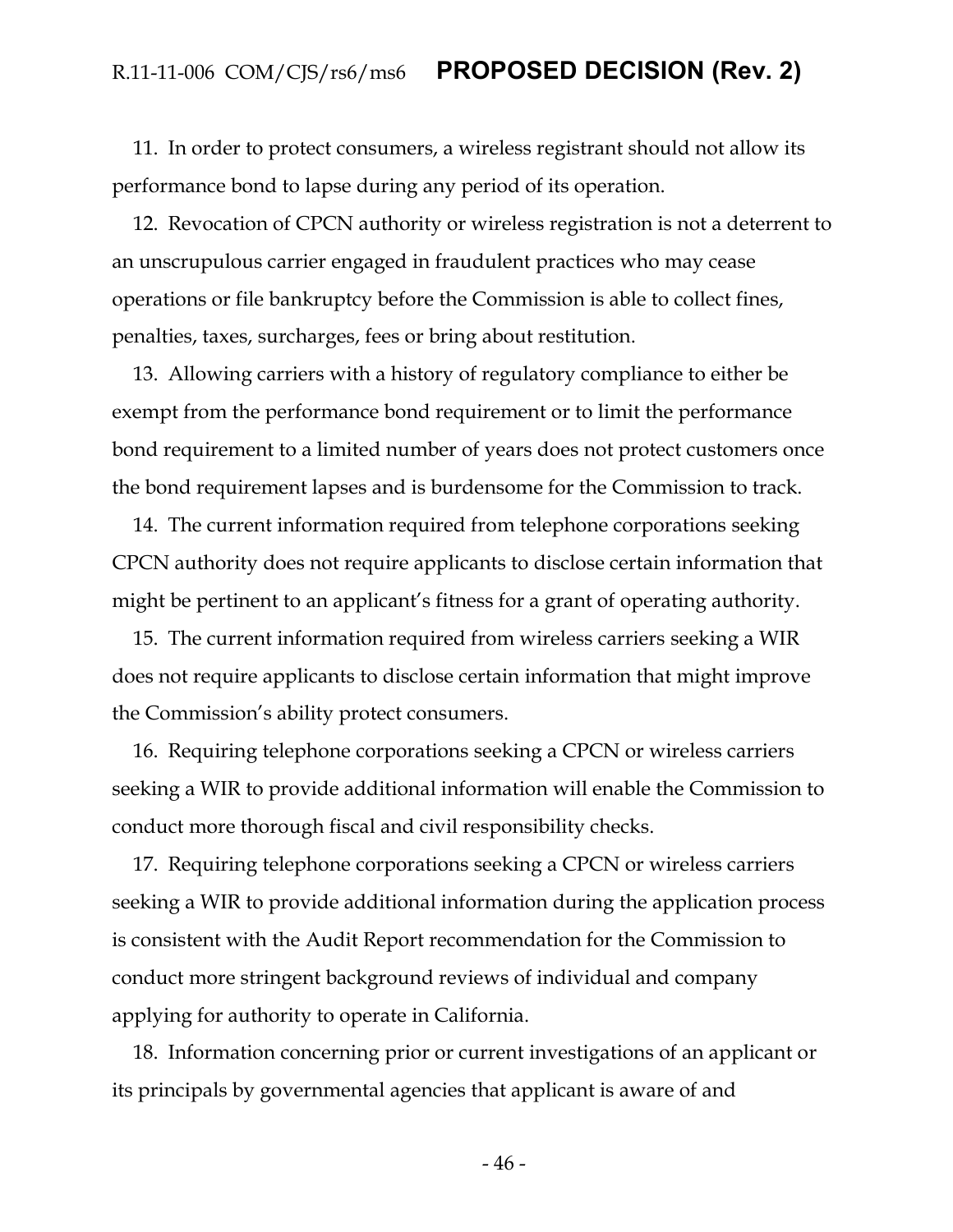11. In order to protect consumers, a wireless registrant should not allow its performance bond to lapse during any period of its operation.

12. Revocation of CPCN authority or wireless registration is not a deterrent to an unscrupulous carrier engaged in fraudulent practices who may cease operations or file bankruptcy before the Commission is able to collect fines, penalties, taxes, surcharges, fees or bring about restitution.

13. Allowing carriers with a history of regulatory compliance to either be exempt from the performance bond requirement or to limit the performance bond requirement to a limited number of years does not protect customers once the bond requirement lapses and is burdensome for the Commission to track.

14. The current information required from telephone corporations seeking CPCN authority does not require applicants to disclose certain information that might be pertinent to an applicant's fitness for a grant of operating authority.

15. The current information required from wireless carriers seeking a WIR does not require applicants to disclose certain information that might improve the Commission's ability protect consumers.

16. Requiring telephone corporations seeking a CPCN or wireless carriers seeking a WIR to provide additional information will enable the Commission to conduct more thorough fiscal and civil responsibility checks.

17. Requiring telephone corporations seeking a CPCN or wireless carriers seeking a WIR to provide additional information during the application process is consistent with the Audit Report recommendation for the Commission to conduct more stringent background reviews of individual and company applying for authority to operate in California.

18. Information concerning prior or current investigations of an applicant or its principals by governmental agencies that applicant is aware of and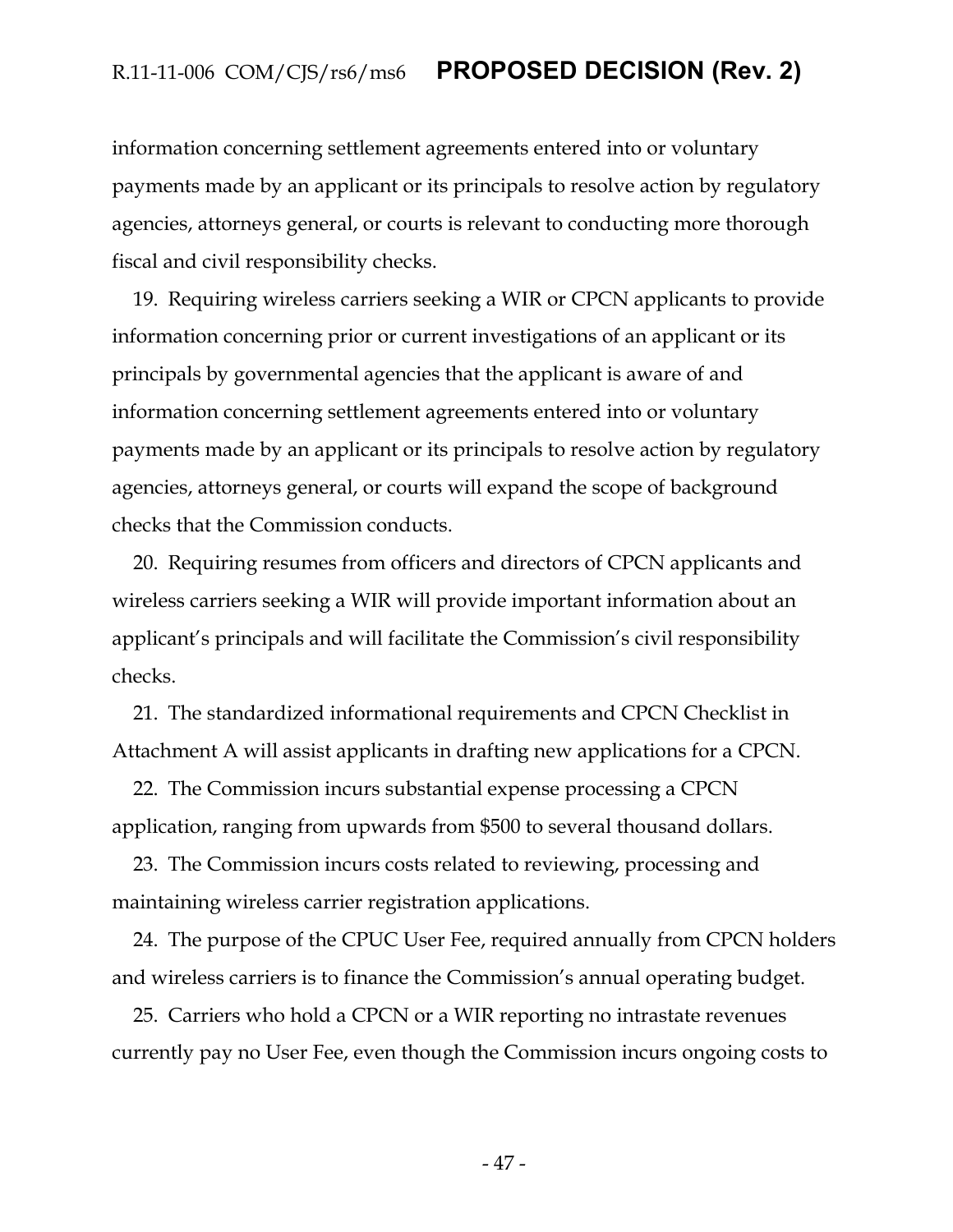information concerning settlement agreements entered into or voluntary payments made by an applicant or its principals to resolve action by regulatory agencies, attorneys general, or courts is relevant to conducting more thorough fiscal and civil responsibility checks.

19. Requiring wireless carriers seeking a WIR or CPCN applicants to provide information concerning prior or current investigations of an applicant or its principals by governmental agencies that the applicant is aware of and information concerning settlement agreements entered into or voluntary payments made by an applicant or its principals to resolve action by regulatory agencies, attorneys general, or courts will expand the scope of background checks that the Commission conducts.

20. Requiring resumes from officers and directors of CPCN applicants and wireless carriers seeking a WIR will provide important information about an applicant's principals and will facilitate the Commission's civil responsibility checks.

21. The standardized informational requirements and CPCN Checklist in Attachment A will assist applicants in drafting new applications for a CPCN.

22. The Commission incurs substantial expense processing a CPCN application, ranging from upwards from \$500 to several thousand dollars.

23. The Commission incurs costs related to reviewing, processing and maintaining wireless carrier registration applications.

24. The purpose of the CPUC User Fee, required annually from CPCN holders and wireless carriers is to finance the Commission's annual operating budget.

25. Carriers who hold a CPCN or a WIR reporting no intrastate revenues currently pay no User Fee, even though the Commission incurs ongoing costs to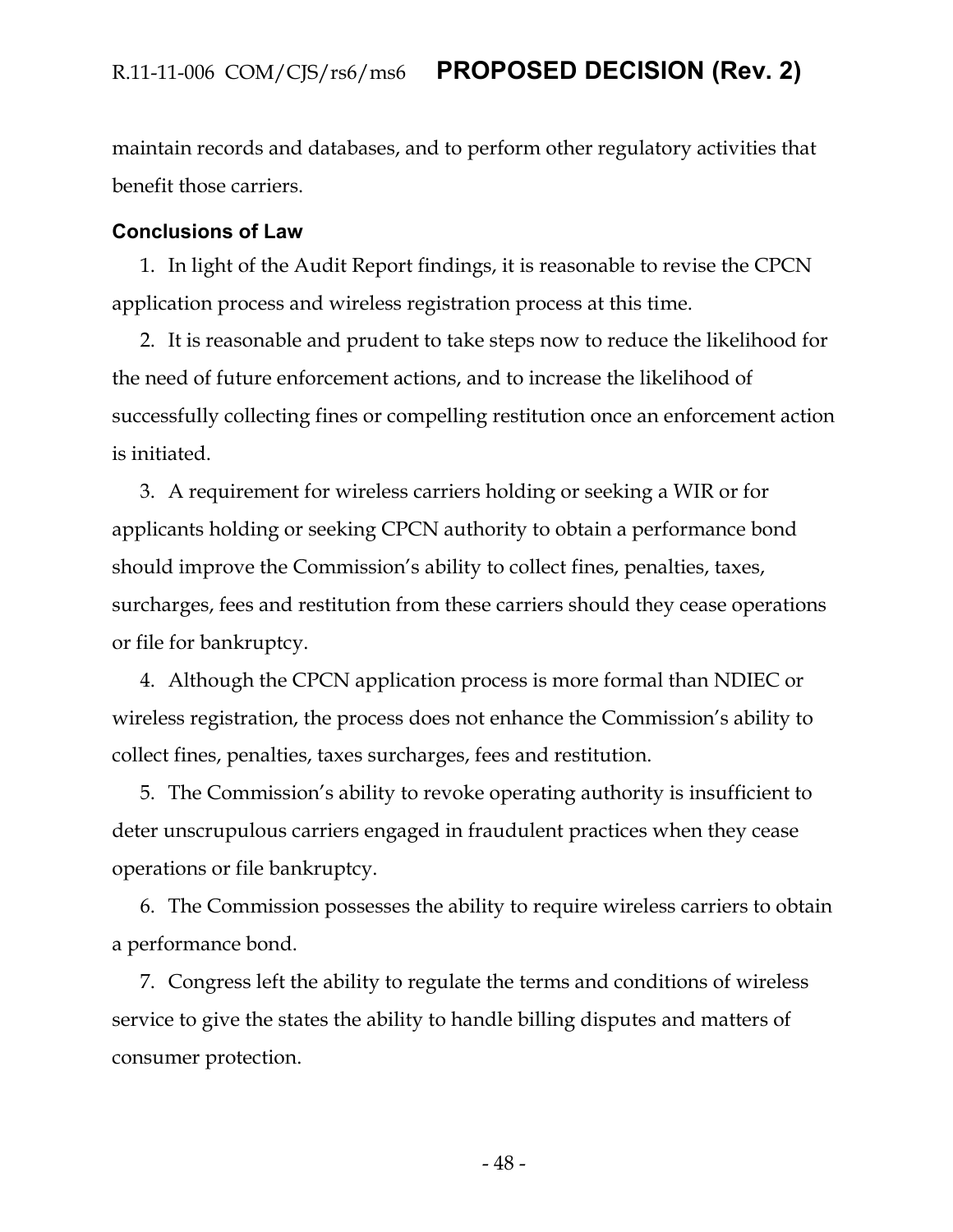maintain records and databases, and to perform other regulatory activities that benefit those carriers.

#### <span id="page-48-0"></span>**Conclusions of Law**

1. In light of the Audit Report findings, it is reasonable to revise the CPCN application process and wireless registration process at this time.

2. It is reasonable and prudent to take steps now to reduce the likelihood for the need of future enforcement actions, and to increase the likelihood of successfully collecting fines or compelling restitution once an enforcement action is initiated.

3. A requirement for wireless carriers holding or seeking a WIR or for applicants holding or seeking CPCN authority to obtain a performance bond should improve the Commission's ability to collect fines, penalties, taxes, surcharges, fees and restitution from these carriers should they cease operations or file for bankruptcy.

4. Although the CPCN application process is more formal than NDIEC or wireless registration, the process does not enhance the Commission's ability to collect fines, penalties, taxes surcharges, fees and restitution.

5. The Commission's ability to revoke operating authority is insufficient to deter unscrupulous carriers engaged in fraudulent practices when they cease operations or file bankruptcy.

6. The Commission possesses the ability to require wireless carriers to obtain a performance bond.

7. Congress left the ability to regulate the terms and conditions of wireless service to give the states the ability to handle billing disputes and matters of consumer protection.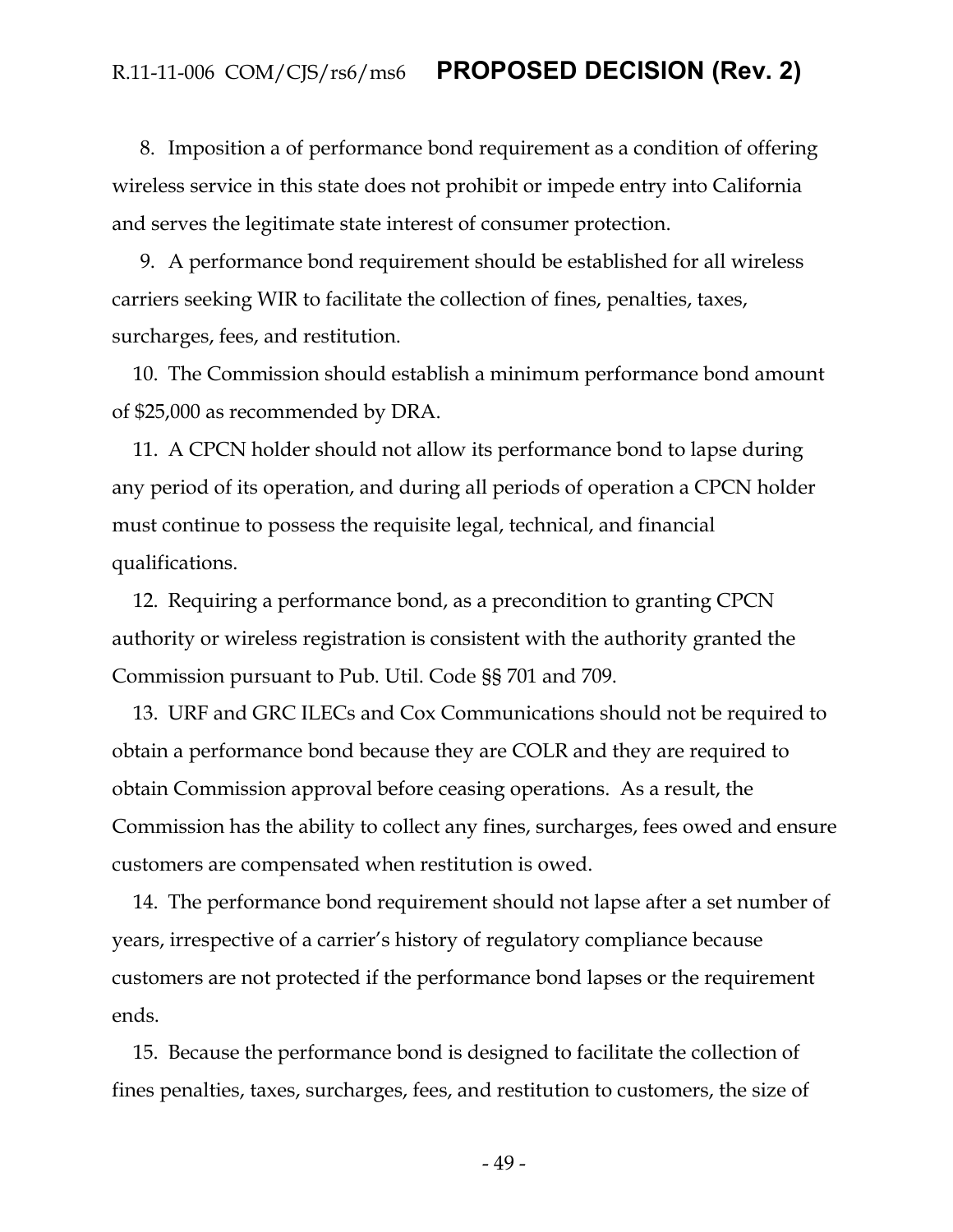8. Imposition a of performance bond requirement as a condition of offering wireless service in this state does not prohibit or impede entry into California and serves the legitimate state interest of consumer protection.

9. A performance bond requirement should be established for all wireless carriers seeking WIR to facilitate the collection of fines, penalties, taxes, surcharges, fees, and restitution.

10. The Commission should establish a minimum performance bond amount of \$25,000 as recommended by DRA.

11. A CPCN holder should not allow its performance bond to lapse during any period of its operation, and during all periods of operation a CPCN holder must continue to possess the requisite legal, technical, and financial qualifications.

12. Requiring a performance bond, as a precondition to granting CPCN authority or wireless registration is consistent with the authority granted the Commission pursuant to Pub. Util. Code §§ 701 and 709.

13. URF and GRC ILECs and Cox Communications should not be required to obtain a performance bond because they are COLR and they are required to obtain Commission approval before ceasing operations. As a result, the Commission has the ability to collect any fines, surcharges, fees owed and ensure customers are compensated when restitution is owed.

14. The performance bond requirement should not lapse after a set number of years, irrespective of a carrier's history of regulatory compliance because customers are not protected if the performance bond lapses or the requirement ends.

15. Because the performance bond is designed to facilitate the collection of fines penalties, taxes, surcharges, fees, and restitution to customers, the size of

- 49 -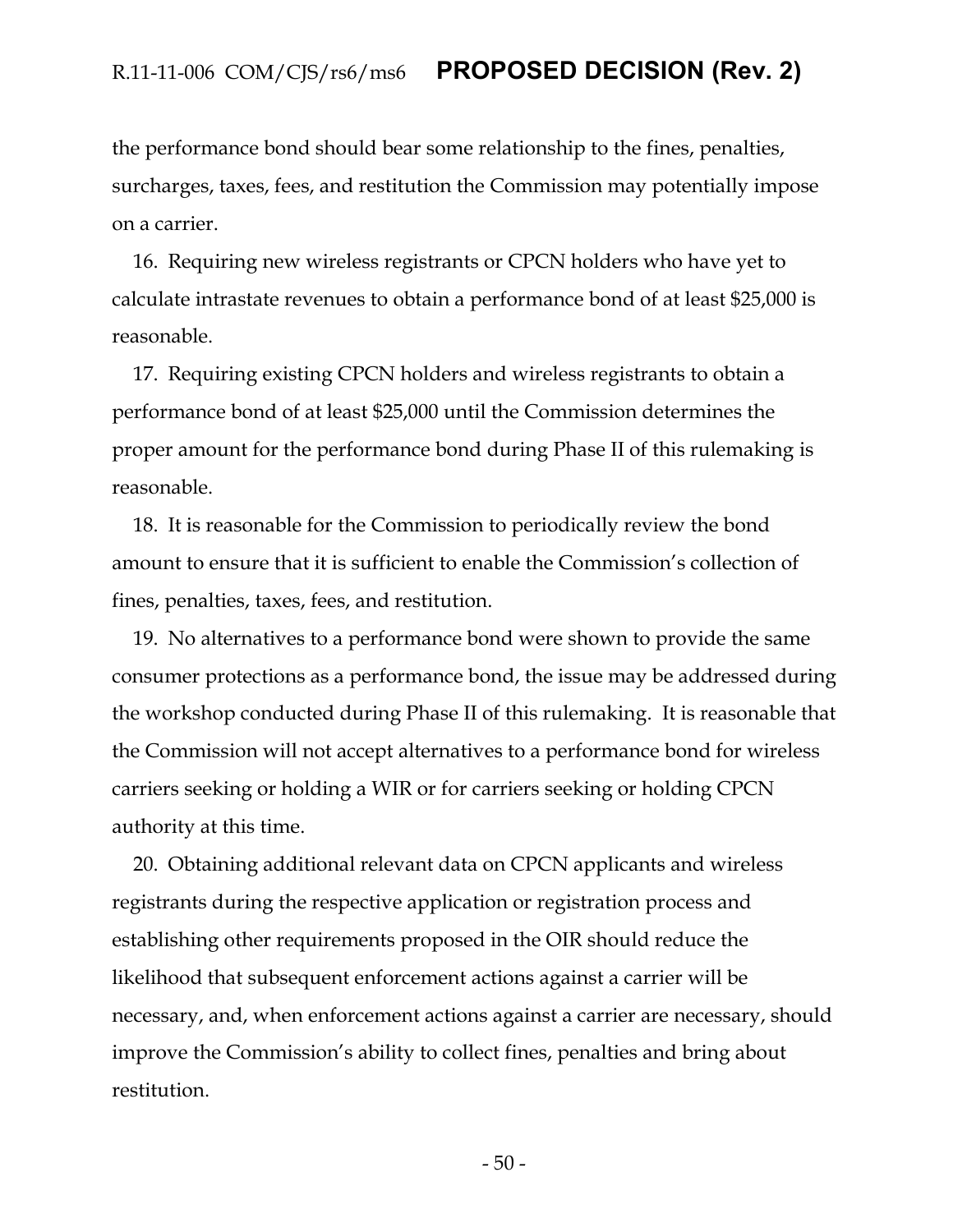the performance bond should bear some relationship to the fines, penalties, surcharges, taxes, fees, and restitution the Commission may potentially impose on a carrier.

16. Requiring new wireless registrants or CPCN holders who have yet to calculate intrastate revenues to obtain a performance bond of at least \$25,000 is reasonable.

17. Requiring existing CPCN holders and wireless registrants to obtain a performance bond of at least \$25,000 until the Commission determines the proper amount for the performance bond during Phase II of this rulemaking is reasonable.

18. It is reasonable for the Commission to periodically review the bond amount to ensure that it is sufficient to enable the Commission's collection of fines, penalties, taxes, fees, and restitution.

19. No alternatives to a performance bond were shown to provide the same consumer protections as a performance bond, the issue may be addressed during the workshop conducted during Phase II of this rulemaking. It is reasonable that the Commission will not accept alternatives to a performance bond for wireless carriers seeking or holding a WIR or for carriers seeking or holding CPCN authority at this time.

20. Obtaining additional relevant data on CPCN applicants and wireless registrants during the respective application or registration process and establishing other requirements proposed in the OIR should reduce the likelihood that subsequent enforcement actions against a carrier will be necessary, and, when enforcement actions against a carrier are necessary, should improve the Commission's ability to collect fines, penalties and bring about restitution.

- 50 -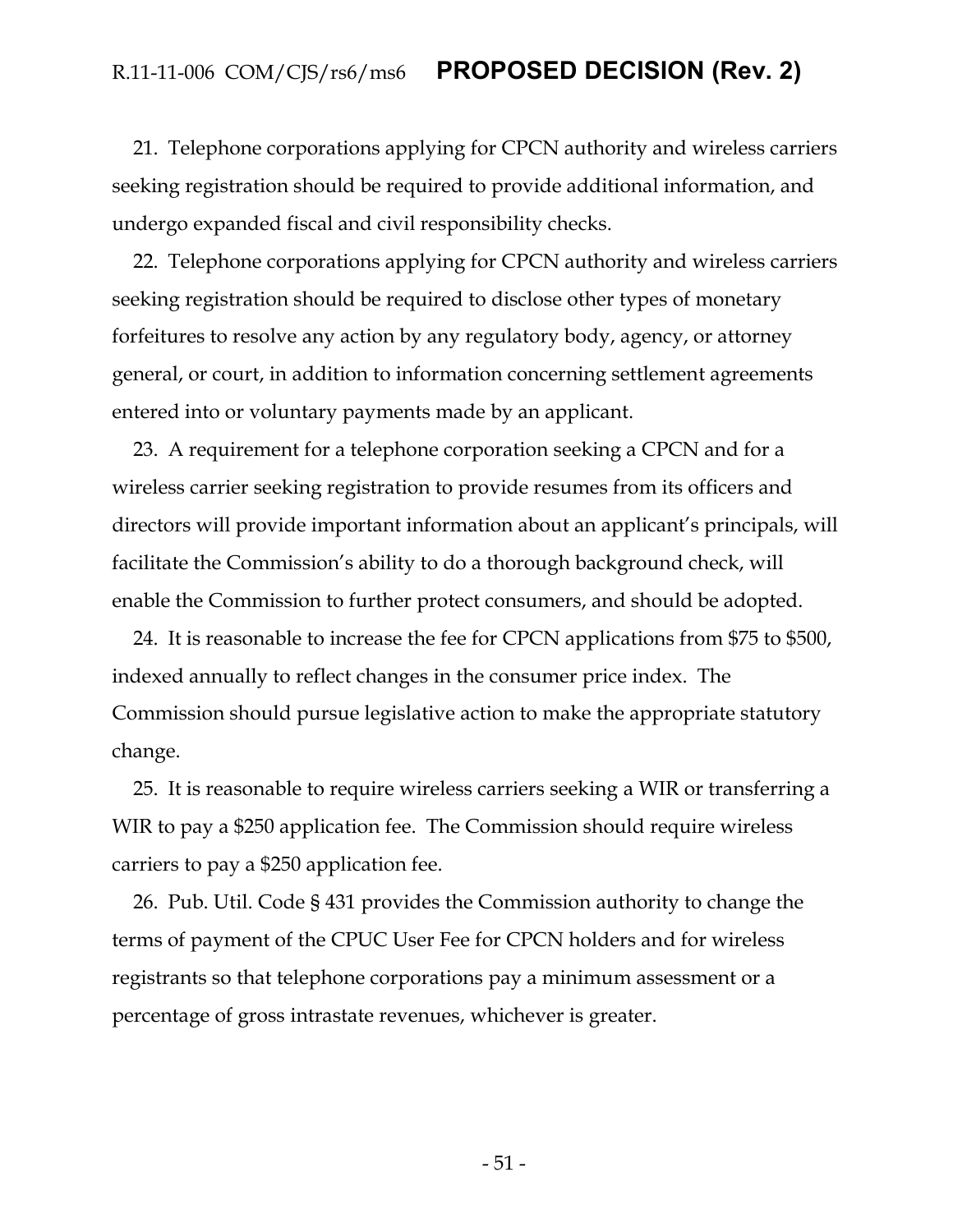21. Telephone corporations applying for CPCN authority and wireless carriers seeking registration should be required to provide additional information, and undergo expanded fiscal and civil responsibility checks.

22. Telephone corporations applying for CPCN authority and wireless carriers seeking registration should be required to disclose other types of monetary forfeitures to resolve any action by any regulatory body, agency, or attorney general, or court, in addition to information concerning settlement agreements entered into or voluntary payments made by an applicant.

23. A requirement for a telephone corporation seeking a CPCN and for a wireless carrier seeking registration to provide resumes from its officers and directors will provide important information about an applicant's principals, will facilitate the Commission's ability to do a thorough background check, will enable the Commission to further protect consumers, and should be adopted.

24. It is reasonable to increase the fee for CPCN applications from \$75 to \$500, indexed annually to reflect changes in the consumer price index. The Commission should pursue legislative action to make the appropriate statutory change.

25. It is reasonable to require wireless carriers seeking a WIR or transferring a WIR to pay a \$250 application fee. The Commission should require wireless carriers to pay a \$250 application fee.

26. Pub. Util. Code § 431 provides the Commission authority to change the terms of payment of the CPUC User Fee for CPCN holders and for wireless registrants so that telephone corporations pay a minimum assessment or a percentage of gross intrastate revenues, whichever is greater.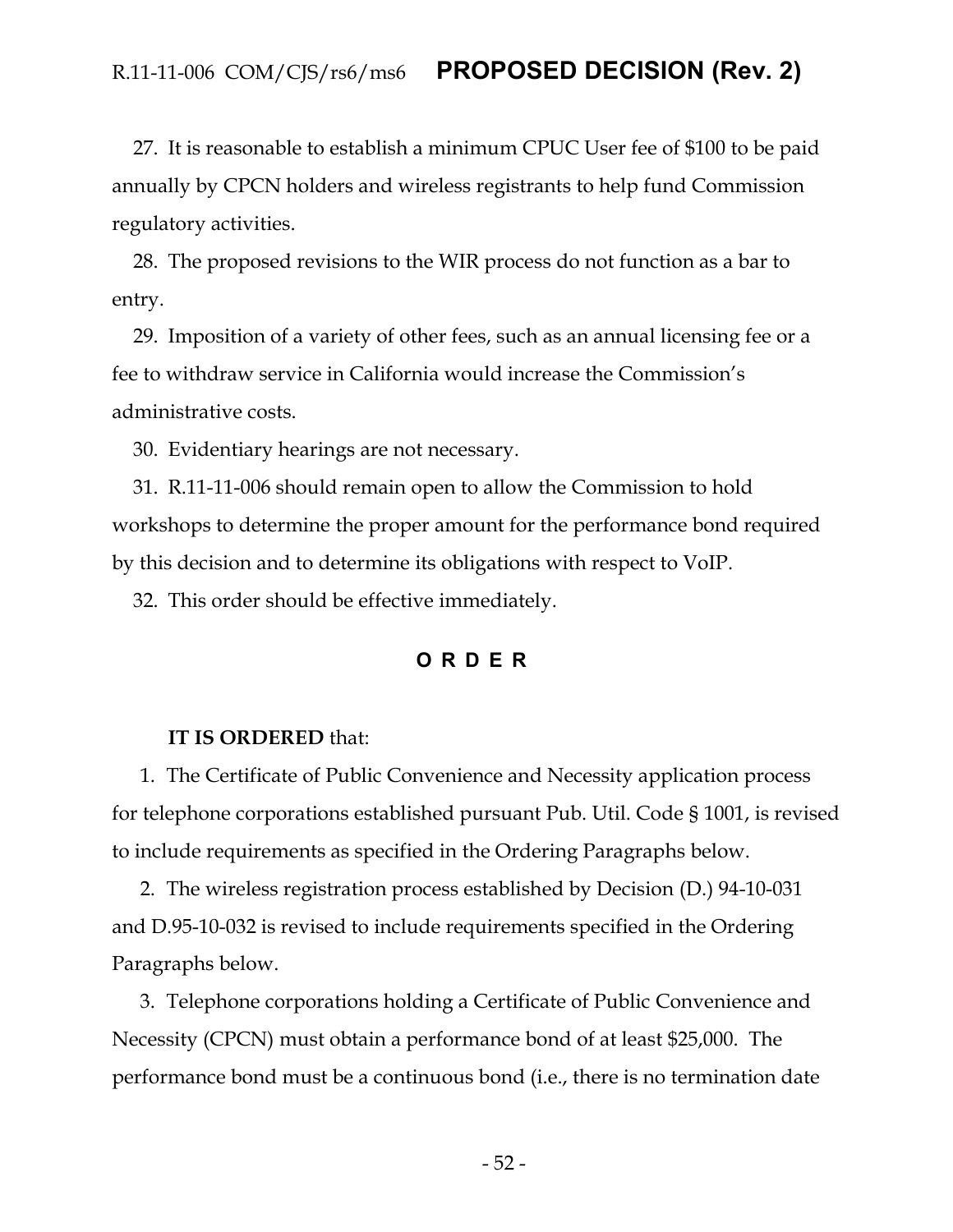27. It is reasonable to establish a minimum CPUC User fee of \$100 to be paid annually by CPCN holders and wireless registrants to help fund Commission regulatory activities.

28. The proposed revisions to the WIR process do not function as a bar to entry.

29. Imposition of a variety of other fees, such as an annual licensing fee or a fee to withdraw service in California would increase the Commission's administrative costs.

30. Evidentiary hearings are not necessary.

31. R.11-11-006 should remain open to allow the Commission to hold workshops to determine the proper amount for the performance bond required by this decision and to determine its obligations with respect to VoIP.

<span id="page-52-0"></span>32. This order should be effective immediately.

#### **ORDER**

#### **IT IS ORDERED** that:

1. The Certificate of Public Convenience and Necessity application process for telephone corporations established pursuant Pub. Util. Code § 1001, is revised to include requirements as specified in the Ordering Paragraphs below.

2. The wireless registration process established by Decision (D.) 94-10-031 and D.95-10-032 is revised to include requirements specified in the Ordering Paragraphs below.

3. Telephone corporations holding a Certificate of Public Convenience and Necessity (CPCN) must obtain a performance bond of at least \$25,000. The performance bond must be a continuous bond (i.e., there is no termination date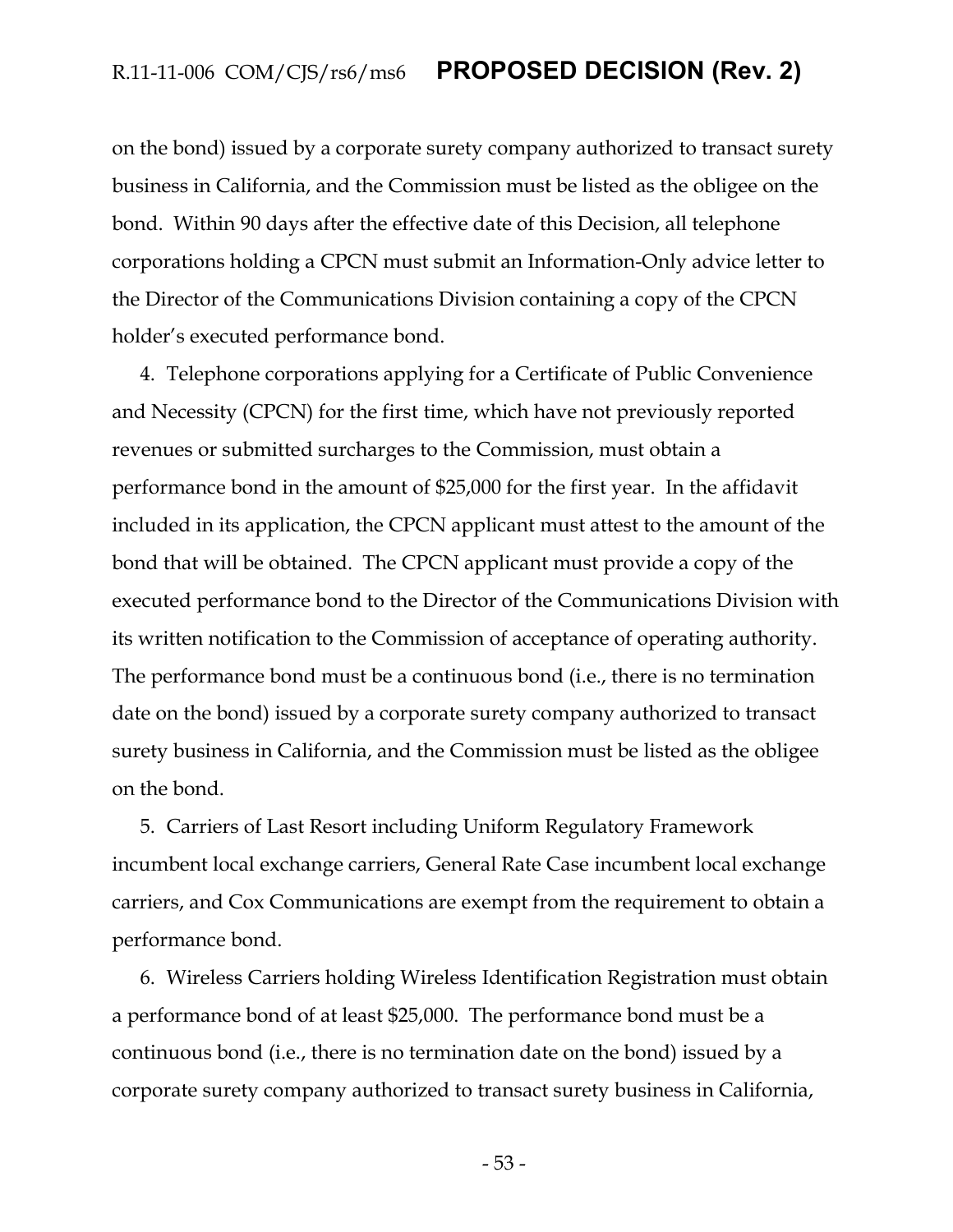on the bond) issued by a corporate surety company authorized to transact surety business in California, and the Commission must be listed as the obligee on the bond. Within 90 days after the effective date of this Decision, all telephone corporations holding a CPCN must submit an Information-Only advice letter to the Director of the Communications Division containing a copy of the CPCN holder's executed performance bond.

4. Telephone corporations applying for a Certificate of Public Convenience and Necessity (CPCN) for the first time, which have not previously reported revenues or submitted surcharges to the Commission, must obtain a performance bond in the amount of \$25,000 for the first year. In the affidavit included in its application, the CPCN applicant must attest to the amount of the bond that will be obtained. The CPCN applicant must provide a copy of the executed performance bond to the Director of the Communications Division with its written notification to the Commission of acceptance of operating authority. The performance bond must be a continuous bond (i.e., there is no termination date on the bond) issued by a corporate surety company authorized to transact surety business in California, and the Commission must be listed as the obligee on the bond.

5. Carriers of Last Resort including Uniform Regulatory Framework incumbent local exchange carriers, General Rate Case incumbent local exchange carriers, and Cox Communications are exempt from the requirement to obtain a performance bond.

6. Wireless Carriers holding Wireless Identification Registration must obtain a performance bond of at least \$25,000. The performance bond must be a continuous bond (i.e., there is no termination date on the bond) issued by a corporate surety company authorized to transact surety business in California,

- 53 -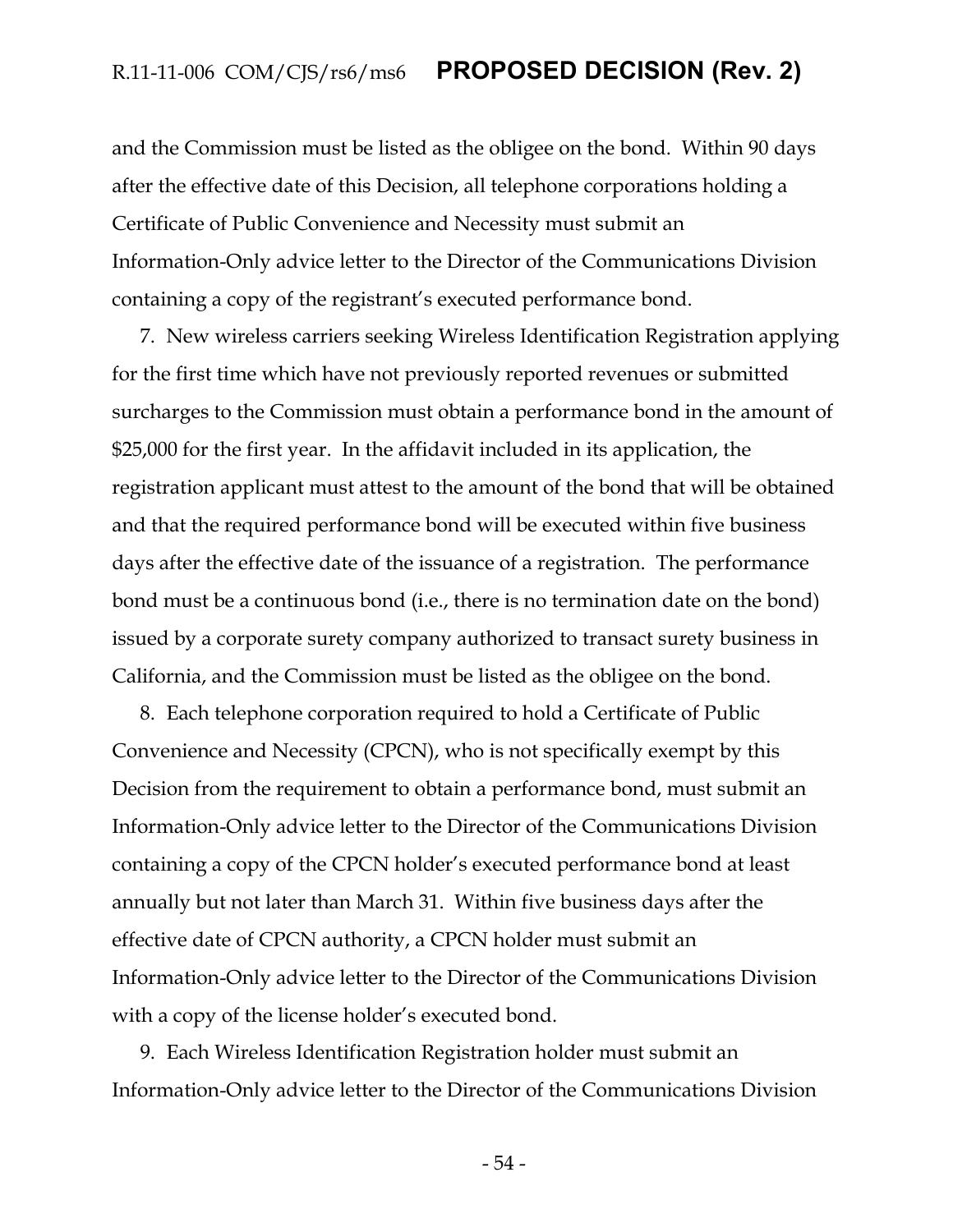and the Commission must be listed as the obligee on the bond. Within 90 days after the effective date of this Decision, all telephone corporations holding a Certificate of Public Convenience and Necessity must submit an Information-Only advice letter to the Director of the Communications Division containing a copy of the registrant's executed performance bond.

7. New wireless carriers seeking Wireless Identification Registration applying for the first time which have not previously reported revenues or submitted surcharges to the Commission must obtain a performance bond in the amount of \$25,000 for the first year. In the affidavit included in its application, the registration applicant must attest to the amount of the bond that will be obtained and that the required performance bond will be executed within five business days after the effective date of the issuance of a registration. The performance bond must be a continuous bond (i.e., there is no termination date on the bond) issued by a corporate surety company authorized to transact surety business in California, and the Commission must be listed as the obligee on the bond.

8. Each telephone corporation required to hold a Certificate of Public Convenience and Necessity (CPCN), who is not specifically exempt by this Decision from the requirement to obtain a performance bond, must submit an Information-Only advice letter to the Director of the Communications Division containing a copy of the CPCN holder's executed performance bond at least annually but not later than March 31. Within five business days after the effective date of CPCN authority, a CPCN holder must submit an Information-Only advice letter to the Director of the Communications Division with a copy of the license holder's executed bond.

9. Each Wireless Identification Registration holder must submit an Information-Only advice letter to the Director of the Communications Division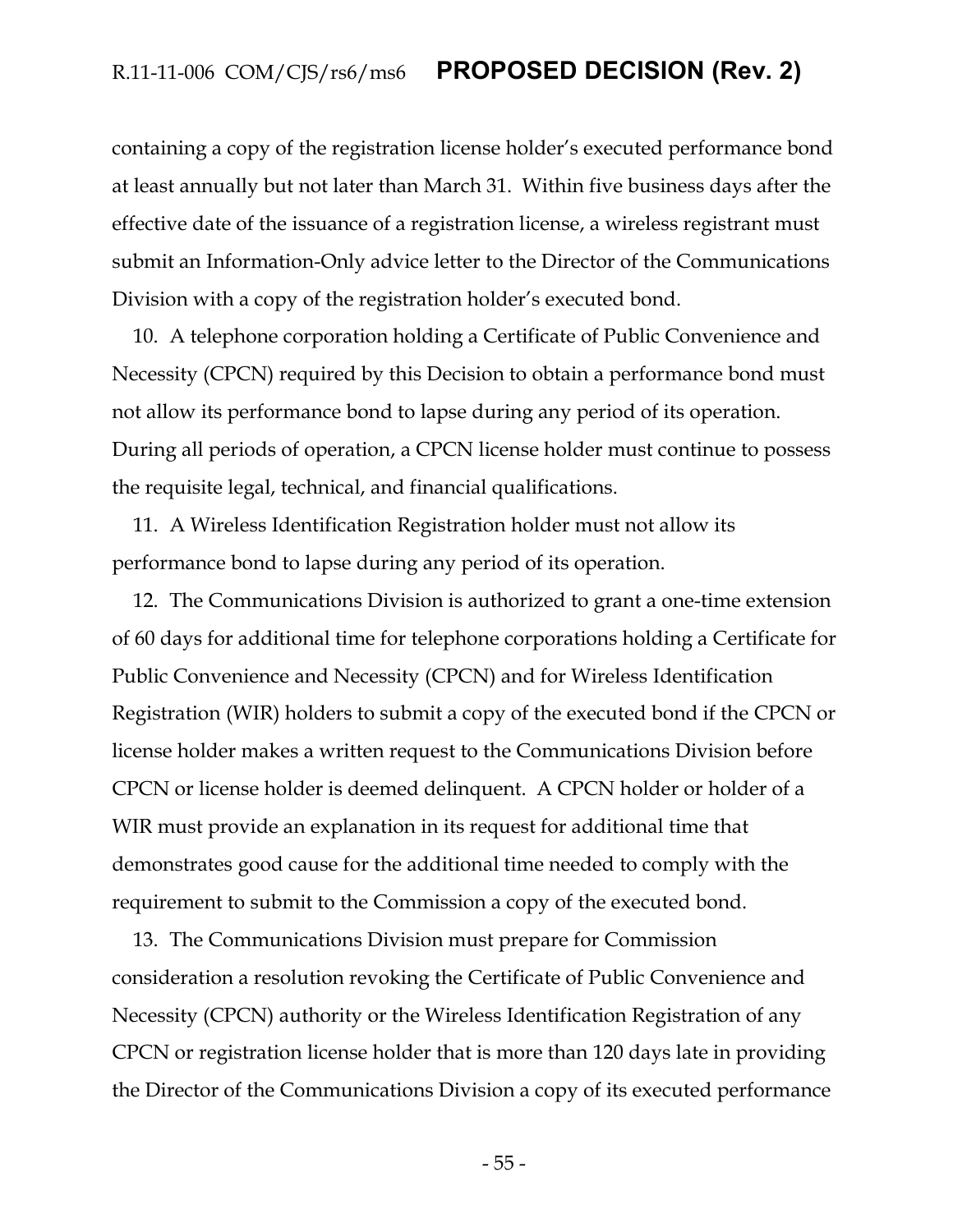containing a copy of the registration license holder's executed performance bond at least annually but not later than March 31. Within five business days after the effective date of the issuance of a registration license, a wireless registrant must submit an Information-Only advice letter to the Director of the Communications Division with a copy of the registration holder's executed bond.

10. A telephone corporation holding a Certificate of Public Convenience and Necessity (CPCN) required by this Decision to obtain a performance bond must not allow its performance bond to lapse during any period of its operation. During all periods of operation, a CPCN license holder must continue to possess the requisite legal, technical, and financial qualifications.

11. A Wireless Identification Registration holder must not allow its performance bond to lapse during any period of its operation.

12. The Communications Division is authorized to grant a one-time extension of 60 days for additional time for telephone corporations holding a Certificate for Public Convenience and Necessity (CPCN) and for Wireless Identification Registration (WIR) holders to submit a copy of the executed bond if the CPCN or license holder makes a written request to the Communications Division before CPCN or license holder is deemed delinquent. A CPCN holder or holder of a WIR must provide an explanation in its request for additional time that demonstrates good cause for the additional time needed to comply with the requirement to submit to the Commission a copy of the executed bond.

13. The Communications Division must prepare for Commission consideration a resolution revoking the Certificate of Public Convenience and Necessity (CPCN) authority or the Wireless Identification Registration of any CPCN or registration license holder that is more than 120 days late in providing the Director of the Communications Division a copy of its executed performance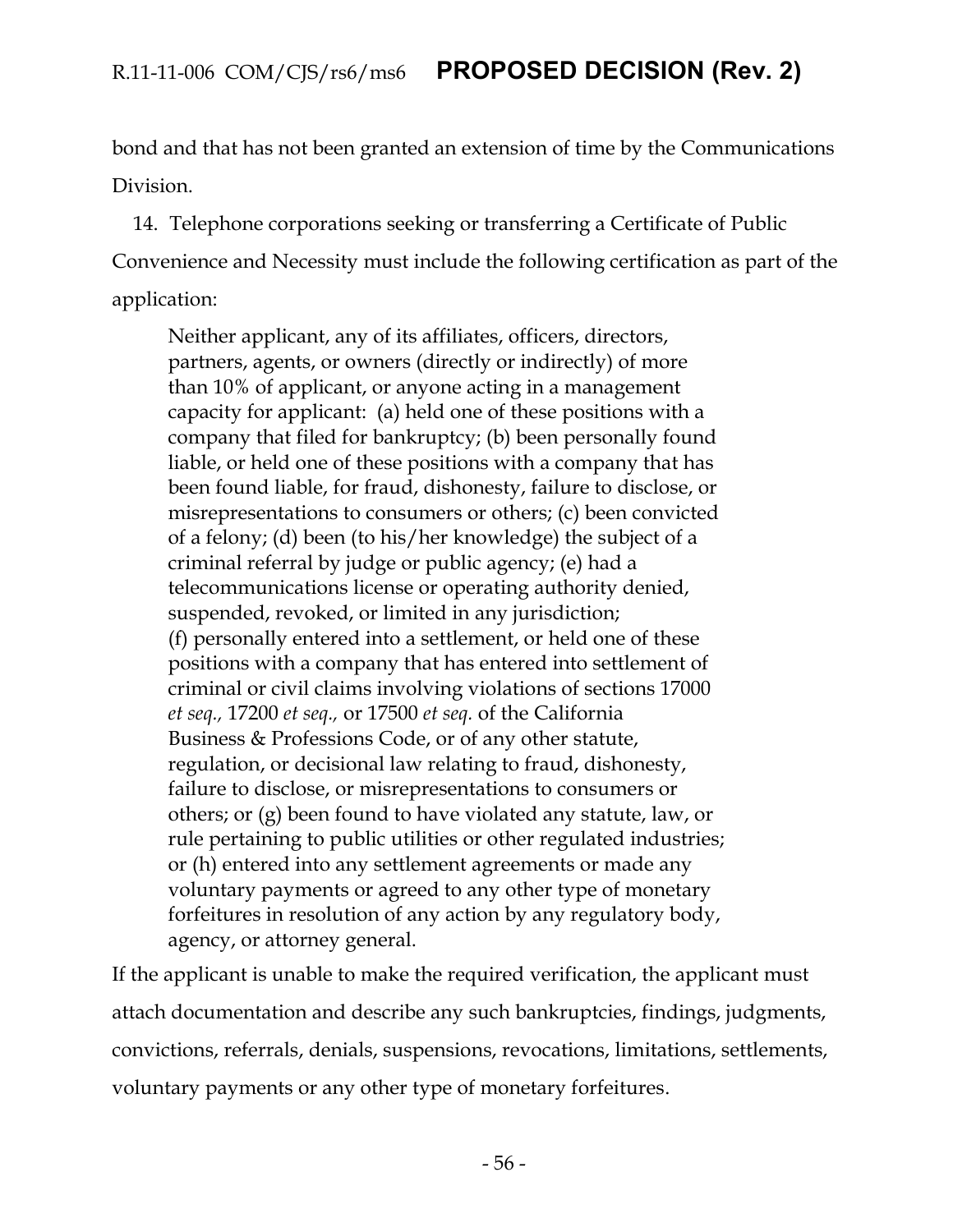bond and that has not been granted an extension of time by the Communications Division.

14. Telephone corporations seeking or transferring a Certificate of Public Convenience and Necessity must include the following certification as part of the application:

Neither applicant, any of its affiliates, officers, directors, partners, agents, or owners (directly or indirectly) of more than 10% of applicant, or anyone acting in a management capacity for applicant: (a) held one of these positions with a company that filed for bankruptcy; (b) been personally found liable, or held one of these positions with a company that has been found liable, for fraud, dishonesty, failure to disclose, or misrepresentations to consumers or others; (c) been convicted of a felony; (d) been (to his/her knowledge) the subject of a criminal referral by judge or public agency; (e) had a telecommunications license or operating authority denied, suspended, revoked, or limited in any jurisdiction; (f) personally entered into a settlement, or held one of these positions with a company that has entered into settlement of criminal or civil claims involving violations of sections 17000 *et seq.,* 17200 *et seq.,* or 17500 *et seq.* of the California Business & Professions Code, or of any other statute, regulation, or decisional law relating to fraud, dishonesty, failure to disclose, or misrepresentations to consumers or others; or (g) been found to have violated any statute, law, or rule pertaining to public utilities or other regulated industries; or (h) entered into any settlement agreements or made any voluntary payments or agreed to any other type of monetary forfeitures in resolution of any action by any regulatory body, agency, or attorney general.

If the applicant is unable to make the required verification, the applicant must attach documentation and describe any such bankruptcies, findings, judgments, convictions, referrals, denials, suspensions, revocations, limitations, settlements, voluntary payments or any other type of monetary forfeitures.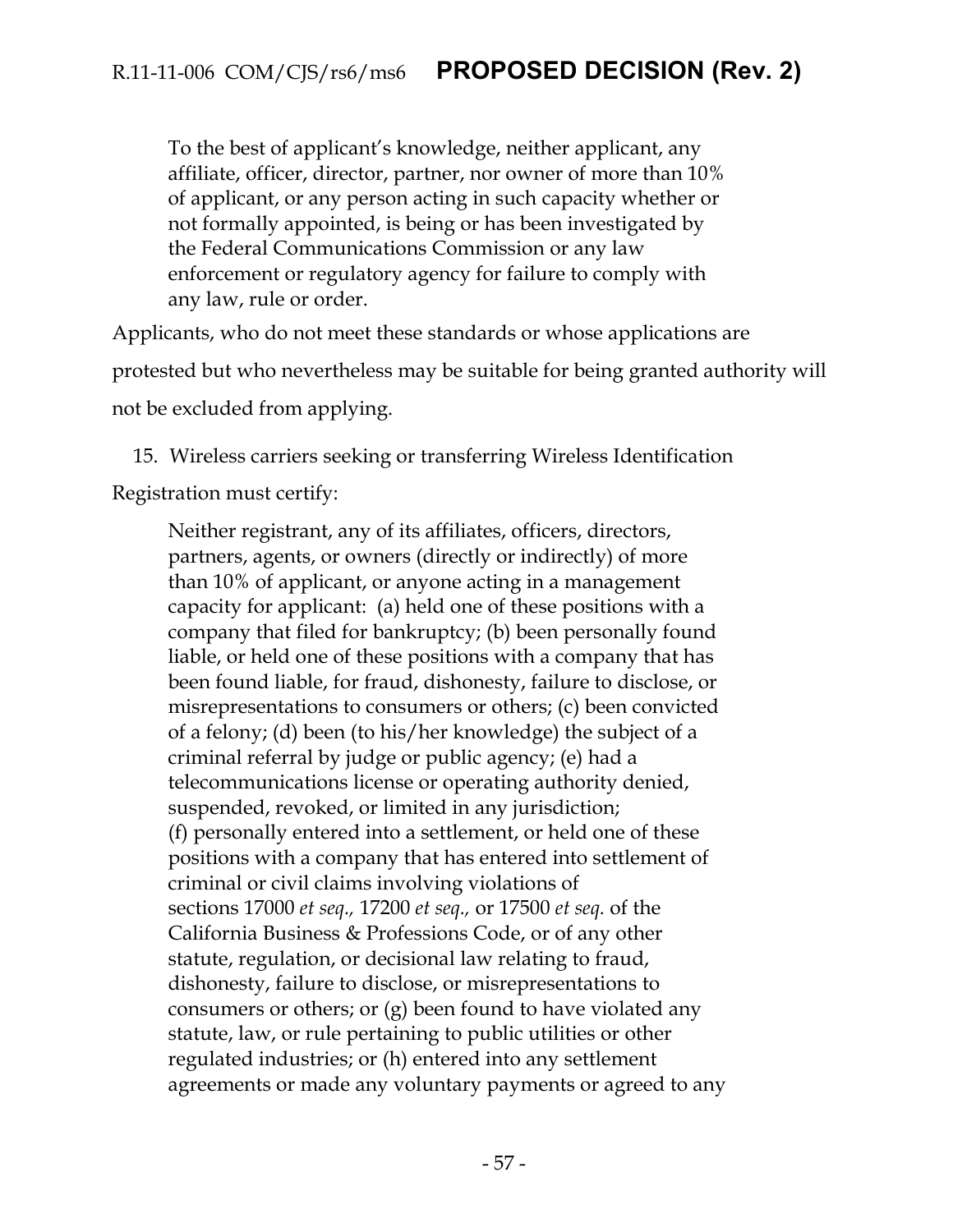To the best of applicant's knowledge, neither applicant, any affiliate, officer, director, partner, nor owner of more than 10% of applicant, or any person acting in such capacity whether or not formally appointed, is being or has been investigated by the Federal Communications Commission or any law enforcement or regulatory agency for failure to comply with any law, rule or order.

Applicants, who do not meet these standards or whose applications are protested but who nevertheless may be suitable for being granted authority will not be excluded from applying.

15. Wireless carriers seeking or transferring Wireless Identification

Registration must certify:

Neither registrant, any of its affiliates, officers, directors, partners, agents, or owners (directly or indirectly) of more than 10% of applicant, or anyone acting in a management capacity for applicant: (a) held one of these positions with a company that filed for bankruptcy; (b) been personally found liable, or held one of these positions with a company that has been found liable, for fraud, dishonesty, failure to disclose, or misrepresentations to consumers or others; (c) been convicted of a felony; (d) been (to his/her knowledge) the subject of a criminal referral by judge or public agency; (e) had a telecommunications license or operating authority denied, suspended, revoked, or limited in any jurisdiction; (f) personally entered into a settlement, or held one of these positions with a company that has entered into settlement of criminal or civil claims involving violations of sections 17000 *et seq.,* 17200 *et seq.,* or 17500 *et seq.* of the California Business & Professions Code, or of any other statute, regulation, or decisional law relating to fraud, dishonesty, failure to disclose, or misrepresentations to consumers or others; or (g) been found to have violated any statute, law, or rule pertaining to public utilities or other regulated industries; or (h) entered into any settlement agreements or made any voluntary payments or agreed to any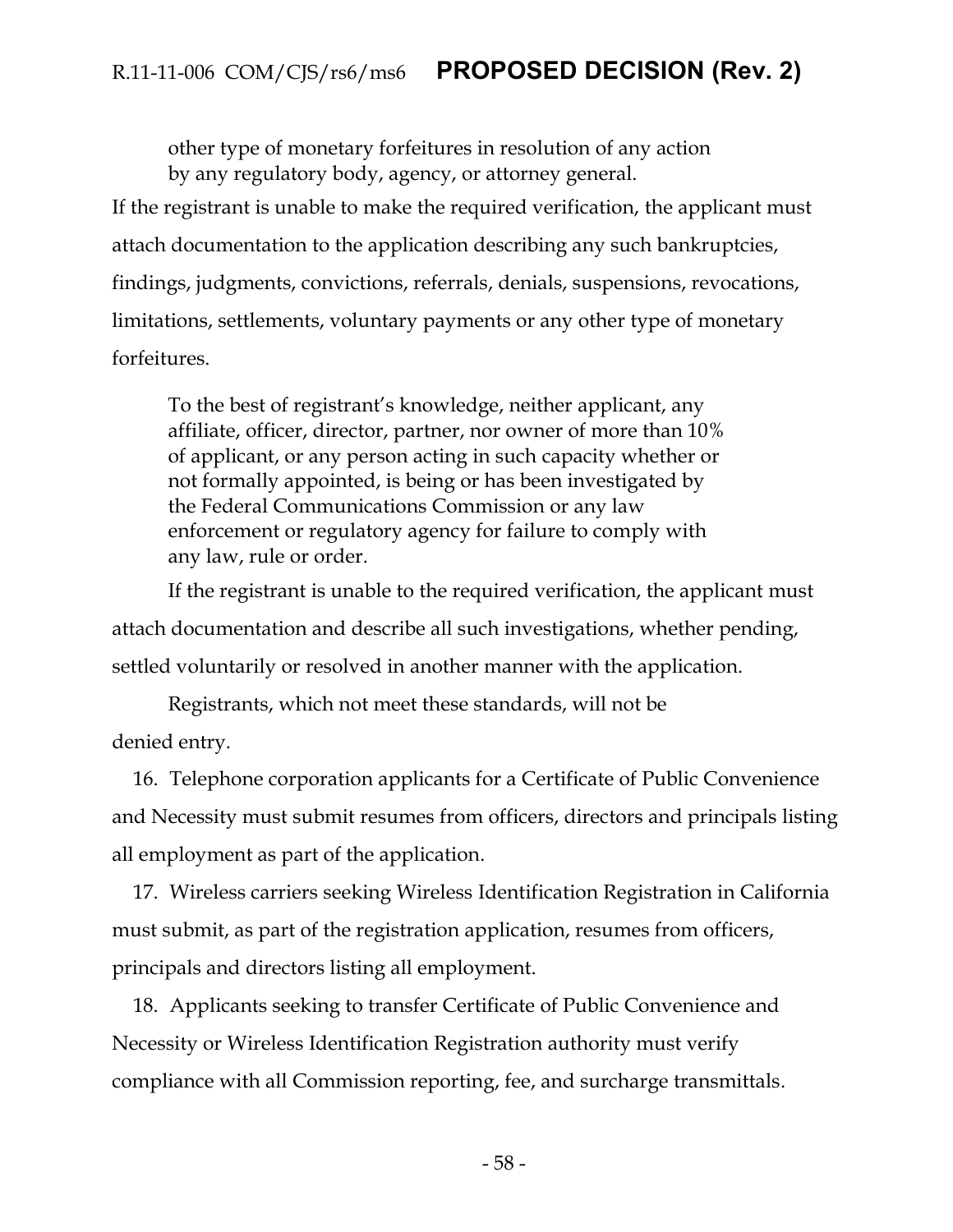other type of monetary forfeitures in resolution of any action by any regulatory body, agency, or attorney general.

If the registrant is unable to make the required verification, the applicant must attach documentation to the application describing any such bankruptcies, findings, judgments, convictions, referrals, denials, suspensions, revocations, limitations, settlements, voluntary payments or any other type of monetary forfeitures.

To the best of registrant's knowledge, neither applicant, any affiliate, officer, director, partner, nor owner of more than 10% of applicant, or any person acting in such capacity whether or not formally appointed, is being or has been investigated by the Federal Communications Commission or any law enforcement or regulatory agency for failure to comply with any law, rule or order.

If the registrant is unable to the required verification, the applicant must attach documentation and describe all such investigations, whether pending, settled voluntarily or resolved in another manner with the application.

Registrants, which not meet these standards, will not be denied entry.

16. Telephone corporation applicants for a Certificate of Public Convenience and Necessity must submit resumes from officers, directors and principals listing all employment as part of the application.

17. Wireless carriers seeking Wireless Identification Registration in California must submit, as part of the registration application, resumes from officers, principals and directors listing all employment.

18. Applicants seeking to transfer Certificate of Public Convenience and Necessity or Wireless Identification Registration authority must verify compliance with all Commission reporting, fee, and surcharge transmittals.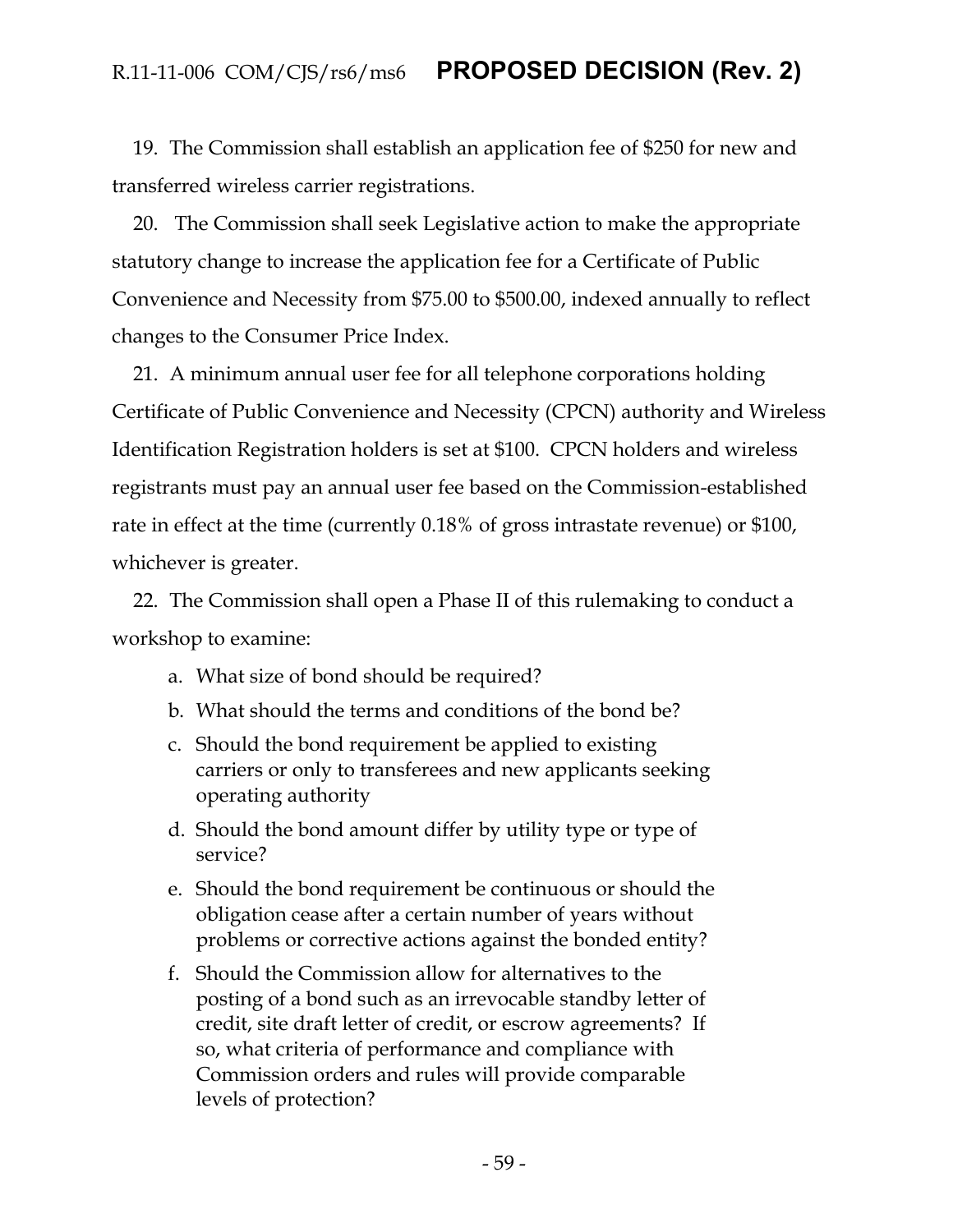19. The Commission shall establish an application fee of \$250 for new and transferred wireless carrier registrations.

20. The Commission shall seek Legislative action to make the appropriate statutory change to increase the application fee for a Certificate of Public Convenience and Necessity from \$75.00 to \$500.00, indexed annually to reflect changes to the Consumer Price Index.

21. A minimum annual user fee for all telephone corporations holding Certificate of Public Convenience and Necessity (CPCN) authority and Wireless Identification Registration holders is set at \$100. CPCN holders and wireless registrants must pay an annual user fee based on the Commission-established rate in effect at the time (currently 0.18% of gross intrastate revenue) or \$100, whichever is greater.

22. The Commission shall open a Phase II of this rulemaking to conduct a workshop to examine:

- a. What size of bond should be required?
- b. What should the terms and conditions of the bond be?
- c. Should the bond requirement be applied to existing carriers or only to transferees and new applicants seeking operating authority
- d. Should the bond amount differ by utility type or type of service?
- e. Should the bond requirement be continuous or should the obligation cease after a certain number of years without problems or corrective actions against the bonded entity?
- f. Should the Commission allow for alternatives to the posting of a bond such as an irrevocable standby letter of credit, site draft letter of credit, or escrow agreements? If so, what criteria of performance and compliance with Commission orders and rules will provide comparable levels of protection?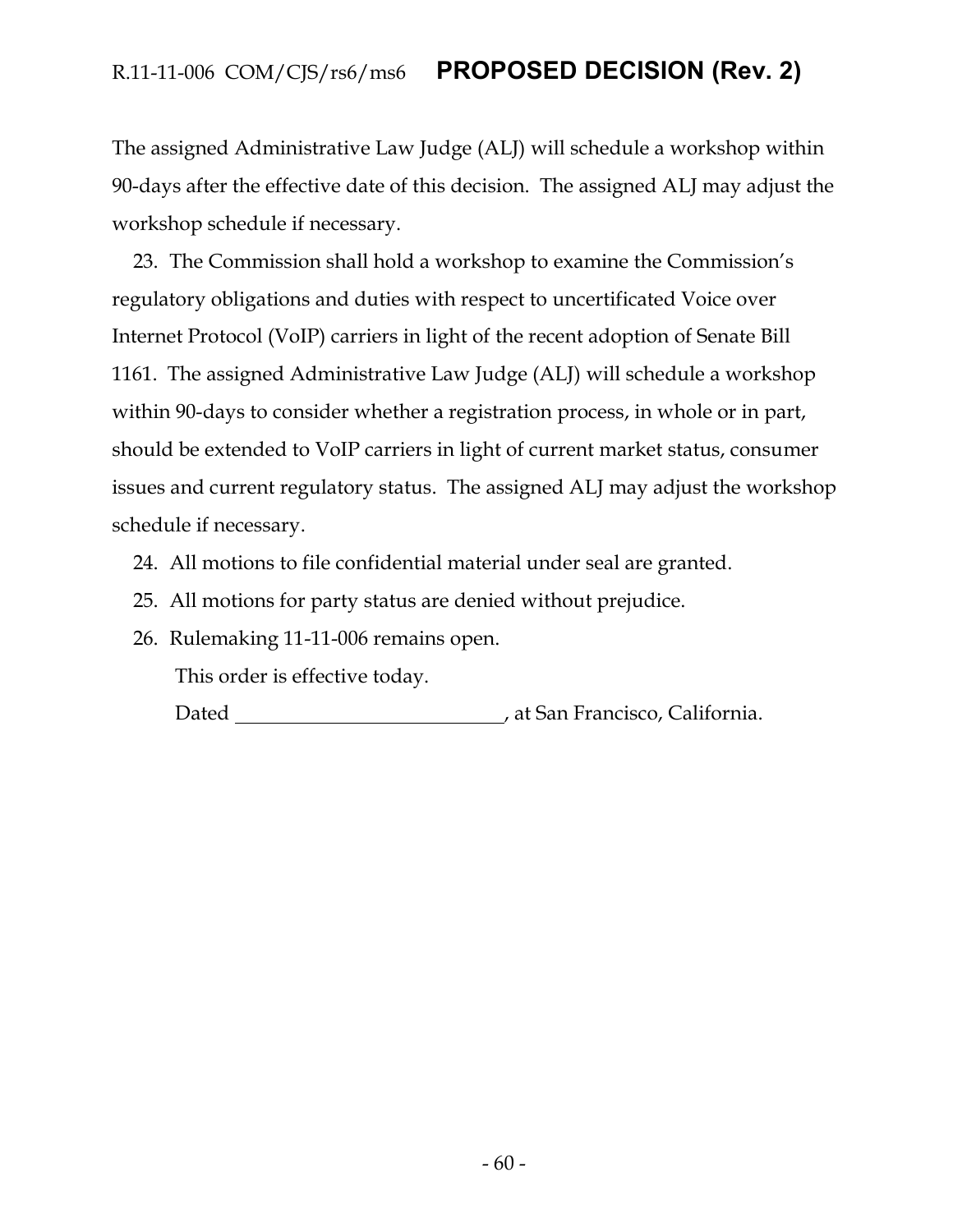The assigned Administrative Law Judge (ALJ) will schedule a workshop within 90-days after the effective date of this decision. The assigned ALJ may adjust the workshop schedule if necessary.

23. The Commission shall hold a workshop to examine the Commission's regulatory obligations and duties with respect to uncertificated Voice over Internet Protocol (VoIP) carriers in light of the recent adoption of Senate Bill 1161. The assigned Administrative Law Judge (ALJ) will schedule a workshop within 90-days to consider whether a registration process, in whole or in part, should be extended to VoIP carriers in light of current market status, consumer issues and current regulatory status. The assigned ALJ may adjust the workshop schedule if necessary.

- 24. All motions to file confidential material under seal are granted.
- 25. All motions for party status are denied without prejudice.
- 26. Rulemaking 11-11-006 remains open.

This order is effective today.

Dated **Material Contract Contract Contract Contract Contract Contract Contract Contract Contract Contract Contract Contract Contract Contract Contract Contract Contract Contract Contract Contract Contract Contract Contract**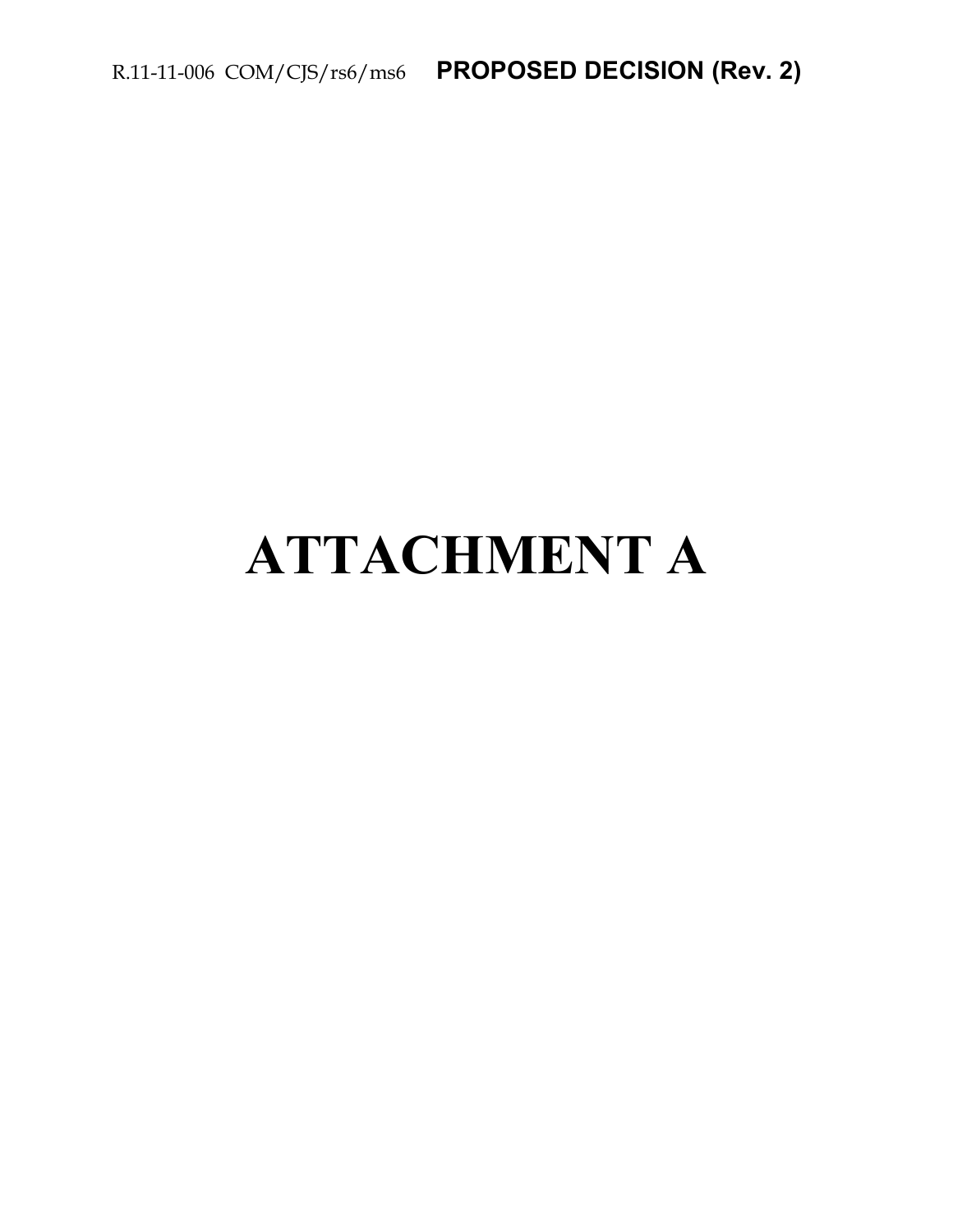# **ATTACHMENT A**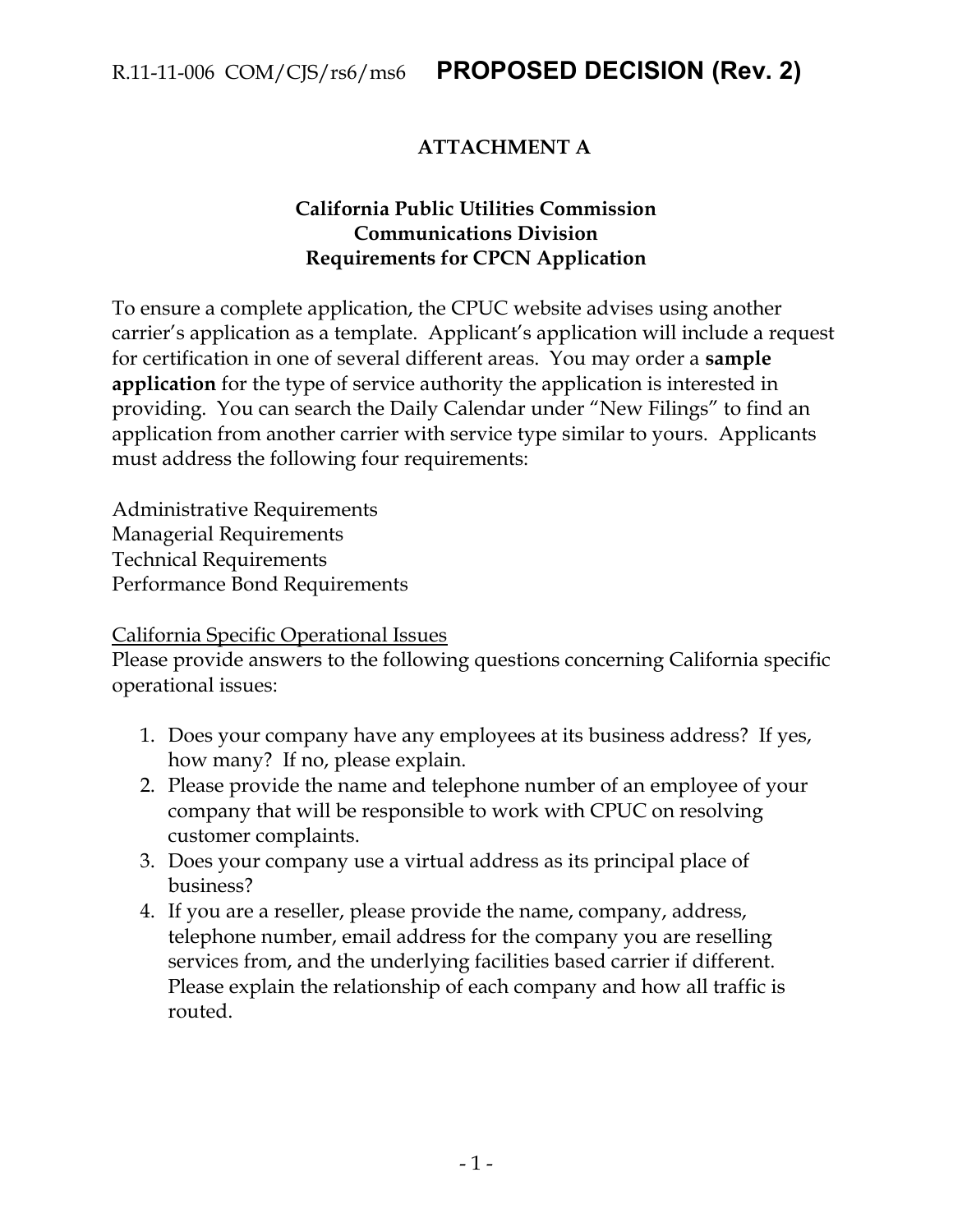## **ATTACHMENT A**

#### **California Public Utilities Commission Communications Division Requirements for CPCN Application**

To ensure a complete application, the CPUC website advises using another carrier's application as a template. Applicant's application will include a request for certification in one of several different areas. You may order a **sample application** for the type of service authority the application is interested in providing. You can search the Daily Calendar under "New Filings" to find an application from another carrier with service type similar to yours. Applicants must address the following four requirements:

Administrative Requirements Managerial Requirements Technical Requirements Performance Bond Requirements

California Specific Operational Issues

Please provide answers to the following questions concerning California specific operational issues:

- 1. Does your company have any employees at its business address? If yes, how many? If no, please explain.
- 2. Please provide the name and telephone number of an employee of your company that will be responsible to work with CPUC on resolving customer complaints.
- 3. Does your company use a virtual address as its principal place of business?
- 4. If you are a reseller, please provide the name, company, address, telephone number, email address for the company you are reselling services from, and the underlying facilities based carrier if different. Please explain the relationship of each company and how all traffic is routed.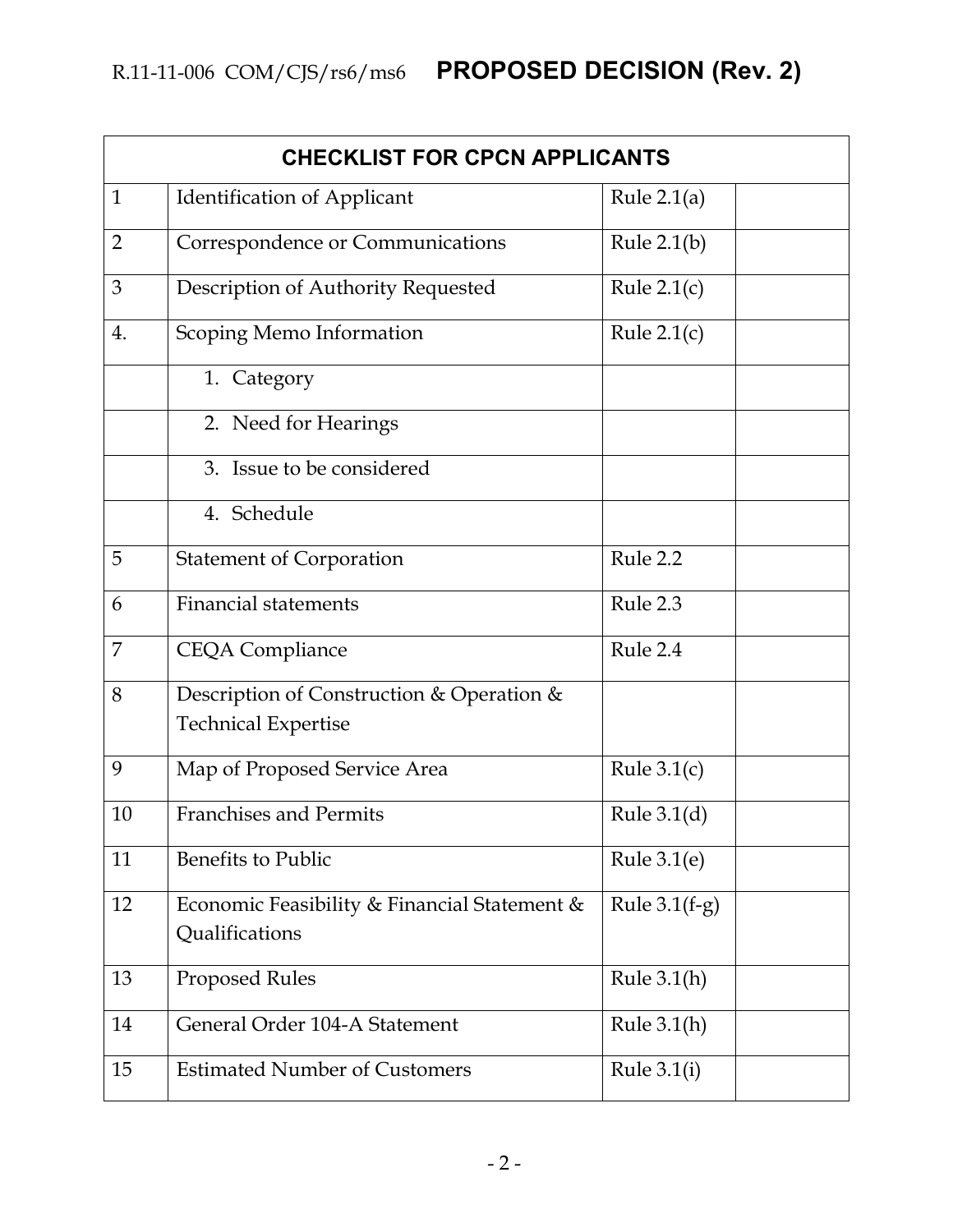| <b>CHECKLIST FOR CPCN APPLICANTS</b> |                                                                         |                 |  |  |
|--------------------------------------|-------------------------------------------------------------------------|-----------------|--|--|
| $\mathbf{1}$                         | <b>Identification of Applicant</b>                                      | Rule $2.1(a)$   |  |  |
| $\overline{2}$                       | Correspondence or Communications                                        | Rule $2.1(b)$   |  |  |
| 3                                    | Description of Authority Requested                                      | Rule $2.1(c)$   |  |  |
| 4.                                   | Scoping Memo Information                                                | Rule $2.1(c)$   |  |  |
|                                      | 1. Category                                                             |                 |  |  |
|                                      | 2. Need for Hearings                                                    |                 |  |  |
|                                      | 3. Issue to be considered                                               |                 |  |  |
|                                      | 4. Schedule                                                             |                 |  |  |
| 5                                    | <b>Statement of Corporation</b>                                         | Rule 2.2        |  |  |
| 6                                    | <b>Financial statements</b>                                             | Rule 2.3        |  |  |
| $\overline{7}$                       | <b>CEQA Compliance</b>                                                  | Rule 2.4        |  |  |
| 8                                    | Description of Construction & Operation &<br><b>Technical Expertise</b> |                 |  |  |
| 9                                    | Map of Proposed Service Area                                            | Rule $3.1(c)$   |  |  |
| 10                                   | <b>Franchises and Permits</b>                                           | Rule $3.1(d)$   |  |  |
| 11                                   | Benefits to Public                                                      | Rule $3.1(e)$   |  |  |
| 12                                   | Economic Feasibility & Financial Statement &<br>Qualifications          | Rule $3.1(f-g)$ |  |  |
| 13                                   | <b>Proposed Rules</b>                                                   | Rule $3.1(h)$   |  |  |
| 14                                   | General Order 104-A Statement                                           | Rule $3.1(h)$   |  |  |
| 15                                   | <b>Estimated Number of Customers</b>                                    | Rule $3.1(i)$   |  |  |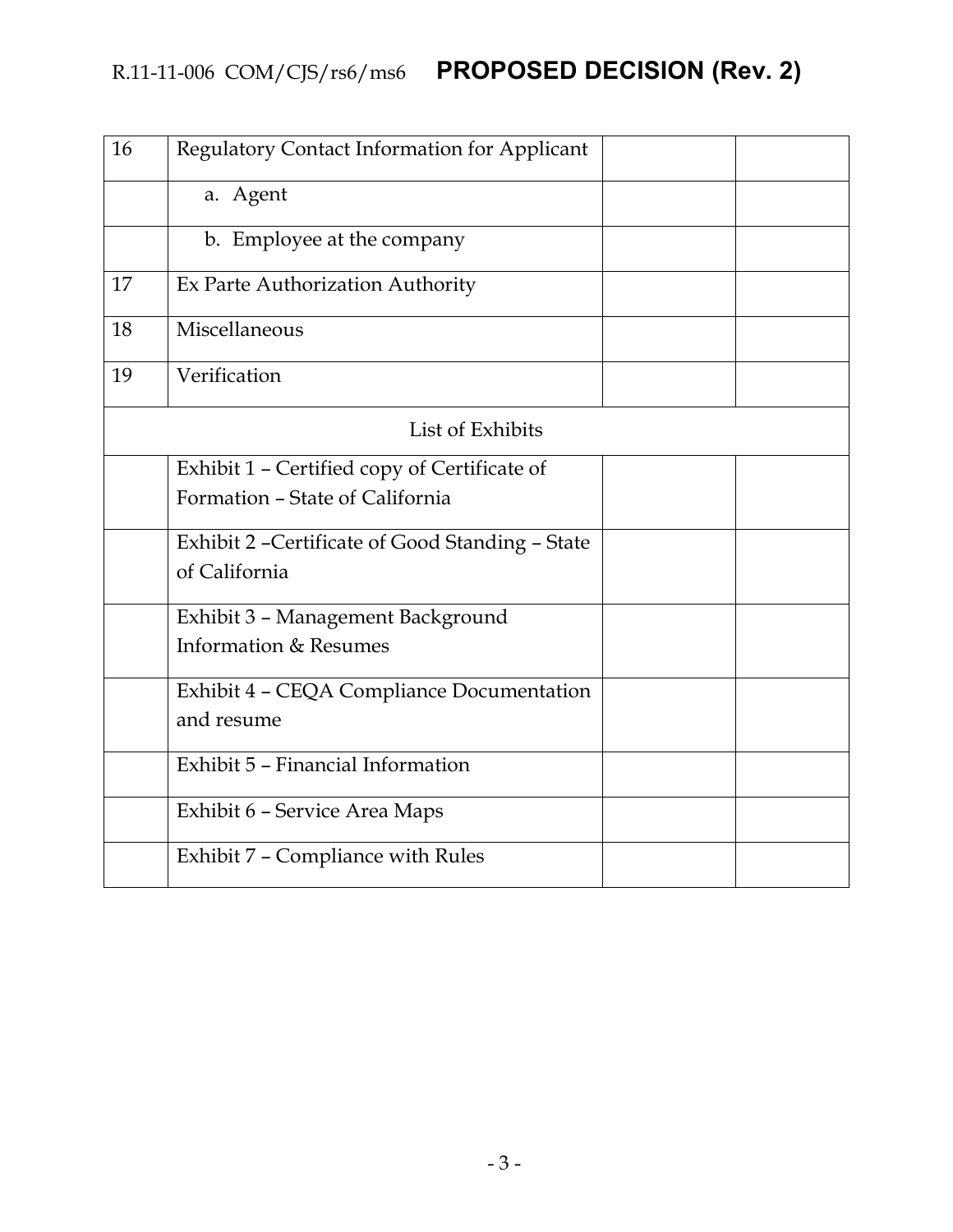| 16 | Regulatory Contact Information for Applicant     |  |
|----|--------------------------------------------------|--|
|    | a. Agent                                         |  |
|    | b. Employee at the company                       |  |
| 17 | Ex Parte Authorization Authority                 |  |
| 18 | Miscellaneous                                    |  |
| 19 | Verification                                     |  |
|    | List of Exhibits                                 |  |
|    | Exhibit 1 - Certified copy of Certificate of     |  |
|    | Formation - State of California                  |  |
|    | Exhibit 2 - Certificate of Good Standing - State |  |
|    | of California                                    |  |
|    | Exhibit 3 - Management Background                |  |
|    | Information & Resumes                            |  |
|    | Exhibit 4 - CEQA Compliance Documentation        |  |
|    | and resume                                       |  |
|    | Exhibit 5 - Financial Information                |  |
|    | Exhibit 6 - Service Area Maps                    |  |
|    | Exhibit 7 - Compliance with Rules                |  |